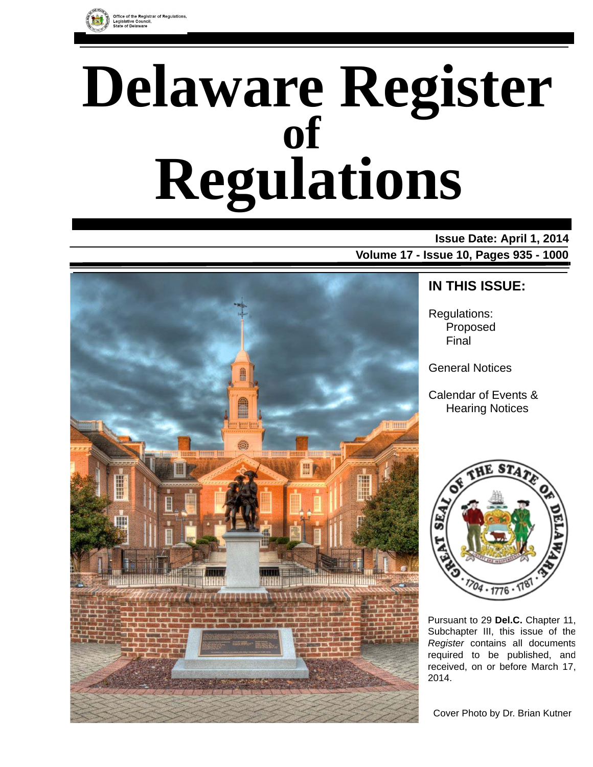

# **Delaware Register Regulations of**

# **Issue Date: April 1, 2014 Volume 17 - Issue 10, Pages 935 - 1000**



# **IN THIS ISSUE:**

Regulations: Proposed Final

General Notices

Calendar of Events & Hearing Notices



Pursuant to 29 **Del.C.** Chapter 11, Subchapter III, this issue of the *Register* contains all documents required to be published, and received, on or before March 17, 2014.

Cover Photo by Dr. Brian Kutner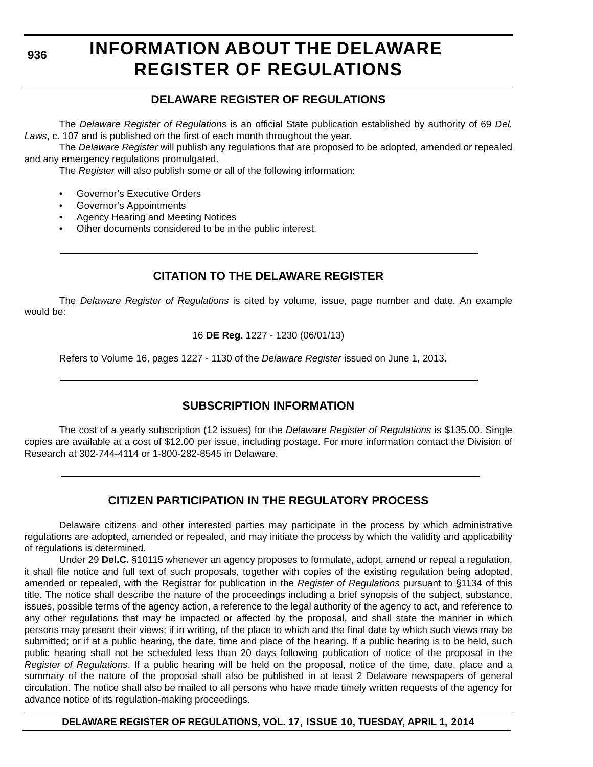**936**

# **INFORMATION ABOUT THE DELAWARE REGISTER OF REGULATIONS**

### **DELAWARE REGISTER OF REGULATIONS**

The *Delaware Register of Regulations* is an official State publication established by authority of 69 *Del. Laws*, c. 107 and is published on the first of each month throughout the year.

The *Delaware Register* will publish any regulations that are proposed to be adopted, amended or repealed and any emergency regulations promulgated.

The *Register* will also publish some or all of the following information:

- Governor's Executive Orders
- Governor's Appointments
- Agency Hearing and Meeting Notices
- Other documents considered to be in the public interest.

### **CITATION TO THE DELAWARE REGISTER**

The *Delaware Register of Regulations* is cited by volume, issue, page number and date. An example would be:

16 **DE Reg.** 1227 - 1230 (06/01/13)

Refers to Volume 16, pages 1227 - 1130 of the *Delaware Register* issued on June 1, 2013.

### **SUBSCRIPTION INFORMATION**

The cost of a yearly subscription (12 issues) for the *Delaware Register of Regulations* is \$135.00. Single copies are available at a cost of \$12.00 per issue, including postage. For more information contact the Division of Research at 302-744-4114 or 1-800-282-8545 in Delaware.

### **CITIZEN PARTICIPATION IN THE REGULATORY PROCESS**

Delaware citizens and other interested parties may participate in the process by which administrative regulations are adopted, amended or repealed, and may initiate the process by which the validity and applicability of regulations is determined.

Under 29 **Del.C.** §10115 whenever an agency proposes to formulate, adopt, amend or repeal a regulation, it shall file notice and full text of such proposals, together with copies of the existing regulation being adopted, amended or repealed, with the Registrar for publication in the *Register of Regulations* pursuant to §1134 of this title. The notice shall describe the nature of the proceedings including a brief synopsis of the subject, substance, issues, possible terms of the agency action, a reference to the legal authority of the agency to act, and reference to any other regulations that may be impacted or affected by the proposal, and shall state the manner in which persons may present their views; if in writing, of the place to which and the final date by which such views may be submitted; or if at a public hearing, the date, time and place of the hearing. If a public hearing is to be held, such public hearing shall not be scheduled less than 20 days following publication of notice of the proposal in the *Register of Regulations*. If a public hearing will be held on the proposal, notice of the time, date, place and a summary of the nature of the proposal shall also be published in at least 2 Delaware newspapers of general circulation. The notice shall also be mailed to all persons who have made timely written requests of the agency for advance notice of its regulation-making proceedings.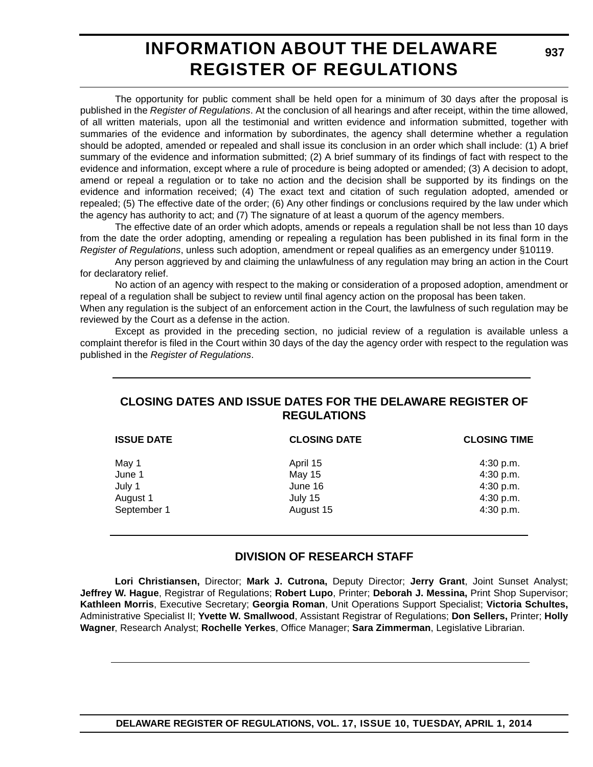# **INFORMATION ABOUT THE DELAWARE REGISTER OF REGULATIONS**

**937**

The opportunity for public comment shall be held open for a minimum of 30 days after the proposal is published in the *Register of Regulations*. At the conclusion of all hearings and after receipt, within the time allowed, of all written materials, upon all the testimonial and written evidence and information submitted, together with summaries of the evidence and information by subordinates, the agency shall determine whether a regulation should be adopted, amended or repealed and shall issue its conclusion in an order which shall include: (1) A brief summary of the evidence and information submitted; (2) A brief summary of its findings of fact with respect to the evidence and information, except where a rule of procedure is being adopted or amended; (3) A decision to adopt, amend or repeal a regulation or to take no action and the decision shall be supported by its findings on the evidence and information received; (4) The exact text and citation of such regulation adopted, amended or repealed; (5) The effective date of the order; (6) Any other findings or conclusions required by the law under which the agency has authority to act; and (7) The signature of at least a quorum of the agency members.

The effective date of an order which adopts, amends or repeals a regulation shall be not less than 10 days from the date the order adopting, amending or repealing a regulation has been published in its final form in the *Register of Regulations*, unless such adoption, amendment or repeal qualifies as an emergency under §10119.

Any person aggrieved by and claiming the unlawfulness of any regulation may bring an action in the Court for declaratory relief.

No action of an agency with respect to the making or consideration of a proposed adoption, amendment or repeal of a regulation shall be subject to review until final agency action on the proposal has been taken.

When any regulation is the subject of an enforcement action in the Court, the lawfulness of such regulation may be reviewed by the Court as a defense in the action.

Except as provided in the preceding section, no judicial review of a regulation is available unless a complaint therefor is filed in the Court within 30 days of the day the agency order with respect to the regulation was published in the *Register of Regulations*.

### **CLOSING DATES AND ISSUE DATES FOR THE DELAWARE REGISTER OF REGULATIONS**

| <b>ISSUE DATE</b> | <b>CLOSING DATE</b> | <b>CLOSING TIME</b> |
|-------------------|---------------------|---------------------|
| May 1             | April 15            | 4:30 p.m.           |
| June 1            | <b>May 15</b>       | 4:30 p.m.           |
| July 1            | June 16             | 4:30 p.m.           |
| August 1          | July 15             | 4:30 p.m.           |
| September 1       | August 15           | 4:30 p.m.           |

### **DIVISION OF RESEARCH STAFF**

**Lori Christiansen,** Director; **Mark J. Cutrona,** Deputy Director; **Jerry Grant**, Joint Sunset Analyst; **Jeffrey W. Hague**, Registrar of Regulations; **Robert Lupo**, Printer; **Deborah J. Messina,** Print Shop Supervisor; **Kathleen Morris**, Executive Secretary; **Georgia Roman**, Unit Operations Support Specialist; **Victoria Schultes,** Administrative Specialist II; **Yvette W. Smallwood**, Assistant Registrar of Regulations; **Don Sellers,** Printer; **Holly Wagner**, Research Analyst; **Rochelle Yerkes**, Office Manager; **Sara Zimmerman**, Legislative Librarian.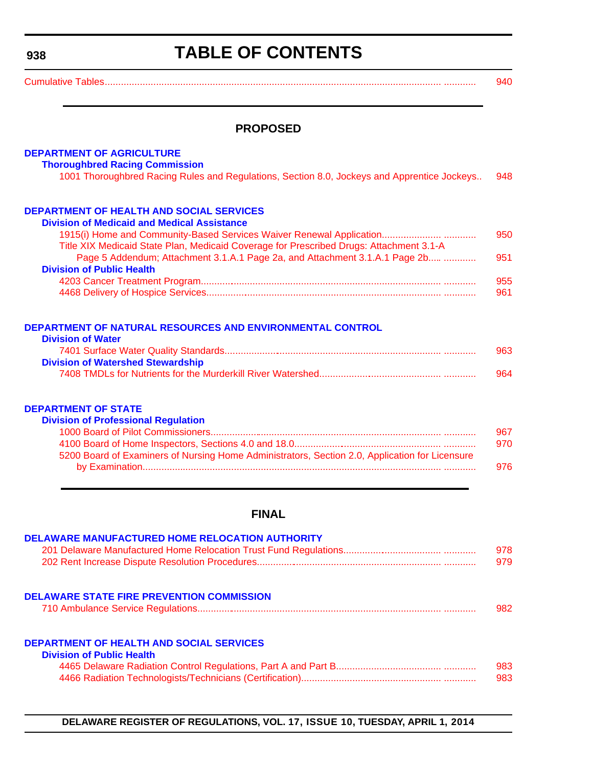#### <span id="page-3-0"></span>**938**

# **TABLE OF CONTENTS**

| $\sim$ $\sim$ $\sim$ |  |
|----------------------|--|
|                      |  |

#### **PROPOSED**

#### **[DEPARTMENT OF AGRICULTURE](http://dda.delaware.gov/thoroughbred/index.shtml)**

#### **Thoroughbred Racing Commission**

|  | 1001 Thoroughbred Racing Rules and Regulations, Section 8.0, Jockeys and Apprentice Jockeys 948 |  |
|--|-------------------------------------------------------------------------------------------------|--|
|  |                                                                                                 |  |

# **[DEPARTMENT OF HEALTH AND SOCIAL SERVICES](http://www.dhss.delaware.gov/dhss/dmma/)**

| <b>Division of Medicaid and Medical Assistance</b>                                      |     |
|-----------------------------------------------------------------------------------------|-----|
|                                                                                         | 950 |
| Title XIX Medicaid State Plan, Medicaid Coverage for Prescribed Drugs: Attachment 3.1-A |     |
| Page 5 Addendum; Attachment 3.1.A.1 Page 2a, and Attachment 3.1.A.1 Page 2b             | 951 |
| <b>Division of Public Health</b>                                                        |     |
|                                                                                         | 955 |
|                                                                                         | 961 |

#### **[DEPARTMENT OF NATURAL RESOURCES AND ENVIRONMENTAL CONTROL](http://www.dnrec.delaware.gov/wr/Pages/Default.aspx)**

| <b>Division of Water</b>                 |     |
|------------------------------------------|-----|
|                                          | 963 |
| <b>Division of Watershed Stewardship</b> |     |
|                                          | 964 |

#### **DEPARTMENT OF STATE**

| <b>Division of Professional Regulation</b>                                                     |     |
|------------------------------------------------------------------------------------------------|-----|
|                                                                                                | 967 |
|                                                                                                | 970 |
| 5200 Board of Examiners of Nursing Home Administrators, Section 2.0, Application for Licensure |     |
|                                                                                                | 976 |

### **FINAL**

| <b>DELAWARE MANUFACTURED HOME RELOCATION AUTHORITY</b>                              | 978<br>979 |
|-------------------------------------------------------------------------------------|------------|
| <b>DELAWARE STATE FIRE PREVENTION COMMISSION</b>                                    | 982        |
| <b>DEPARTMENT OF HEALTH AND SOCIAL SERVICES</b><br><b>Division of Public Health</b> | 983        |
|                                                                                     | 983        |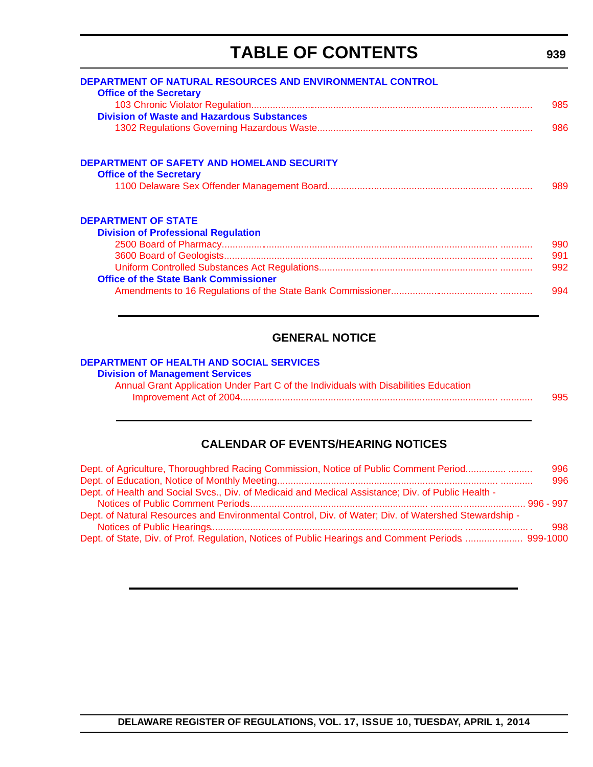# **TABLE OF CONTENTS**

<span id="page-4-0"></span>

| DEPARTMENT OF NATURAL RESOURCES AND ENVIRONMENTAL CONTROL |     |
|-----------------------------------------------------------|-----|
| <b>Office of the Secretary</b>                            | 985 |
| <b>Division of Waste and Hazardous Substances</b>         |     |
|                                                           | 986 |
|                                                           |     |
| <b>DEPARTMENT OF SAFETY AND HOMELAND SECURITY</b>         |     |
| <b>Office of the Secretary</b>                            |     |
|                                                           | 989 |
| <b>DEPARTMENT OF STATE</b>                                |     |
| <b>Division of Professional Regulation</b>                |     |
|                                                           | 990 |
|                                                           | 991 |
|                                                           | 992 |
| <b>Office of the State Bank Commissioner</b>              |     |
|                                                           | 994 |
|                                                           |     |

### **GENERAL NOTICE**

#### **[DEPARTMENT OF HEALTH AND SOCIAL SERVICES](http://www.dhss.delaware.gov/dhss/dms/)**

| <b>Division of Management Services</b>                                               |     |
|--------------------------------------------------------------------------------------|-----|
| Annual Grant Application Under Part C of the Individuals with Disabilities Education |     |
|                                                                                      | 995 |

### **CALENDAR OF EVENTS/HEARING NOTICES**

| Dept. of Agriculture, Thoroughbred Racing Commission, Notice of Public Comment Period                | 996 |
|------------------------------------------------------------------------------------------------------|-----|
|                                                                                                      | 996 |
| Dept. of Health and Social Svcs., Div. of Medicaid and Medical Assistance; Div. of Public Health -   |     |
|                                                                                                      |     |
| Dept. of Natural Resources and Environmental Control, Div. of Water; Div. of Watershed Stewardship - | 998 |
| Dept. of State, Div. of Prof. Regulation, Notices of Public Hearings and Comment Periods  999-1000   |     |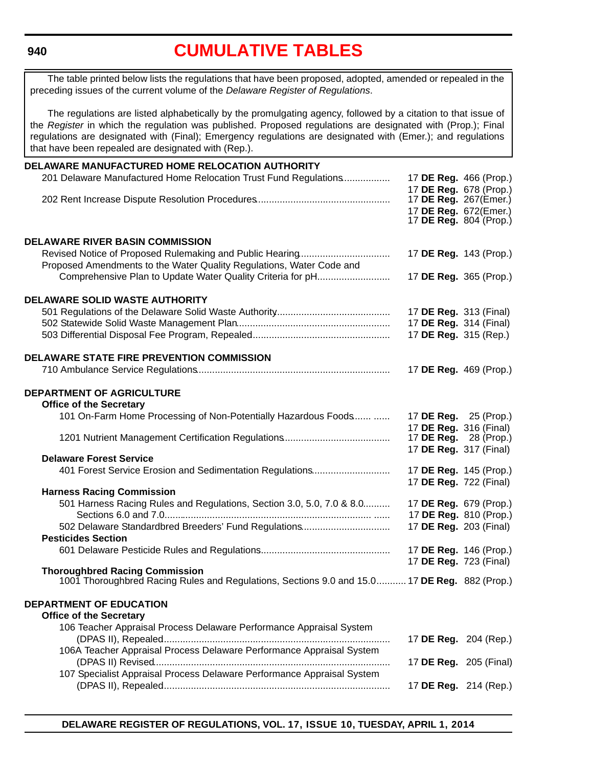<span id="page-5-0"></span>**940**

# **[CUMULATIVE TABLES](#page-3-0)**

The table printed below lists the regulations that have been proposed, adopted, amended or repealed in the preceding issues of the current volume of the *Delaware Register of Regulations*.

The regulations are listed alphabetically by the promulgating agency, followed by a citation to that issue of the *Register* in which the regulation was published. Proposed regulations are designated with (Prop.); Final regulations are designated with (Final); Emergency regulations are designated with (Emer.); and regulations that have been repealed are designated with (Rep.).

| DELAWARE MANUFACTURED HOME RELOCATION AUTHORITY                                              |                               |                        |
|----------------------------------------------------------------------------------------------|-------------------------------|------------------------|
| 201 Delaware Manufactured Home Relocation Trust Fund Regulations                             | 17 DE Reg. 466 (Prop.)        |                        |
|                                                                                              | 17 DE Reg. 678 (Prop.)        |                        |
|                                                                                              | 17 DE Reg. 267(Emer.)         |                        |
|                                                                                              | 17 DE Reg. 672(Emer.)         |                        |
|                                                                                              | 17 <b>DE Reg.</b> 804 (Prop.) |                        |
| <b>DELAWARE RIVER BASIN COMMISSION</b>                                                       |                               |                        |
|                                                                                              | 17 DE Reg. 143 (Prop.)        |                        |
| Proposed Amendments to the Water Quality Regulations, Water Code and                         |                               |                        |
| Comprehensive Plan to Update Water Quality Criteria for pH                                   | 17 DE Reg. 365 (Prop.)        |                        |
|                                                                                              |                               |                        |
| <b>DELAWARE SOLID WASTE AUTHORITY</b>                                                        |                               |                        |
|                                                                                              | 17 DE Reg. 313 (Final)        |                        |
|                                                                                              | 17 DE Reg. 314 (Final)        |                        |
|                                                                                              | 17 DE Reg. 315 (Rep.)         |                        |
| <b>DELAWARE STATE FIRE PREVENTION COMMISSION</b>                                             |                               |                        |
|                                                                                              |                               |                        |
|                                                                                              | 17 DE Reg. 469 (Prop.)        |                        |
| <b>DEPARTMENT OF AGRICULTURE</b>                                                             |                               |                        |
| <b>Office of the Secretary</b>                                                               |                               |                        |
| 101 On-Farm Home Processing of Non-Potentially Hazardous Foods                               | 17 DE Reg. 25 (Prop.)         |                        |
|                                                                                              | 17 DE Reg. 316 (Final)        |                        |
|                                                                                              | 17 <b>DE Reg.</b> 28 (Prop.)  |                        |
|                                                                                              | 17 DE Reg. 317 (Final)        |                        |
| <b>Delaware Forest Service</b>                                                               |                               |                        |
| 401 Forest Service Erosion and Sedimentation Regulations                                     | 17 DE Reg. 145 (Prop.)        |                        |
|                                                                                              | 17 DE Reg. 722 (Final)        |                        |
| <b>Harness Racing Commission</b>                                                             |                               |                        |
| 501 Harness Racing Rules and Regulations, Section 3.0, 5.0, 7.0 & 8.0                        | 17 DE Reg. 679 (Prop.)        |                        |
|                                                                                              |                               | 17 DE Reg. 810 (Prop.) |
| 502 Delaware Standardbred Breeders' Fund Regulations                                         | 17 DE Reg. 203 (Final)        |                        |
| <b>Pesticides Section</b>                                                                    |                               |                        |
|                                                                                              | 17 DE Reg. 146 (Prop.)        |                        |
|                                                                                              | 17 DE Reg. 723 (Final)        |                        |
| <b>Thoroughbred Racing Commission</b>                                                        |                               |                        |
| 1001 Thoroughbred Racing Rules and Regulations, Sections 9.0 and 15.0 17 DE Reg. 882 (Prop.) |                               |                        |
| <b>DEPARTMENT OF EDUCATION</b>                                                               |                               |                        |
| <b>Office of the Secretary</b>                                                               |                               |                        |
| 106 Teacher Appraisal Process Delaware Performance Appraisal System                          |                               |                        |
|                                                                                              | 17 DE Reg. 204 (Rep.)         |                        |
| 106A Teacher Appraisal Process Delaware Performance Appraisal System                         |                               |                        |
|                                                                                              | 17 DE Reg. 205 (Final)        |                        |
| 107 Specialist Appraisal Process Delaware Performance Appraisal System                       |                               |                        |
|                                                                                              | 17 DE Reg. 214 (Rep.)         |                        |
|                                                                                              |                               |                        |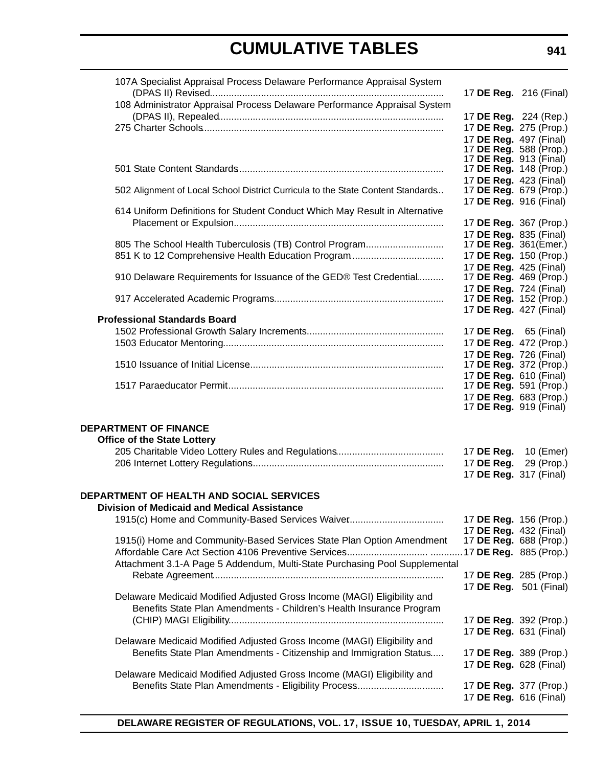| 107A Specialist Appraisal Process Delaware Performance Appraisal System         | 17 DE Reg. 216 (Final)                          |            |
|---------------------------------------------------------------------------------|-------------------------------------------------|------------|
| 108 Administrator Appraisal Process Delaware Performance Appraisal System       |                                                 |            |
|                                                                                 | 17 DE Reg. 224 (Rep.)                           |            |
|                                                                                 | 17 DE Reg. 275 (Prop.)                          |            |
|                                                                                 | 17 DE Reg. 497 (Final)                          |            |
|                                                                                 | 17 DE Reg. 588 (Prop.)                          |            |
|                                                                                 | 17 DE Reg. 913 (Final)                          |            |
|                                                                                 | 17 DE Reg. 148 (Prop.)                          |            |
|                                                                                 | 17 DE Reg. 423 (Final)                          |            |
| 502 Alignment of Local School District Curricula to the State Content Standards | 17 DE Reg. 679 (Prop.)                          |            |
|                                                                                 | 17 DE Reg. 916 (Final)                          |            |
| 614 Uniform Definitions for Student Conduct Which May Result in Alternative     |                                                 |            |
|                                                                                 | 17 DE Reg. 367 (Prop.)                          |            |
| 805 The School Health Tuberculosis (TB) Control Program                         | 17 DE Reg. 835 (Final)<br>17 DE Reg. 361(Emer.) |            |
| 851 K to 12 Comprehensive Health Education Program                              | 17 DE Reg. 150 (Prop.)                          |            |
|                                                                                 | 17 DE Reg. 425 (Final)                          |            |
| 910 Delaware Requirements for Issuance of the GED® Test Credential              | 17 DE Reg. 469 (Prop.)                          |            |
|                                                                                 | 17 DE Reg. 724 (Final)                          |            |
|                                                                                 | 17 DE Reg. 152 (Prop.)                          |            |
|                                                                                 | 17 DE Reg. 427 (Final)                          |            |
| <b>Professional Standards Board</b>                                             |                                                 |            |
|                                                                                 | 17 DE Reg. 65 (Final)                           |            |
|                                                                                 | 17 DE Reg. 472 (Prop.)                          |            |
|                                                                                 | 17 DE Reg. 726 (Final)                          |            |
|                                                                                 | 17 DE Reg. 372 (Prop.)                          |            |
|                                                                                 | 17 DE Reg. 610 (Final)                          |            |
|                                                                                 | 17 DE Reg. 591 (Prop.)                          |            |
|                                                                                 | 17 DE Reg. 683 (Prop.)                          |            |
|                                                                                 | 17 <b>DE Reg.</b> 919 (Final)                   |            |
| <b>DEPARTMENT OF FINANCE</b>                                                    |                                                 |            |
| <b>Office of the State Lottery</b>                                              |                                                 |            |
|                                                                                 | 17 DE Reg.                                      | 10 (Emer)  |
|                                                                                 | 17 DE Reg.                                      | 29 (Prop.) |
|                                                                                 | 17 DE Reg. 317 (Final)                          |            |
|                                                                                 |                                                 |            |
| <b>DEPARTMENT OF HEALTH AND SOCIAL SERVICES</b>                                 |                                                 |            |
| <b>Division of Medicaid and Medical Assistance</b>                              |                                                 |            |
| 1915(c) Home and Community-Based Services Waiver                                | 17 DE Reg. 156 (Prop.)                          |            |
|                                                                                 | 17 DE Reg. 432 (Final)                          |            |
| 1915(i) Home and Community-Based Services State Plan Option Amendment           | 17 DE Reg. 688 (Prop.)                          |            |
|                                                                                 |                                                 |            |
| Attachment 3.1-A Page 5 Addendum, Multi-State Purchasing Pool Supplemental      |                                                 |            |
|                                                                                 | 17 DE Reg. 285 (Prop.)                          |            |
|                                                                                 | 17 DE Reg. 501 (Final)                          |            |
| Delaware Medicaid Modified Adjusted Gross Income (MAGI) Eligibility and         |                                                 |            |
| Benefits State Plan Amendments - Children's Health Insurance Program            |                                                 |            |
|                                                                                 | 17 DE Reg. 392 (Prop.)                          |            |
|                                                                                 | 17 DE Reg. 631 (Final)                          |            |
| Delaware Medicaid Modified Adjusted Gross Income (MAGI) Eligibility and         |                                                 |            |
| Benefits State Plan Amendments - Citizenship and Immigration Status             | 17 DE Reg. 389 (Prop.)                          |            |
|                                                                                 | 17 DE Reg. 628 (Final)                          |            |
| Delaware Medicaid Modified Adjusted Gross Income (MAGI) Eligibility and         |                                                 |            |
| Benefits State Plan Amendments - Eligibility Process                            | 17 DE Reg. 377 (Prop.)                          |            |
|                                                                                 | 17 DE Reg. 616 (Final)                          |            |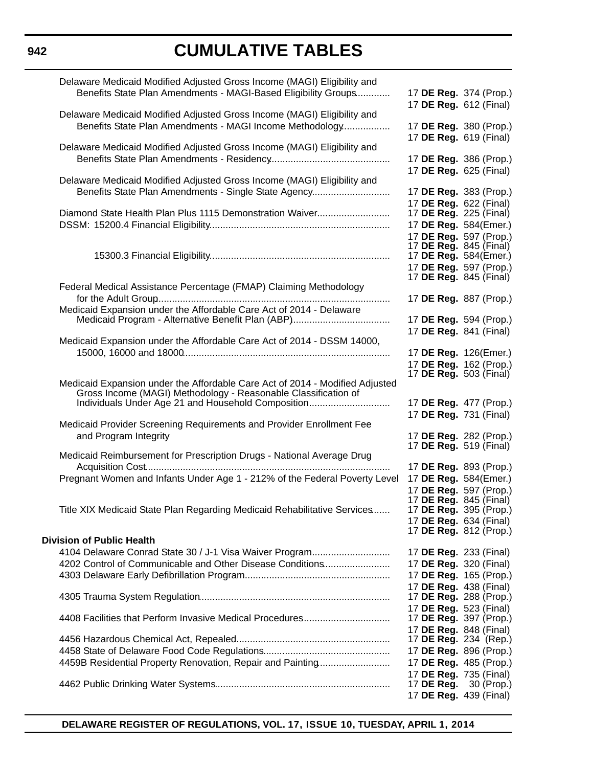| Delaware Medicaid Modified Adjusted Gross Income (MAGI) Eligibility and                                              |                                                                |
|----------------------------------------------------------------------------------------------------------------------|----------------------------------------------------------------|
| Benefits State Plan Amendments - MAGI-Based Eligibility Groups                                                       | 17 DE Reg. 374 (Prop.)                                         |
|                                                                                                                      | 17 DE Reg. 612 (Final)                                         |
| Delaware Medicaid Modified Adjusted Gross Income (MAGI) Eligibility and                                              |                                                                |
| Benefits State Plan Amendments - MAGI Income Methodology                                                             | 17 DE Reg. 380 (Prop.)                                         |
|                                                                                                                      | 17 DE Reg. 619 (Final)                                         |
| Delaware Medicaid Modified Adjusted Gross Income (MAGI) Eligibility and                                              |                                                                |
|                                                                                                                      | 17 DE Reg. 386 (Prop.)                                         |
| Delaware Medicaid Modified Adjusted Gross Income (MAGI) Eligibility and                                              | 17 DE Reg. 625 (Final)                                         |
| Benefits State Plan Amendments - Single State Agency                                                                 | 17 DE Reg. 383 (Prop.)                                         |
|                                                                                                                      | 17 DE Reg. 622 (Final)                                         |
| Diamond State Health Plan Plus 1115 Demonstration Waiver                                                             | 17 <b>DE Reg.</b> 225 (Final)                                  |
|                                                                                                                      | 17 DE Reg. 584(Emer.)                                          |
|                                                                                                                      | 17 DE Reg. 597 (Prop.)                                         |
|                                                                                                                      | 17 <b>DE Reg.</b> 845 (Final)                                  |
|                                                                                                                      | 17 DE Reg. 584(Emer.)                                          |
|                                                                                                                      | 17 DE Reg. 597 (Prop.)                                         |
|                                                                                                                      | 17 <b>DE Reg.</b> 845 (Final)                                  |
| Federal Medical Assistance Percentage (FMAP) Claiming Methodology                                                    |                                                                |
| Medicaid Expansion under the Affordable Care Act of 2014 - Delaware                                                  | 17 DE Reg. 887 (Prop.)                                         |
|                                                                                                                      | 17 DE Reg. 594 (Prop.)                                         |
|                                                                                                                      | 17 DE Reg. 841 (Final)                                         |
| Medicaid Expansion under the Affordable Care Act of 2014 - DSSM 14000,                                               |                                                                |
|                                                                                                                      | 17 DE Reg. 126(Emer.)                                          |
|                                                                                                                      | 17 DE Reg. 162 (Prop.)                                         |
|                                                                                                                      | 17 <b>DE Reg.</b> 503 (Final)                                  |
| Medicaid Expansion under the Affordable Care Act of 2014 - Modified Adjusted                                         |                                                                |
| Gross Income (MAGI) Methodology - Reasonable Classification of<br>Individuals Under Age 21 and Household Composition | 17 DE Reg. 477 (Prop.)                                         |
|                                                                                                                      | 17 DE Reg. 731 (Final)                                         |
| Medicaid Provider Screening Requirements and Provider Enrollment Fee                                                 |                                                                |
| and Program Integrity                                                                                                | 17 DE Reg. 282 (Prop.)                                         |
|                                                                                                                      | 17 DE Reg. 519 (Final)                                         |
| Medicaid Reimbursement for Prescription Drugs - National Average Drug                                                |                                                                |
|                                                                                                                      | 17 DE Reg. 893 (Prop.)                                         |
| Pregnant Women and Infants Under Age 1 - 212% of the Federal Poverty Level                                           | 17 DE Reg. 584(Emer.)                                          |
|                                                                                                                      | 17 DE Reg. 597 (Prop.)                                         |
| Title XIX Medicaid State Plan Regarding Medicaid Rehabilitative Services                                             | 17 <b>DE Reg.</b> 845 (Final)<br>17 <b>DE Reg.</b> 395 (Prop.) |
|                                                                                                                      | 17 <b>DE Reg.</b> 634 (Final)                                  |
|                                                                                                                      | 17 DE Reg. 812 (Prop.)                                         |
| <b>Division of Public Health</b>                                                                                     |                                                                |
| 4104 Delaware Conrad State 30 / J-1 Visa Waiver Program                                                              | 17 <b>DE Reg.</b> 233 (Final)                                  |
| 4202 Control of Communicable and Other Disease Conditions                                                            | 17 DE Reg. 320 (Final)                                         |
|                                                                                                                      | 17 DE Reg. 165 (Prop.)                                         |
|                                                                                                                      | 17 DE Reg. 438 (Final)                                         |
|                                                                                                                      | 17 DE Reg. 288 (Prop.)                                         |
|                                                                                                                      | 17 DE Reg. 523 (Final)<br>17 <b>DE Reg.</b> 397 (Prop.)        |
|                                                                                                                      | 17 DE Reg. 848 (Final)                                         |
|                                                                                                                      | 17 DE Reg. 234 (Rep.)                                          |
|                                                                                                                      | 17 DE Reg. 896 (Prop.)                                         |
| 4459B Residential Property Renovation, Repair and Painting                                                           | 17 DE Reg. 485 (Prop.)                                         |
|                                                                                                                      | 17 DE Reg. 735 (Final)                                         |
|                                                                                                                      | 17 <b>DE Reg.</b> 30 (Prop.)                                   |
|                                                                                                                      | 17 DE Reg. 439 (Final)                                         |

**DELAWARE REGISTER OF REGULATIONS, VOL. 17, ISSUE 10, TUESDAY, APRIL 1, 2014**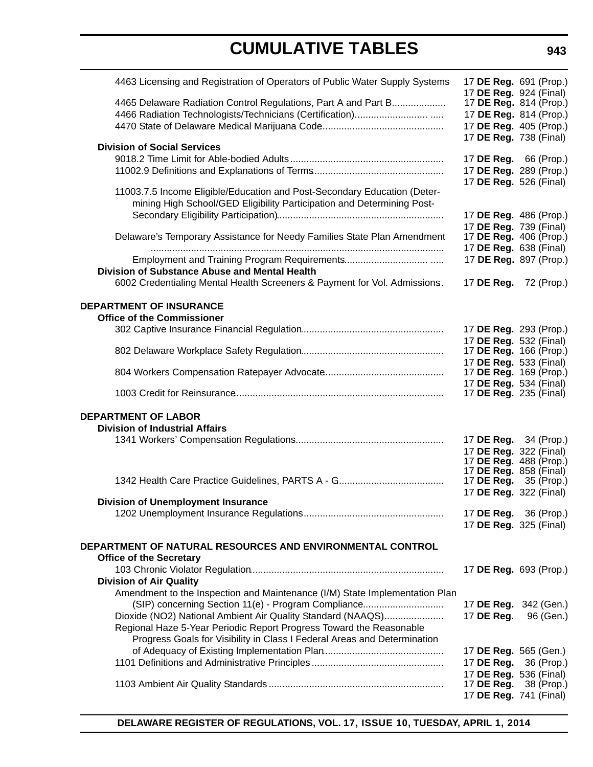| 4463 Licensing and Registration of Operators of Public Water Supply Systems | 17 DE Reg. 691 (Prop.)<br>17 DE Reg. 924 (Final) |            |
|-----------------------------------------------------------------------------|--------------------------------------------------|------------|
| 4465 Delaware Radiation Control Regulations, Part A and Part B              | 17 DE Reg. 814 (Prop.)                           |            |
|                                                                             | 17 DE Reg. 814 (Prop.)                           |            |
|                                                                             | 17 DE Reg. 405 (Prop.)                           |            |
|                                                                             | 17 DE Reg. 738 (Final)                           |            |
| <b>Division of Social Services</b>                                          |                                                  |            |
|                                                                             | 17 DE Reg. 66 (Prop.)                            |            |
|                                                                             | 17 DE Reg. 289 (Prop.)                           |            |
|                                                                             | 17 DE Reg. 526 (Final)                           |            |
| 11003.7.5 Income Eligible/Education and Post-Secondary Education (Deter-    |                                                  |            |
| mining High School/GED Eligibility Participation and Determining Post-      |                                                  |            |
|                                                                             | 17 DE Reg. 486 (Prop.)                           |            |
| Delaware's Temporary Assistance for Needy Families State Plan Amendment     | 17 DE Reg. 739 (Final)<br>17 DE Reg. 406 (Prop.) |            |
|                                                                             | 17 DE Reg. 638 (Final)                           |            |
|                                                                             | 17 DE Reg. 897 (Prop.)                           |            |
| <b>Division of Substance Abuse and Mental Health</b>                        |                                                  |            |
| 6002 Credentialing Mental Health Screeners & Payment for Vol. Admissions.   | 17 DE Reg. 72 (Prop.)                            |            |
|                                                                             |                                                  |            |
| <b>DEPARTMENT OF INSURANCE</b>                                              |                                                  |            |
| <b>Office of the Commissioner</b>                                           |                                                  |            |
|                                                                             | 17 DE Reg. 293 (Prop.)                           |            |
|                                                                             | 17 DE Reg. 532 (Final)                           |            |
|                                                                             | 17 DE Reg. 166 (Prop.)                           |            |
|                                                                             | 17 DE Reg. 533 (Final)                           |            |
|                                                                             | 17 DE Reg. 169 (Prop.)<br>17 DE Reg. 534 (Final) |            |
|                                                                             | 17 <b>DE Reg.</b> 235 (Final)                    |            |
| <b>DEPARTMENT OF LABOR</b>                                                  |                                                  |            |
| <b>Division of Industrial Affairs</b>                                       |                                                  |            |
|                                                                             | 17 DE Reg. 34 (Prop.)                            |            |
|                                                                             | 17 DE Reg. 322 (Final)                           |            |
|                                                                             | 17 DE Reg. 488 (Prop.)                           |            |
|                                                                             | 17 DE Reg. 858 (Final)                           |            |
|                                                                             | 17 DE Reg. 35 (Prop.)                            |            |
| <b>Division of Unemployment Insurance</b>                                   | 17 DE Reg. 322 (Final)                           |            |
|                                                                             | 17 DE Reg. 36 (Prop.)                            |            |
|                                                                             | 17 DE Reg. 325 (Final)                           |            |
|                                                                             |                                                  |            |
| DEPARTMENT OF NATURAL RESOURCES AND ENVIRONMENTAL CONTROL                   |                                                  |            |
| <b>Office of the Secretary</b>                                              |                                                  |            |
|                                                                             | 17 DE Reg. 693 (Prop.)                           |            |
| <b>Division of Air Quality</b>                                              |                                                  |            |
| Amendment to the Inspection and Maintenance (I/M) State Implementation Plan |                                                  |            |
| (SIP) concerning Section 11(e) - Program Compliance                         | 17 DE Reg. 342 (Gen.)                            |            |
| Dioxide (NO2) National Ambient Air Quality Standard (NAAQS)                 | 17 DE Reg.                                       | 96 (Gen.)  |
| Regional Haze 5-Year Periodic Report Progress Toward the Reasonable         |                                                  |            |
| Progress Goals for Visibility in Class I Federal Areas and Determination    |                                                  |            |
|                                                                             | 17 DE Reg. 565 (Gen.)                            |            |
|                                                                             | 17 DE Reg.                                       | 36 (Prop.) |
|                                                                             | 17 DE Reg. 536 (Final)<br>17 DE Reg.             | 38 (Prop.) |
|                                                                             | 17 DE Reg. 741 (Final)                           |            |
|                                                                             |                                                  |            |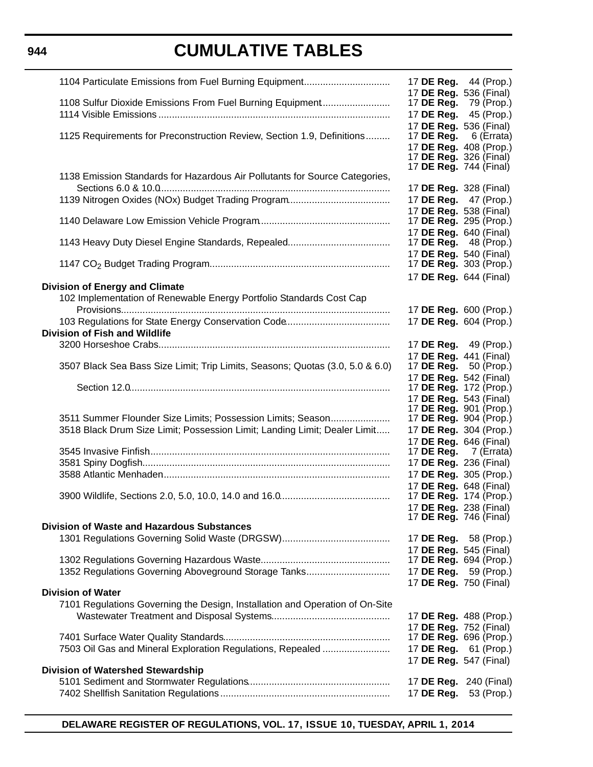**944**

# **CUMULATIVE TABLES**

| 1104 Particulate Emissions from Fuel Burning Equipment                                                                                   | 17 <b>DE Reg.</b> 44 (Prop.)<br>17 DE Reg. 536 (Final)                                                               |
|------------------------------------------------------------------------------------------------------------------------------------------|----------------------------------------------------------------------------------------------------------------------|
| 1108 Sulfur Dioxide Emissions From Fuel Burning Equipment                                                                                | 17 <b>DE Reg.</b> 79 (Prop.)<br>17 DE Reg. 45 (Prop.)<br>17 DE Reg. 536 (Final)                                      |
| 1125 Requirements for Preconstruction Review, Section 1.9, Definitions                                                                   | 17 DE Reg.<br>6 (Errata)<br>17 DE Reg. 408 (Prop.)<br>17 <b>DE Reg.</b> 326 (Final)<br>17 <b>DE Reg.</b> 744 (Final) |
| 1138 Emission Standards for Hazardous Air Pollutants for Source Categories,                                                              | 17 DE Reg. 328 (Final)                                                                                               |
|                                                                                                                                          | 17 <b>DE Reg.</b> 47 (Prop.)<br>17 DE Reg. 538 (Final)                                                               |
|                                                                                                                                          | 17 DE Reg. 295 (Prop.)<br>17 DE Reg. 640 (Final)                                                                     |
|                                                                                                                                          | 17 <b>DE Reg.</b> 48 (Prop.)<br>17 DE Reg. 540 (Final)                                                               |
|                                                                                                                                          | 17 <b>DE Reg.</b> 303 (Prop.)<br>17 DE Reg. 644 (Final)                                                              |
| <b>Division of Energy and Climate</b><br>102 Implementation of Renewable Energy Portfolio Standards Cost Cap                             | 17 DE Reg. 600 (Prop.)                                                                                               |
| <b>Division of Fish and Wildlife</b>                                                                                                     | 17 DE Reg. 604 (Prop.)                                                                                               |
|                                                                                                                                          | 17 DE Reg. 49 (Prop.)<br>17 DE Reg. 441 (Final)                                                                      |
| 3507 Black Sea Bass Size Limit; Trip Limits, Seasons; Quotas (3.0, 5.0 & 6.0)                                                            | 17 <b>DE Reg.</b> 50 (Prop.)<br>17 DE Reg. 542 (Final)                                                               |
|                                                                                                                                          | 17 DE Reg. 172 (Prop.)<br>17 DE Reg. 543 (Final)<br>17 DE Reg. 901 (Prop.)                                           |
| 3511 Summer Flounder Size Limits; Possession Limits; Season<br>3518 Black Drum Size Limit; Possession Limit; Landing Limit; Dealer Limit | 17 <b>DE Reg.</b> 904 (Prop.)<br>17 DE Reg. 304 (Prop.)<br>17 DE Reg. 646 (Final)                                    |
|                                                                                                                                          | 17 DE Reg. 7 (Errata)                                                                                                |
|                                                                                                                                          | 17 DE Reg. 236 (Final)<br>17 DE Reg. 305 (Prop.)                                                                     |
|                                                                                                                                          | 17 DE Reg. 648 (Final)                                                                                               |
|                                                                                                                                          | 17 DE Reg. 174 (Prop.)<br>17 DE Reg. 238 (Final)                                                                     |
| <b>Division of Waste and Hazardous Substances</b>                                                                                        | 17 DE Reg. 746 (Final)                                                                                               |
|                                                                                                                                          | 17 DE Reg. 58 (Prop.)                                                                                                |
|                                                                                                                                          | 17 DE Reg. 545 (Final)<br>17 DE Reg. 694 (Prop.)                                                                     |
| 1352 Regulations Governing Aboveground Storage Tanks                                                                                     | 17 <b>DE Reg.</b> 59 (Prop.)<br>17 DE Reg. 750 (Final)                                                               |
| <b>Division of Water</b><br>7101 Regulations Governing the Design, Installation and Operation of On-Site                                 |                                                                                                                      |
|                                                                                                                                          | 17 DE Reg. 488 (Prop.)<br>17 DE Reg. 752 (Final)                                                                     |
|                                                                                                                                          | 17 DE Reg. 696 (Prop.)                                                                                               |
| 7503 Oil Gas and Mineral Exploration Regulations, Repealed                                                                               | 17 DE Reg. 61 (Prop.)<br>17 DE Reg. 547 (Final)                                                                      |
| <b>Division of Watershed Stewardship</b>                                                                                                 |                                                                                                                      |
|                                                                                                                                          | 17 <b>DE Reg.</b> 240 (Final)<br>17 DE Reg.<br>53 (Prop.)                                                            |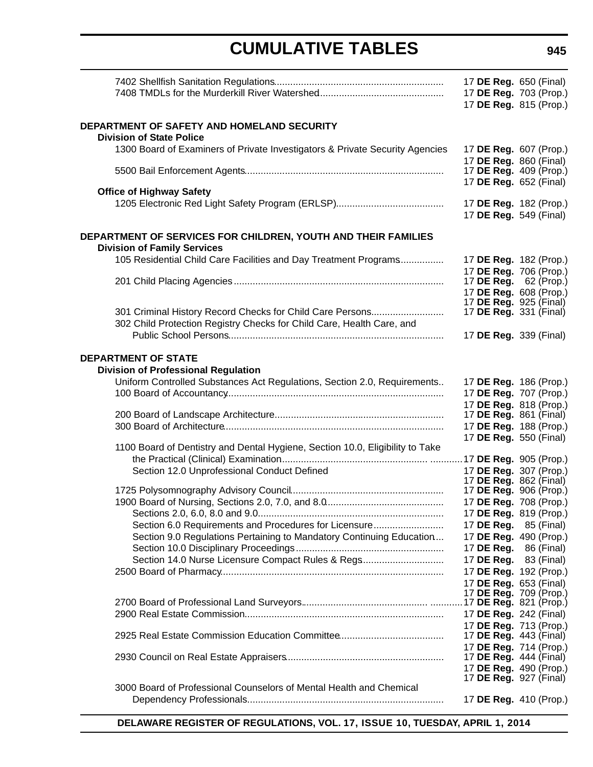|                                                                                                                               | 17 DE Reg. 650 (Final)<br>17 DE Reg. 703 (Prop.)<br>17 DE Reg. 815 (Prop.) |  |
|-------------------------------------------------------------------------------------------------------------------------------|----------------------------------------------------------------------------|--|
| DEPARTMENT OF SAFETY AND HOMELAND SECURITY<br><b>Division of State Police</b>                                                 |                                                                            |  |
| 1300 Board of Examiners of Private Investigators & Private Security Agencies                                                  | 17 DE Reg. 607 (Prop.)<br>17 DE Reg. 860 (Final)                           |  |
|                                                                                                                               | 17 DE Reg. 409 (Prop.)<br>17 DE Reg. 652 (Final)                           |  |
| <b>Office of Highway Safety</b>                                                                                               |                                                                            |  |
|                                                                                                                               | 17 DE Reg. 182 (Prop.)<br>17 DE Reg. 549 (Final)                           |  |
| DEPARTMENT OF SERVICES FOR CHILDREN, YOUTH AND THEIR FAMILIES                                                                 |                                                                            |  |
| <b>Division of Family Services</b>                                                                                            |                                                                            |  |
| 105 Residential Child Care Facilities and Day Treatment Programs                                                              | 17 DE Reg. 182 (Prop.)<br>17 DE Reg. 706 (Prop.)                           |  |
|                                                                                                                               | 17 <b>DE Reg.</b> 62 (Prop.)                                               |  |
|                                                                                                                               | 17 DE Reg. 608 (Prop.)                                                     |  |
| 301 Criminal History Record Checks for Child Care Persons                                                                     | 17 <b>DE Reg.</b> 925 (Final)<br>17 <b>DE Reg.</b> 331 (Final)             |  |
| 302 Child Protection Registry Checks for Child Care, Health Care, and                                                         |                                                                            |  |
|                                                                                                                               | 17 DE Reg. 339 (Final)                                                     |  |
| <b>DEPARTMENT OF STATE</b><br><b>Division of Professional Regulation</b>                                                      |                                                                            |  |
| Uniform Controlled Substances Act Regulations, Section 2.0, Requirements                                                      | 17 DE Reg. 186 (Prop.)                                                     |  |
|                                                                                                                               | 17 DE Reg. 707 (Prop.)                                                     |  |
|                                                                                                                               | 17 DE Reg. 818 (Prop.)                                                     |  |
|                                                                                                                               | 17 DE Reg. 861 (Final)                                                     |  |
|                                                                                                                               | 17 DE Reg. 188 (Prop.)<br>17 DE Reg. 550 (Final)                           |  |
| 1100 Board of Dentistry and Dental Hygiene, Section 10.0, Eligibility to Take                                                 |                                                                            |  |
|                                                                                                                               |                                                                            |  |
| Section 12.0 Unprofessional Conduct Defined                                                                                   | 17 DE Reg. 307 (Prop.)<br>17 DE Reg. 862 (Final)                           |  |
|                                                                                                                               | 17 DE Reg. 906 (Prop.)                                                     |  |
|                                                                                                                               | 17 DE Reg. 708 (Prop.)                                                     |  |
|                                                                                                                               | 17 DE Reg. 819 (Prop.)                                                     |  |
| Section 6.0 Requirements and Procedures for Licensure<br>Section 9.0 Regulations Pertaining to Mandatory Continuing Education | 17 DE Reg. 85 (Final)<br>17 DE Reg. 490 (Prop.)                            |  |
|                                                                                                                               | 17 <b>DE Reg.</b> 86 (Final)                                               |  |
| Section 14.0 Nurse Licensure Compact Rules & Regs                                                                             | 17 DE Reg. 83 (Final)                                                      |  |
|                                                                                                                               | 17 DE Reg. 192 (Prop.)                                                     |  |
|                                                                                                                               | 17 DE Reg. 653 (Final)                                                     |  |
|                                                                                                                               | 17 DE Reg. 709 (Prop.)                                                     |  |
|                                                                                                                               | 17 DE Reg. 242 (Final)                                                     |  |
|                                                                                                                               | 17 DE Reg. 713 (Prop.)                                                     |  |
|                                                                                                                               | 17 <b>DE Reg.</b> 443 (Final)<br>17 DE Reg. 714 (Prop.)                    |  |
|                                                                                                                               | 17 DE Reg. 444 (Final)                                                     |  |
|                                                                                                                               | 17 DE Reg. 490 (Prop.)                                                     |  |
| 3000 Board of Professional Counselors of Mental Health and Chemical                                                           | 17 <b>DE Reg.</b> 927 (Final)                                              |  |
|                                                                                                                               | 17 DE Reg. 410 (Prop.)                                                     |  |
|                                                                                                                               |                                                                            |  |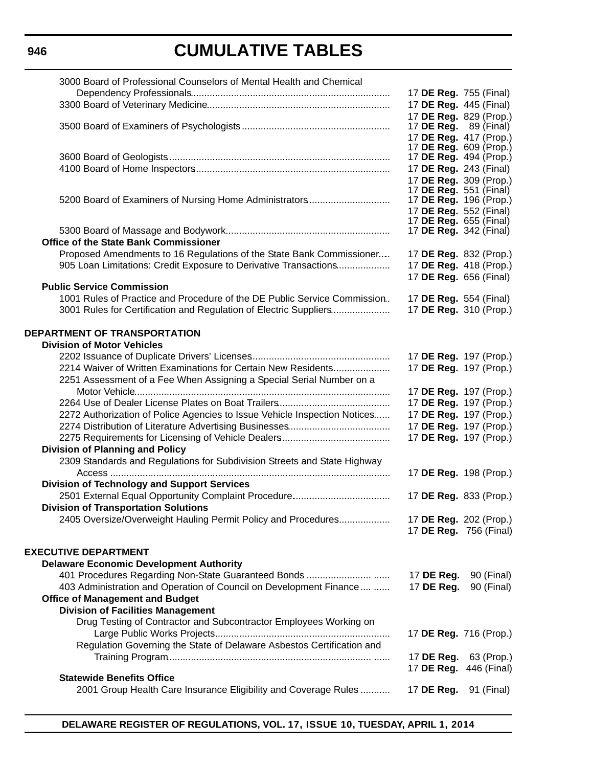| 3000 Board of Professional Counselors of Mental Health and Chemical       |                                                                |             |
|---------------------------------------------------------------------------|----------------------------------------------------------------|-------------|
|                                                                           | 17 DE Reg. 755 (Final)                                         |             |
|                                                                           | 17 DE Reg. 445 (Final)                                         |             |
|                                                                           | 17 DE Reg. 829 (Prop.)                                         |             |
|                                                                           | 17 <b>DE Reg.</b> 89 (Final)                                   |             |
|                                                                           | 17 DE Reg. 417 (Prop.)                                         |             |
|                                                                           | 17 <b>DE Reg.</b> 609 (Prop.)<br>17 <b>DE Reg.</b> 494 (Prop.) |             |
|                                                                           | 17 DE Reg. 243 (Final)                                         |             |
|                                                                           | 17 DE Reg. 309 (Prop.)                                         |             |
|                                                                           | 17 <b>DE Reg.</b> 551 (Final)                                  |             |
| 5200 Board of Examiners of Nursing Home Administrators                    | 17 DE Reg. 196 (Prop.)                                         |             |
|                                                                           | 17 DE Reg. 552 (Final)                                         |             |
|                                                                           | 17 <b>DE Reg.</b> 655 (Final)                                  |             |
|                                                                           | 17 DE Reg. 342 (Final)                                         |             |
| <b>Office of the State Bank Commissioner</b>                              |                                                                |             |
| Proposed Amendments to 16 Regulations of the State Bank Commissioner      | 17 DE Reg. 832 (Prop.)                                         |             |
| 905 Loan Limitations: Credit Exposure to Derivative Transactions          | 17 DE Reg. 418 (Prop.)                                         |             |
|                                                                           | 17 DE Reg. 656 (Final)                                         |             |
| <b>Public Service Commission</b>                                          |                                                                |             |
| 1001 Rules of Practice and Procedure of the DE Public Service Commission  | 17 DE Reg. 554 (Final)                                         |             |
| 3001 Rules for Certification and Regulation of Electric Suppliers         | 17 DE Reg. 310 (Prop.)                                         |             |
|                                                                           |                                                                |             |
| DEPARTMENT OF TRANSPORTATION                                              |                                                                |             |
| <b>Division of Motor Vehicles</b>                                         |                                                                |             |
|                                                                           | 17 DE Reg. 197 (Prop.)                                         |             |
| 2214 Waiver of Written Examinations for Certain New Residents             | 17 DE Reg. 197 (Prop.)                                         |             |
| 2251 Assessment of a Fee When Assigning a Special Serial Number on a      |                                                                |             |
|                                                                           | 17 DE Reg. 197 (Prop.)                                         |             |
|                                                                           | 17 DE Reg. 197 (Prop.)                                         |             |
| 2272 Authorization of Police Agencies to Issue Vehicle Inspection Notices | 17 DE Reg. 197 (Prop.)                                         |             |
|                                                                           | 17 DE Reg. 197 (Prop.)                                         |             |
|                                                                           | 17 DE Reg. 197 (Prop.)                                         |             |
| <b>Division of Planning and Policy</b>                                    |                                                                |             |
| 2309 Standards and Regulations for Subdivision Streets and State Highway  |                                                                |             |
|                                                                           | 17 DE Reg. 198 (Prop.)                                         |             |
| <b>Division of Technology and Support Services</b>                        |                                                                |             |
|                                                                           | 17 DE Reg. 833 (Prop.)                                         |             |
| <b>Division of Transportation Solutions</b>                               |                                                                |             |
| 2405 Oversize/Overweight Hauling Permit Policy and Procedures             | 17 DE Reg. 202 (Prop.)                                         |             |
|                                                                           | 17 DE Reg. 756 (Final)                                         |             |
| <b>EXECUTIVE DEPARTMENT</b>                                               |                                                                |             |
| <b>Delaware Economic Development Authority</b>                            |                                                                |             |
|                                                                           | 17 DE Reg.                                                     | 90 (Final)  |
| 403 Administration and Operation of Council on Development Finance        | 17 DE Reg.                                                     | 90 (Final)  |
| <b>Office of Management and Budget</b>                                    |                                                                |             |
| <b>Division of Facilities Management</b>                                  |                                                                |             |
| Drug Testing of Contractor and Subcontractor Employees Working on         |                                                                |             |
|                                                                           | 17 DE Reg. 716 (Prop.)                                         |             |
| Regulation Governing the State of Delaware Asbestos Certification and     |                                                                |             |
|                                                                           | 17 DE Reg.                                                     | 63 (Prop.)  |
|                                                                           | 17 DE Reg.                                                     | 446 (Final) |
| <b>Statewide Benefits Office</b>                                          |                                                                |             |
| 2001 Group Health Care Insurance Eligibility and Coverage Rules           | 17 DE Reg.                                                     | 91 (Final)  |
|                                                                           |                                                                |             |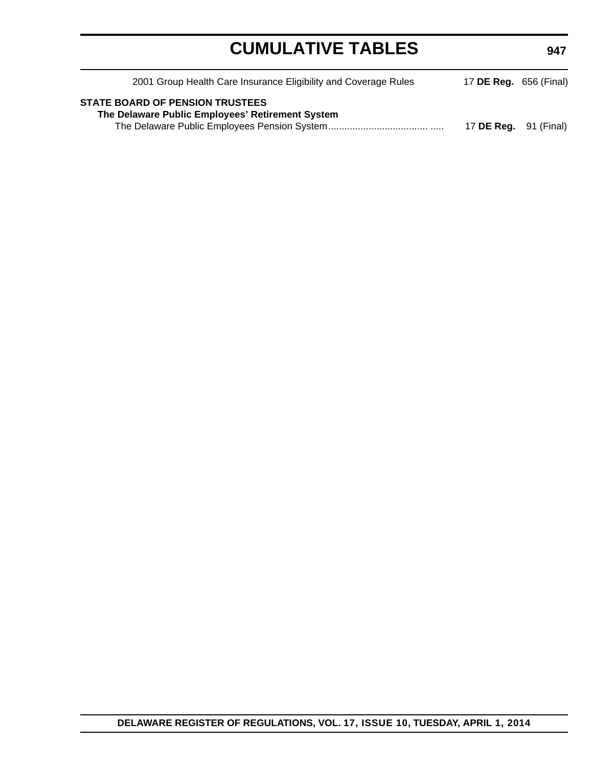| 2001 Group Health Care Insurance Eligibility and Coverage Rules                            | 17 <b>DE Reg.</b> 656 (Final) |  |
|--------------------------------------------------------------------------------------------|-------------------------------|--|
| <b>STATE BOARD OF PENSION TRUSTEES</b><br>The Delaware Public Employees' Retirement System | 17 <b>DE Reg.</b> 91 (Final)  |  |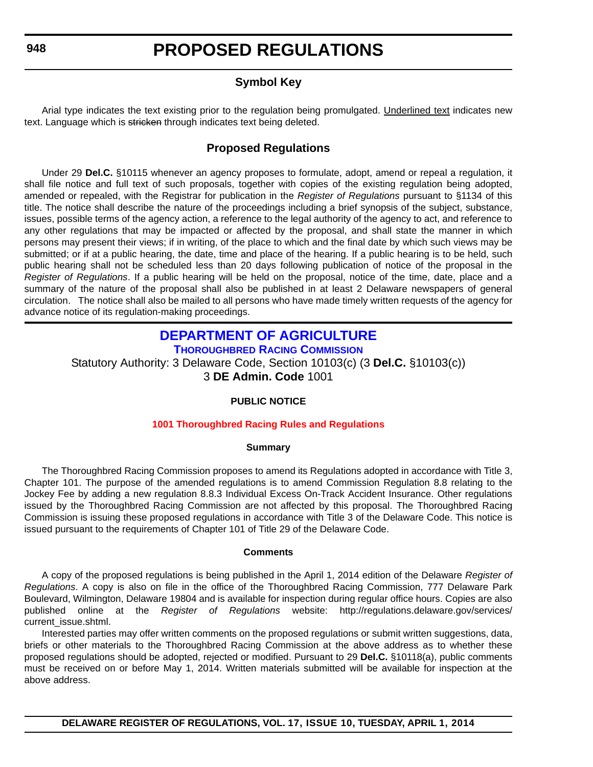### **Symbol Key**

<span id="page-13-0"></span>Arial type indicates the text existing prior to the regulation being promulgated. Underlined text indicates new text. Language which is stricken through indicates text being deleted.

### **Proposed Regulations**

Under 29 **Del.C.** §10115 whenever an agency proposes to formulate, adopt, amend or repeal a regulation, it shall file notice and full text of such proposals, together with copies of the existing regulation being adopted, amended or repealed, with the Registrar for publication in the *Register of Regulations* pursuant to §1134 of this title. The notice shall describe the nature of the proceedings including a brief synopsis of the subject, substance, issues, possible terms of the agency action, a reference to the legal authority of the agency to act, and reference to any other regulations that may be impacted or affected by the proposal, and shall state the manner in which persons may present their views; if in writing, of the place to which and the final date by which such views may be submitted; or if at a public hearing, the date, time and place of the hearing. If a public hearing is to be held, such public hearing shall not be scheduled less than 20 days following publication of notice of the proposal in the *Register of Regulations*. If a public hearing will be held on the proposal, notice of the time, date, place and a summary of the nature of the proposal shall also be published in at least 2 Delaware newspapers of general circulation. The notice shall also be mailed to all persons who have made timely written requests of the agency for advance notice of its regulation-making proceedings.

### **[DEPARTMENT OF AGRICULTURE](http://dda.delaware.gov/thoroughbred/index.shtml) THOROUGHBRED RACING COMMISSION**

Statutory Authority: 3 Delaware Code, Section 10103(c) (3 **Del.C.** §10103(c)) 3 **DE Admin. Code** 1001

### **PUBLIC NOTICE**

#### **[1001 Thoroughbred Racing Rules and Regulations](#page-3-0)**

#### **Summary**

The Thoroughbred Racing Commission proposes to amend its Regulations adopted in accordance with Title 3, Chapter 101. The purpose of the amended regulations is to amend Commission Regulation 8.8 relating to the Jockey Fee by adding a new regulation 8.8.3 Individual Excess On-Track Accident Insurance. Other regulations issued by the Thoroughbred Racing Commission are not affected by this proposal. The Thoroughbred Racing Commission is issuing these proposed regulations in accordance with Title 3 of the Delaware Code. This notice is issued pursuant to the requirements of Chapter 101 of Title 29 of the Delaware Code.

#### **Comments**

A copy of the proposed regulations is being published in the April 1, 2014 edition of the Delaware *Register of Regulations*. A copy is also on file in the office of the Thoroughbred Racing Commission, 777 Delaware Park Boulevard, Wilmington, Delaware 19804 and is available for inspection during regular office hours. Copies are also published online at the *Register of Regulations* website: http://regulations.delaware.gov/services/ current\_issue.shtml.

Interested parties may offer written comments on the proposed regulations or submit written suggestions, data, briefs or other materials to the Thoroughbred Racing Commission at the above address as to whether these proposed regulations should be adopted, rejected or modified. Pursuant to 29 **Del.C.** §10118(a), public comments must be received on or before May 1, 2014. Written materials submitted will be available for inspection at the above address.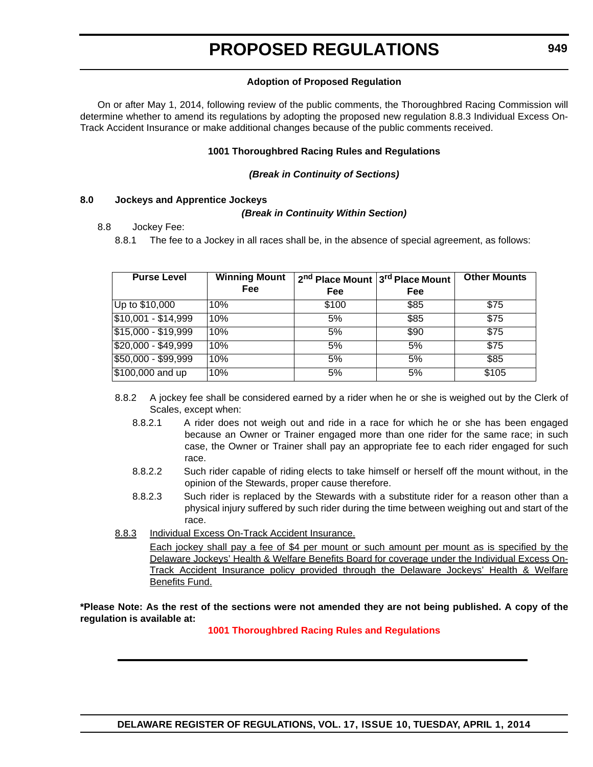#### **Adoption of Proposed Regulation**

On or after May 1, 2014, following review of the public comments, the Thoroughbred Racing Commission will determine whether to amend its regulations by adopting the proposed new regulation 8.8.3 Individual Excess On-Track Accident Insurance or make additional changes because of the public comments received.

#### **1001 Thoroughbred Racing Rules and Regulations**

#### *(Break in Continuity of Sections)*

#### **8.0 Jockeys and Apprentice Jockeys**

#### *(Break in Continuity Within Section)*

#### 8.8 Jockey Fee:

8.8.1 The fee to a Jockey in all races shall be, in the absence of special agreement, as follows:

| <b>Purse Level</b>  | <b>Winning Mount</b><br>Fee | 2 <sup>nd</sup> Place Mount 3 <sup>rd</sup> Place Mount |      | <b>Other Mounts</b> |
|---------------------|-----------------------------|---------------------------------------------------------|------|---------------------|
|                     |                             | Fee                                                     | Fee  |                     |
| Up to \$10,000      | 10%                         | \$100                                                   | \$85 | \$75                |
| $$10,001 - $14,999$ | 10%                         | 5%                                                      | \$85 | $\overline{$}75$    |
| $$15,000 - $19,999$ | 10%                         | 5%                                                      | \$90 | \$75                |
| $$20,000 - $49,999$ | 10%                         | 5%                                                      | 5%   | $\sqrt{$75}$        |
| $$50,000 - $99,999$ | 10%                         | 5%                                                      | 5%   | \$85                |
| \$100,000 and up    | 10%                         | 5%                                                      | 5%   | \$105               |

- 8.8.2 A jockey fee shall be considered earned by a rider when he or she is weighed out by the Clerk of Scales, except when:
	- 8.8.2.1 A rider does not weigh out and ride in a race for which he or she has been engaged because an Owner or Trainer engaged more than one rider for the same race; in such case, the Owner or Trainer shall pay an appropriate fee to each rider engaged for such race.
	- 8.8.2.2 Such rider capable of riding elects to take himself or herself off the mount without, in the opinion of the Stewards, proper cause therefore.
	- 8.8.2.3 Such rider is replaced by the Stewards with a substitute rider for a reason other than a physical injury suffered by such rider during the time between weighing out and start of the race.
- 8.8.3 Individual Excess On-Track Accident Insurance.

Each jockey shall pay a fee of \$4 per mount or such amount per mount as is specified by the Delaware Jockeys' Health & Welfare Benefits Board for coverage under the Individual Excess On-Track Accident Insurance policy provided through the Delaware Jockeys' Health & Welfare Benefits Fund.

**\*Please Note: As the rest of the sections were not amended they are not being published. A copy of the regulation is available at:**

**[1001 Thoroughbred Racing Rules and Regulations](http://regulations.delaware.gov/register/april2014/proposed/17 DE Reg 948 04-01-14.htm)**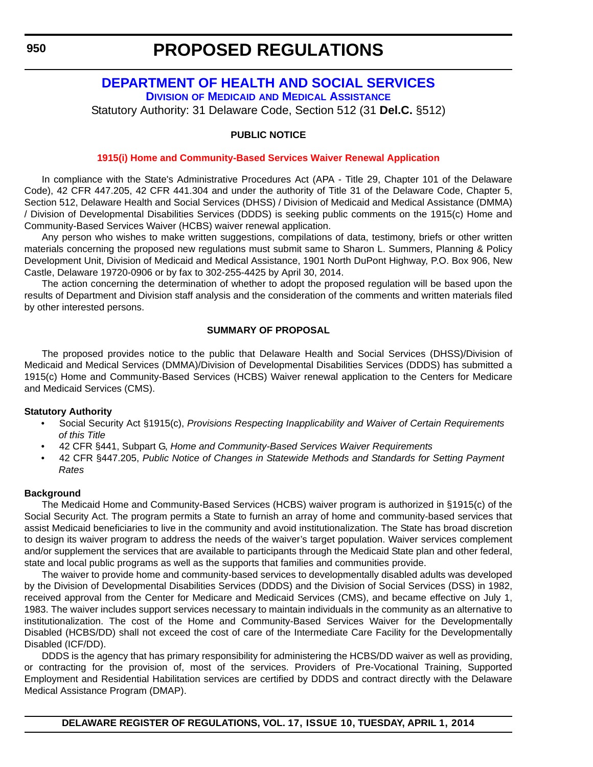### <span id="page-15-0"></span>**[DEPARTMENT OF HEALTH AND SOCIAL SERVICES](http://www.dhss.delaware.gov/dhss/dmma/) DIVISION OF MEDICAID AND MEDICAL ASSISTANCE**

Statutory Authority: 31 Delaware Code, Section 512 (31 **Del.C.** §512)

### **PUBLIC NOTICE**

#### **[1915\(i\) Home and Community-Based Services Waiver Renewal Application](#page-3-0)**

In compliance with the State's Administrative Procedures Act (APA - Title 29, Chapter 101 of the Delaware Code), 42 CFR 447.205, 42 CFR 441.304 and under the authority of Title 31 of the Delaware Code, Chapter 5, Section 512, Delaware Health and Social Services (DHSS) / Division of Medicaid and Medical Assistance (DMMA) / Division of Developmental Disabilities Services (DDDS) is seeking public comments on the 1915(c) Home and Community-Based Services Waiver (HCBS) waiver renewal application.

Any person who wishes to make written suggestions, compilations of data, testimony, briefs or other written materials concerning the proposed new regulations must submit same to Sharon L. Summers, Planning & Policy Development Unit, Division of Medicaid and Medical Assistance, 1901 North DuPont Highway, P.O. Box 906, New Castle, Delaware 19720-0906 or by fax to 302-255-4425 by April 30, 2014.

The action concerning the determination of whether to adopt the proposed regulation will be based upon the results of Department and Division staff analysis and the consideration of the comments and written materials filed by other interested persons.

#### **SUMMARY OF PROPOSAL**

The proposed provides notice to the public that Delaware Health and Social Services (DHSS)/Division of Medicaid and Medical Services (DMMA)/Division of Developmental Disabilities Services (DDDS) has submitted a 1915(c) Home and Community-Based Services (HCBS) Waiver renewal application to the Centers for Medicare and Medicaid Services (CMS).

#### **Statutory Authority**

- Social Security Act §1915(c), *Provisions Respecting Inapplicability and Waiver of Certain Requirements of this Title*
- 42 CFR §441, Subpart G, *Home and Community-Based Services Waiver Requirements*
- 42 CFR §447.205, *Public Notice of Changes in Statewide Methods and Standards for Setting Payment Rates*

#### **Background**

The Medicaid Home and Community-Based Services (HCBS) waiver program is authorized in §1915(c) of the Social Security Act. The program permits a State to furnish an array of home and community-based services that assist Medicaid beneficiaries to live in the community and avoid institutionalization. The State has broad discretion to design its waiver program to address the needs of the waiver's target population. Waiver services complement and/or supplement the services that are available to participants through the Medicaid State plan and other federal, state and local public programs as well as the supports that families and communities provide.

The waiver to provide home and community-based services to developmentally disabled adults was developed by the Division of Developmental Disabilities Services (DDDS) and the Division of Social Services (DSS) in 1982, received approval from the Center for Medicare and Medicaid Services (CMS), and became effective on July 1, 1983. The waiver includes support services necessary to maintain individuals in the community as an alternative to institutionalization. The cost of the Home and Community-Based Services Waiver for the Developmentally Disabled (HCBS/DD) shall not exceed the cost of care of the Intermediate Care Facility for the Developmentally Disabled (ICF/DD).

DDDS is the agency that has primary responsibility for administering the HCBS/DD waiver as well as providing, or contracting for the provision of, most of the services. Providers of Pre-Vocational Training, Supported Employment and Residential Habilitation services are certified by DDDS and contract directly with the Delaware Medical Assistance Program (DMAP).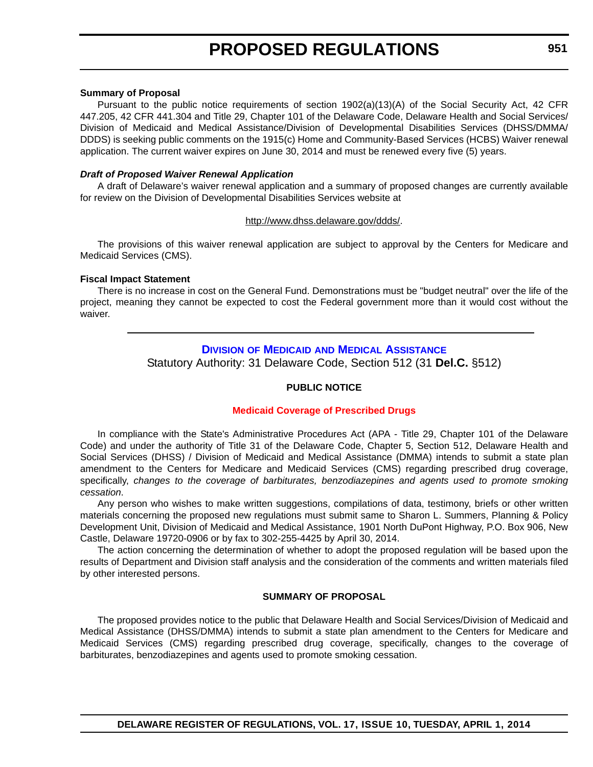#### <span id="page-16-0"></span>**Summary of Proposal**

Pursuant to the public notice requirements of section 1902(a)(13)(A) of the Social Security Act, 42 CFR 447.205, 42 CFR 441.304 and Title 29, Chapter 101 of the Delaware Code, Delaware Health and Social Services/ Division of Medicaid and Medical Assistance/Division of Developmental Disabilities Services (DHSS/DMMA/ DDDS) is seeking public comments on the 1915(c) Home and Community-Based Services (HCBS) Waiver renewal application. The current waiver expires on June 30, 2014 and must be renewed every five (5) years.

#### *Draft of Proposed Waiver Renewal Application*

A draft of Delaware's waiver renewal application and a summary of proposed changes are currently available for review on the Division of Developmental Disabilities Services website at

#### <http://www.dhss.delaware.gov/ddds/>.

The provisions of this waiver renewal application are subject to approval by the Centers for Medicare and Medicaid Services (CMS).

#### **Fiscal Impact Statement**

There is no increase in cost on the General Fund. Demonstrations must be "budget neutral" over the life of the project, meaning they cannot be expected to cost the Federal government more than it would cost without the waiver.

#### **DIVISION OF MEDICAID [AND MEDICAL ASSISTANCE](http://www.dhss.delaware.gov/dhss/dmma/)**

Statutory Authority: 31 Delaware Code, Section 512 (31 **Del.C.** §512)

#### **PUBLIC NOTICE**

#### **[Medicaid Coverage of Prescribed Drugs](#page-3-0)**

In compliance with the State's Administrative Procedures Act (APA - Title 29, Chapter 101 of the Delaware Code) and under the authority of Title 31 of the Delaware Code, Chapter 5, Section 512, Delaware Health and Social Services (DHSS) / Division of Medicaid and Medical Assistance (DMMA) intends to submit a state plan amendment to the Centers for Medicare and Medicaid Services (CMS) regarding prescribed drug coverage, specifically, *changes to the coverage of barbiturates, benzodiazepines and agents used to promote smoking cessation*.

Any person who wishes to make written suggestions, compilations of data, testimony, briefs or other written materials concerning the proposed new regulations must submit same to Sharon L. Summers, Planning & Policy Development Unit, Division of Medicaid and Medical Assistance, 1901 North DuPont Highway, P.O. Box 906, New Castle, Delaware 19720-0906 or by fax to 302-255-4425 by April 30, 2014.

The action concerning the determination of whether to adopt the proposed regulation will be based upon the results of Department and Division staff analysis and the consideration of the comments and written materials filed by other interested persons.

#### **SUMMARY OF PROPOSAL**

The proposed provides notice to the public that Delaware Health and Social Services/Division of Medicaid and Medical Assistance (DHSS/DMMA) intends to submit a state plan amendment to the Centers for Medicare and Medicaid Services (CMS) regarding prescribed drug coverage, specifically, changes to the coverage of barbiturates, benzodiazepines and agents used to promote smoking cessation.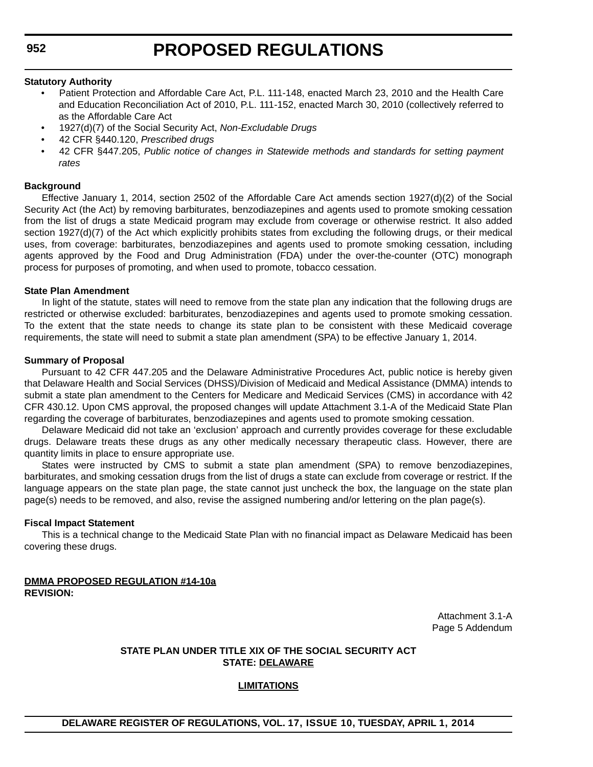#### **Statutory Authority**

- Patient Protection and Affordable Care Act, P.L. 111-148, enacted March 23, 2010 and the Health Care and Education Reconciliation Act of 2010, P.L. 111-152, enacted March 30, 2010 (collectively referred to as the Affordable Care Act
- 1927(d)(7) of the Social Security Act, *Non-Excludable Drugs*
- 42 CFR §440.120, *Prescribed drugs*
- 42 CFR §447.205, *Public notice of changes in Statewide methods and standards for setting payment rates*

#### **Background**

Effective January 1, 2014, section 2502 of the Affordable Care Act amends section 1927(d)(2) of the Social Security Act (the Act) by removing barbiturates, benzodiazepines and agents used to promote smoking cessation from the list of drugs a state Medicaid program may exclude from coverage or otherwise restrict. It also added section 1927(d)(7) of the Act which explicitly prohibits states from excluding the following drugs, or their medical uses, from coverage: barbiturates, benzodiazepines and agents used to promote smoking cessation, including agents approved by the Food and Drug Administration (FDA) under the over-the-counter (OTC) monograph process for purposes of promoting, and when used to promote, tobacco cessation.

#### **State Plan Amendment**

In light of the statute, states will need to remove from the state plan any indication that the following drugs are restricted or otherwise excluded: barbiturates, benzodiazepines and agents used to promote smoking cessation. To the extent that the state needs to change its state plan to be consistent with these Medicaid coverage requirements, the state will need to submit a state plan amendment (SPA) to be effective January 1, 2014.

#### **Summary of Proposal**

Pursuant to 42 CFR 447.205 and the Delaware Administrative Procedures Act, public notice is hereby given that Delaware Health and Social Services (DHSS)/Division of Medicaid and Medical Assistance (DMMA) intends to submit a state plan amendment to the Centers for Medicare and Medicaid Services (CMS) in accordance with 42 CFR 430.12. Upon CMS approval, the proposed changes will update Attachment 3.1-A of the Medicaid State Plan regarding the coverage of barbiturates, benzodiazepines and agents used to promote smoking cessation.

Delaware Medicaid did not take an 'exclusion' approach and currently provides coverage for these excludable drugs. Delaware treats these drugs as any other medically necessary therapeutic class. However, there are quantity limits in place to ensure appropriate use.

States were instructed by CMS to submit a state plan amendment (SPA) to remove benzodiazepines, barbiturates, and smoking cessation drugs from the list of drugs a state can exclude from coverage or restrict. If the language appears on the state plan page, the state cannot just uncheck the box, the language on the state plan page(s) needs to be removed, and also, revise the assigned numbering and/or lettering on the plan page(s).

#### **Fiscal Impact Statement**

This is a technical change to the Medicaid State Plan with no financial impact as Delaware Medicaid has been covering these drugs.

#### **DMMA PROPOSED REGULATION #14-10a REVISION:**

Attachment 3.1-A Page 5 Addendum

#### **STATE PLAN UNDER TITLE XIX OF THE SOCIAL SECURITY ACT STATE: DELAWARE**

#### **LIMITATIONS**

### **DELAWARE REGISTER OF REGULATIONS, VOL. 17, ISSUE 10, TUESDAY, APRIL 1, 2014**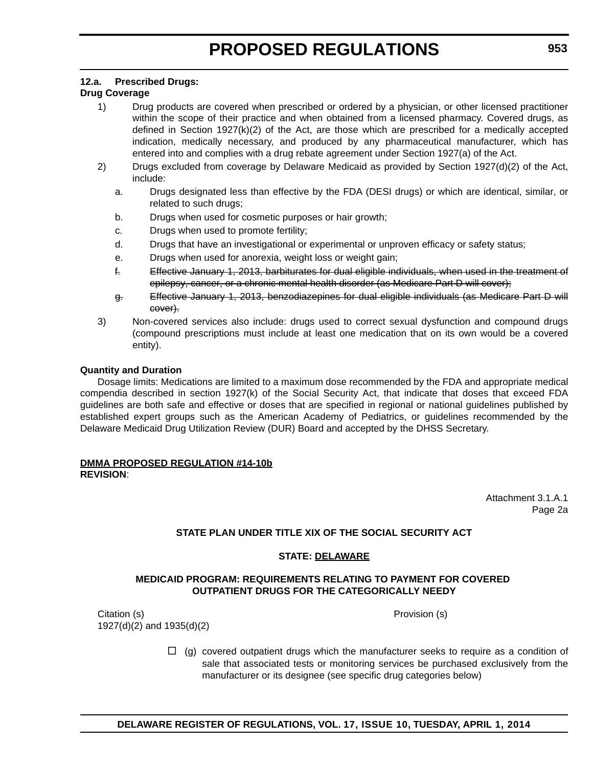#### **12.a. Prescribed Drugs:**

#### **Drug Coverage**

- 1) Drug products are covered when prescribed or ordered by a physician, or other licensed practitioner within the scope of their practice and when obtained from a licensed pharmacy. Covered drugs, as defined in Section 1927(k)(2) of the Act, are those which are prescribed for a medically accepted indication, medically necessary, and produced by any pharmaceutical manufacturer, which has entered into and complies with a drug rebate agreement under Section 1927(a) of the Act.
- 2) Drugs excluded from coverage by Delaware Medicaid as provided by Section 1927(d)(2) of the Act, include:
	- a. Drugs designated less than effective by the FDA (DESI drugs) or which are identical, similar, or related to such drugs;
	- b. Drugs when used for cosmetic purposes or hair growth;
	- c. Drugs when used to promote fertility;
	- d. Drugs that have an investigational or experimental or unproven efficacy or safety status;
	- e. Drugs when used for anorexia, weight loss or weight gain;
	- f. Effective January 1, 2013, barbiturates for dual eligible individuals, when used in the treatment of epilepsy, cancer, or a chronic mental health disorder (as Medicare Part D will cover);
	- g. Effective January 1, 2013, benzodiazepines for dual eligible individuals (as Medicare Part D will cover).
- 3) Non-covered services also include: drugs used to correct sexual dysfunction and compound drugs (compound prescriptions must include at least one medication that on its own would be a covered entity).

#### **Quantity and Duration**

Dosage limits: Medications are limited to a maximum dose recommended by the FDA and appropriate medical compendia described in section 1927(k) of the Social Security Act, that indicate that doses that exceed FDA guidelines are both safe and effective or doses that are specified in regional or national guidelines published by established expert groups such as the American Academy of Pediatrics, or guidelines recommended by the Delaware Medicaid Drug Utilization Review (DUR) Board and accepted by the DHSS Secretary.

#### **DMMA PROPOSED REGULATION #14-10b REVISION**:

Attachment 3.1.A.1 Page 2a

#### **STATE PLAN UNDER TITLE XIX OF THE SOCIAL SECURITY ACT**

#### **STATE: DELAWARE**

#### **MEDICAID PROGRAM: REQUIREMENTS RELATING TO PAYMENT FOR COVERED OUTPATIENT DRUGS FOR THE CATEGORICALLY NEEDY**

Citation (s) Provision (s) 1927(d)(2) and 1935(d)(2)

 $\Box$  (g) covered outpatient drugs which the manufacturer seeks to require as a condition of sale that associated tests or monitoring services be purchased exclusively from the manufacturer or its designee (see specific drug categories below)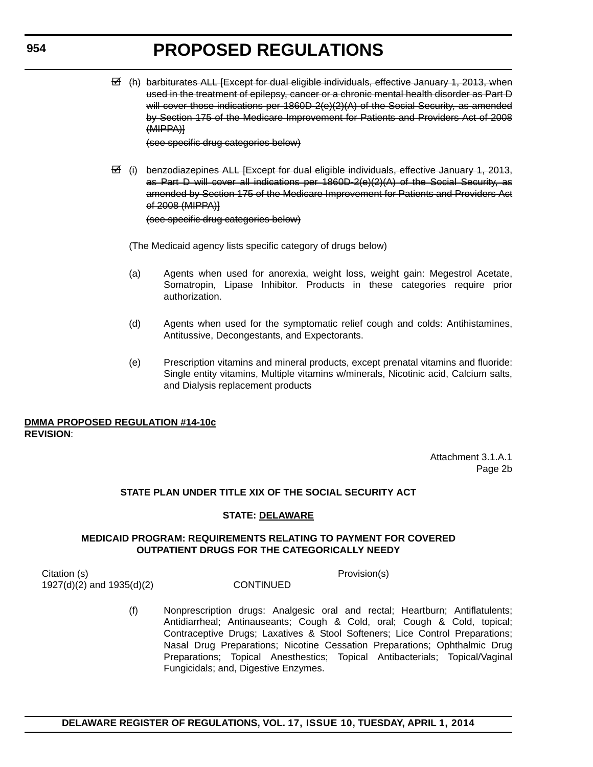$\overline{C}$  (h) barbiturates ALL [Except for dual eligible individuals, effective January 1, 2013, when used in the treatment of epilepsy, cancer or a chronic mental health disorder as Part D will cover those indications per 1860D-2(e)(2)(A) of the Social Security, as amended by Section 175 of the Medicare Improvement for Patients and Providers Act of 2008 (MIPPA)]

(see specific drug categories below)

 $\overline{B}$  (i) benzodiazepines ALL [Except for dual eligible individuals, effective January 1, 2013, as Part D will cover all indications per 1860D-2(e)(2)(A) of the Social Security, as amended by Section 175 of the Medicare Improvement for Patients and Providers Act of 2008 (MIPPA)] (see specific drug categories below)

(The Medicaid agency lists specific category of drugs below)

- (a) Agents when used for anorexia, weight loss, weight gain: Megestrol Acetate, Somatropin, Lipase Inhibitor. Products in these categories require prior authorization.
- (d) Agents when used for the symptomatic relief cough and colds: Antihistamines, Antitussive, Decongestants, and Expectorants.
- (e) Prescription vitamins and mineral products, except prenatal vitamins and fluoride: Single entity vitamins, Multiple vitamins w/minerals, Nicotinic acid, Calcium salts, and Dialysis replacement products

#### **DMMA PROPOSED REGULATION #14-10c REVISION**:

Attachment 3.1.A.1 Page 2b

### **STATE PLAN UNDER TITLE XIX OF THE SOCIAL SECURITY ACT**

#### **STATE: DELAWARE**

#### **MEDICAID PROGRAM: REQUIREMENTS RELATING TO PAYMENT FOR COVERED OUTPATIENT DRUGS FOR THE CATEGORICALLY NEEDY**

Citation (s) Provision(s) 1927(d)(2) and 1935(d)(2) CONTINUED

(f) Nonprescription drugs: Analgesic oral and rectal; Heartburn; Antiflatulents; Antidiarrheal; Antinauseants; Cough & Cold, oral; Cough & Cold, topical; Contraceptive Drugs; Laxatives & Stool Softeners; Lice Control Preparations; Nasal Drug Preparations; Nicotine Cessation Preparations; Ophthalmic Drug Preparations; Topical Anesthestics; Topical Antibacterials; Topical/Vaginal Fungicidals; and, Digestive Enzymes.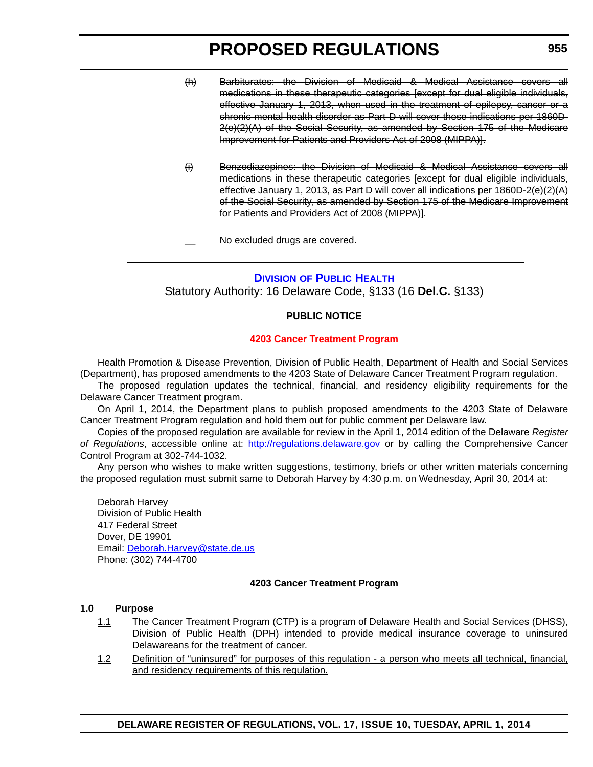- <span id="page-20-0"></span>(h) Barbiturates: the Division of Medicaid & Medical Assistance covers all medications in these therapeutic categories [except for dual eligible individuals, effective January 1, 2013, when used in the treatment of epilepsy, cancer or a chronic mental health disorder as Part D will cover those indications per 1860D-2(e)(2)(A) of the Social Security, as amended by Section 175 of the Medicare Improvement for Patients and Providers Act of 2008 (MIPPA)].
- (i) Benzodiazepines: the Division of Medicaid & Medical Assistance covers all medications in these therapeutic categories [except for dual eligible individuals, effective January 1, 2013, as Part D will cover all indications per 1860D-2(e)(2)(A) of the Social Security, as amended by Section 175 of the Medicare Improvement for Patients and Providers Act of 2008 (MIPPA)].

No excluded drugs are covered.

#### **DIVISION [OF PUBLIC HEALTH](http://www.dhss.delaware.gov/dhss/dph/index.html)**

Statutory Authority: 16 Delaware Code, §133 (16 **Del.C.** §133)

#### **PUBLIC NOTICE**

#### **[4203 Cancer Treatment Program](#page-3-0)**

Health Promotion & Disease Prevention, Division of Public Health, Department of Health and Social Services (Department), has proposed amendments to the 4203 State of Delaware Cancer Treatment Program regulation.

The proposed regulation updates the technical, financial, and residency eligibility requirements for the Delaware Cancer Treatment program.

On April 1, 2014, the Department plans to publish proposed amendments to the 4203 State of Delaware Cancer Treatment Program regulation and hold them out for public comment per Delaware law.

Copies of the proposed regulation are available for review in the April 1, 2014 edition of the Delaware *Register of Regulations*, accessible online at: http://regulations.delaware.gov or by calling the Comprehensive Cancer Control Program at 302-744-1032.

Any person who wishes to make written suggestions, testimony, briefs or other written materials concerning the proposed regulation must submit same to Deborah Harvey by 4:30 p.m. on Wednesday, April 30, 2014 at:

Deborah Harvey Division of Public Health 417 Federal Street Dover, DE 19901 Email: Deborah.Harvey@state.de.us Phone: (302) 744-4700

#### **4203 Cancer Treatment Program**

#### **1.0 Purpose**

- 1.1 The Cancer Treatment Program (CTP) is a program of Delaware Health and Social Services (DHSS), Division of Public Health (DPH) intended to provide medical insurance coverage to *uninsured* Delawareans for the treatment of cancer.
- 1.2 Definition of "uninsured" for purposes of this regulation a person who meets all technical, financial, and residency requirements of this regulation.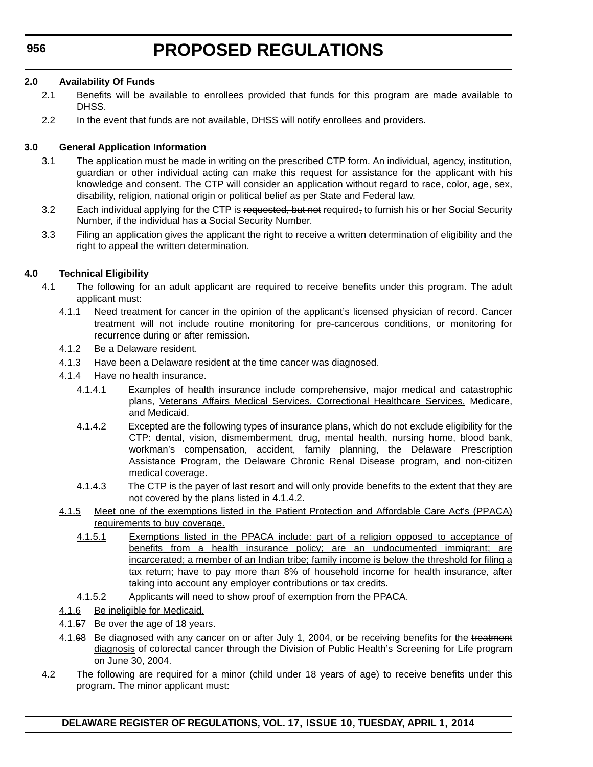#### **2.0 Availability Of Funds**

- 2.1 Benefits will be available to enrollees provided that funds for this program are made available to DHSS.
- 2.2 In the event that funds are not available, DHSS will notify enrollees and providers.

#### **3.0 General Application Information**

- 3.1 The application must be made in writing on the prescribed CTP form. An individual, agency, institution, guardian or other individual acting can make this request for assistance for the applicant with his knowledge and consent. The CTP will consider an application without regard to race, color, age, sex, disability, religion, national origin or political belief as per State and Federal law.
- 3.2 Each individual applying for the CTP is requested, but not required, to furnish his or her Social Security Number, if the individual has a Social Security Number.
- 3.3 Filing an application gives the applicant the right to receive a written determination of eligibility and the right to appeal the written determination.

#### **4.0 Technical Eligibility**

- 4.1 The following for an adult applicant are required to receive benefits under this program. The adult applicant must:
	- 4.1.1 Need treatment for cancer in the opinion of the applicant's licensed physician of record. Cancer treatment will not include routine monitoring for pre-cancerous conditions, or monitoring for recurrence during or after remission.
	- 4.1.2 Be a Delaware resident.
	- 4.1.3 Have been a Delaware resident at the time cancer was diagnosed.
	- 4.1.4 Have no health insurance.
		- 4.1.4.1 Examples of health insurance include comprehensive, major medical and catastrophic plans, Veterans Affairs Medical Services, Correctional Healthcare Services, Medicare, and Medicaid.
		- 4.1.4.2 Excepted are the following types of insurance plans, which do not exclude eligibility for the CTP: dental, vision, dismemberment, drug, mental health, nursing home, blood bank, workman's compensation, accident, family planning, the Delaware Prescription Assistance Program, the Delaware Chronic Renal Disease program, and non-citizen medical coverage.
		- 4.1.4.3 The CTP is the payer of last resort and will only provide benefits to the extent that they are not covered by the plans listed in 4.1.4.2.
	- 4.1.5 Meet one of the exemptions listed in the Patient Protection and Affordable Care Act's (PPACA) requirements to buy coverage.
		- 4.1.5.1 Exemptions listed in the PPACA include: part of a religion opposed to acceptance of benefits from a health insurance policy; are an undocumented immigrant; are incarcerated; a member of an Indian tribe; family income is below the threshold for filing a tax return; have to pay more than 8% of household income for health insurance, after taking into account any employer contributions or tax credits.
		- 4.1.5.2 Applicants will need to show proof of exemption from the PPACA.
	- 4.1.6 Be ineligible for Medicaid.
	- 4.1.57 Be over the age of 18 years.
	- 4.1.68 Be diagnosed with any cancer on or after July 1, 2004, or be receiving benefits for the treatment diagnosis of colorectal cancer through the Division of Public Health's Screening for Life program on June 30, 2004.
- 4.2 The following are required for a minor (child under 18 years of age) to receive benefits under this program. The minor applicant must: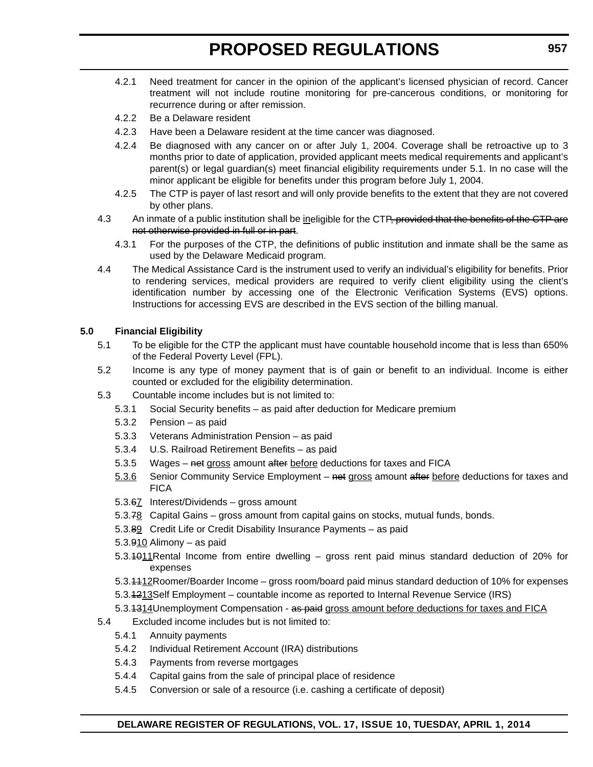- 4.2.1 Need treatment for cancer in the opinion of the applicant's licensed physician of record. Cancer treatment will not include routine monitoring for pre-cancerous conditions, or monitoring for recurrence during or after remission.
- 4.2.2 Be a Delaware resident
- 4.2.3 Have been a Delaware resident at the time cancer was diagnosed.
- 4.2.4 Be diagnosed with any cancer on or after July 1, 2004. Coverage shall be retroactive up to 3 months prior to date of application, provided applicant meets medical requirements and applicant's parent(s) or legal guardian(s) meet financial eligibility requirements under 5.1. In no case will the minor applicant be eligible for benefits under this program before July 1, 2004.
- 4.2.5 The CTP is payer of last resort and will only provide benefits to the extent that they are not covered by other plans.
- 4.3 An inmate of a public institution shall be ineligible for the CTP, provided that the benefits of the CTP are not otherwise provided in full or in part.
	- 4.3.1 For the purposes of the CTP, the definitions of public institution and inmate shall be the same as used by the Delaware Medicaid program.
- 4.4 The Medical Assistance Card is the instrument used to verify an individual's eligibility for benefits. Prior to rendering services, medical providers are required to verify client eligibility using the client's identification number by accessing one of the Electronic Verification Systems (EVS) options. Instructions for accessing EVS are described in the EVS section of the billing manual.

#### **5.0 Financial Eligibility**

- 5.1 To be eligible for the CTP the applicant must have countable household income that is less than 650% of the Federal Poverty Level (FPL).
- 5.2 Income is any type of money payment that is of gain or benefit to an individual. Income is either counted or excluded for the eligibility determination.
- 5.3 Countable income includes but is not limited to:
	- 5.3.1 Social Security benefits as paid after deduction for Medicare premium
	- 5.3.2 Pension as paid
	- 5.3.3 Veterans Administration Pension as paid
	- 5.3.4 U.S. Railroad Retirement Benefits as paid
	- 5.3.5 Wages net gross amount after before deductions for taxes and FICA
	- 5.3.6 Senior Community Service Employment net gross amount after before deductions for taxes and **FICA**
	- 5.3.67 Interest/Dividends gross amount
	- 5.3.78 Capital Gains gross amount from capital gains on stocks, mutual funds, bonds.
	- 5.3.89 Credit Life or Credit Disability Insurance Payments as paid
	- 5.3.910 Alimony as paid
	- 5.3.1011Rental Income from entire dwelling gross rent paid minus standard deduction of 20% for expenses
	- 5.3.1112Roomer/Boarder Income gross room/board paid minus standard deduction of 10% for expenses
	- 5.3.4213Self Employment countable income as reported to Internal Revenue Service (IRS)
	- 5.3.4314Unemployment Compensation as paid gross amount before deductions for taxes and FICA
- 5.4 Excluded income includes but is not limited to:
	- 5.4.1 Annuity payments
	- 5.4.2 Individual Retirement Account (IRA) distributions
	- 5.4.3 Payments from reverse mortgages
	- 5.4.4 Capital gains from the sale of principal place of residence
	- 5.4.5 Conversion or sale of a resource (i.e. cashing a certificate of deposit)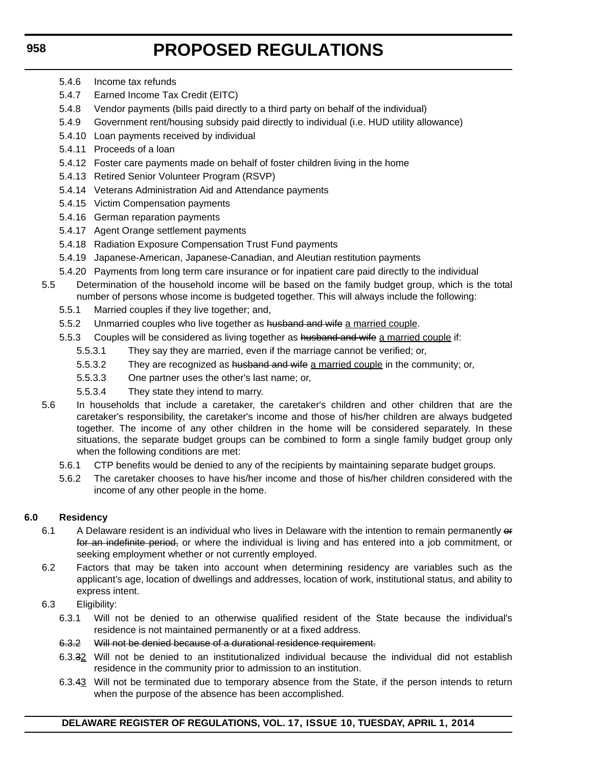- 5.4.6 Income tax refunds
- 5.4.7 Earned Income Tax Credit (EITC)
- 5.4.8 Vendor payments (bills paid directly to a third party on behalf of the individual)
- 5.4.9 Government rent/housing subsidy paid directly to individual (i.e. HUD utility allowance)
- 5.4.10 Loan payments received by individual
- 5.4.11 Proceeds of a loan
- 5.4.12 Foster care payments made on behalf of foster children living in the home
- 5.4.13 Retired Senior Volunteer Program (RSVP)
- 5.4.14 Veterans Administration Aid and Attendance payments
- 5.4.15 Victim Compensation payments
- 5.4.16 German reparation payments
- 5.4.17 Agent Orange settlement payments
- 5.4.18 Radiation Exposure Compensation Trust Fund payments
- 5.4.19 Japanese-American, Japanese-Canadian, and Aleutian restitution payments
- 5.4.20 Payments from long term care insurance or for inpatient care paid directly to the individual
- 5.5 Determination of the household income will be based on the family budget group, which is the total number of persons whose income is budgeted together. This will always include the following:
	- 5.5.1 Married couples if they live together; and,
	- 5.5.2 Unmarried couples who live together as husband and wife a married couple.
	- 5.5.3 Couples will be considered as living together as husband and wife a married couple if:
		- 5.5.3.1 They say they are married, even if the marriage cannot be verified; or,
		- 5.5.3.2 They are recognized as husband and wife a married couple in the community; or,
		- 5.5.3.3 One partner uses the other's last name; or,
		- 5.5.3.4 They state they intend to marry.
- 5.6 In households that include a caretaker, the caretaker's children and other children that are the caretaker's responsibility, the caretaker's income and those of his/her children are always budgeted together. The income of any other children in the home will be considered separately. In these situations, the separate budget groups can be combined to form a single family budget group only when the following conditions are met:
	- 5.6.1 CTP benefits would be denied to any of the recipients by maintaining separate budget groups.
	- 5.6.2 The caretaker chooses to have his/her income and those of his/her children considered with the income of any other people in the home.

### **6.0 Residency**

- 6.1 A Delaware resident is an individual who lives in Delaware with the intention to remain permanently or for an indefinite period, or where the individual is living and has entered into a job commitment, or seeking employment whether or not currently employed.
- 6.2 Factors that may be taken into account when determining residency are variables such as the applicant's age, location of dwellings and addresses, location of work, institutional status, and ability to express intent.
- 6.3 Eligibility:
	- 6.3.1 Will not be denied to an otherwise qualified resident of the State because the individual's residence is not maintained permanently or at a fixed address.
	- 6.3.2 Will not be denied because of a durational residence requirement.
	- 6.3.32 Will not be denied to an institutionalized individual because the individual did not establish residence in the community prior to admission to an institution.
	- 6.3.43 Will not be terminated due to temporary absence from the State, if the person intends to return when the purpose of the absence has been accomplished.

### **DELAWARE REGISTER OF REGULATIONS, VOL. 17, ISSUE 10, TUESDAY, APRIL 1, 2014**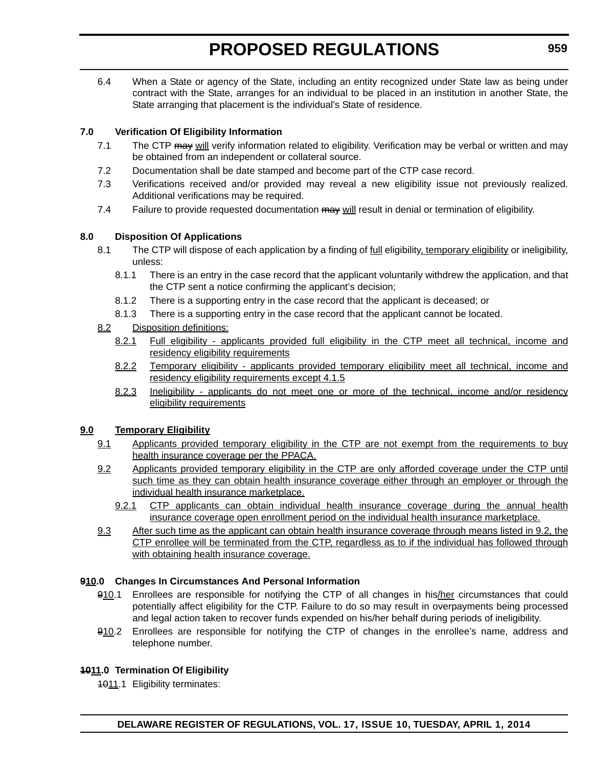6.4 When a State or agency of the State, including an entity recognized under State law as being under contract with the State, arranges for an individual to be placed in an institution in another State, the State arranging that placement is the individual's State of residence.

### **7.0 Verification Of Eligibility Information**

- 7.1 The CTP may will verify information related to eligibility. Verification may be verbal or written and may be obtained from an independent or collateral source.
- 7.2 Documentation shall be date stamped and become part of the CTP case record.
- 7.3 Verifications received and/or provided may reveal a new eligibility issue not previously realized. Additional verifications may be required.
- 7.4 Failure to provide requested documentation may will result in denial or termination of eligibility.

### **8.0 Disposition Of Applications**

- 8.1 The CTP will dispose of each application by a finding of full eligibility, temporary eligibility or ineligibility, unless:
	- 8.1.1 There is an entry in the case record that the applicant voluntarily withdrew the application, and that the CTP sent a notice confirming the applicant's decision;
	- 8.1.2 There is a supporting entry in the case record that the applicant is deceased; or
	- 8.1.3 There is a supporting entry in the case record that the applicant cannot be located.

### 8.2 Disposition definitions:

- 8.2.1 Full eligibility applicants provided full eligibility in the CTP meet all technical, income and residency eligibility requirements
- 8.2.2 Temporary eligibility applicants provided temporary eligibility meet all technical, income and residency eligibility requirements except 4.1.5
- 8.2.3 Ineligibility applicants do not meet one or more of the technical, income and/or residency eligibility requirements

### **9.0 Temporary Eligibility**

- 9.1 Applicants provided temporary eligibility in the CTP are not exempt from the requirements to buy health insurance coverage per the PPACA.
- 9.2 Applicants provided temporary eligibility in the CTP are only afforded coverage under the CTP until such time as they can obtain health insurance coverage either through an employer or through the individual health insurance marketplace.
	- 9.2.1 CTP applicants can obtain individual health insurance coverage during the annual health insurance coverage open enrollment period on the individual health insurance marketplace.
- 9.3 After such time as the applicant can obtain health insurance coverage through means listed in 9.2, the CTP enrollee will be terminated from the CTP, regardless as to if the individual has followed through with obtaining health insurance coverage.

### **910.0 Changes In Circumstances And Personal Information**

- 910.1 Enrollees are responsible for notifying the CTP of all changes in his/her circumstances that could potentially affect eligibility for the CTP. Failure to do so may result in overpayments being processed and legal action taken to recover funds expended on his/her behalf during periods of ineligibility.
- 910.2 Enrollees are responsible for notifying the CTP of changes in the enrollee's name, address and telephone number.

### **1011.0 Termination Of Eligibility**

1011.1 Eligibility terminates: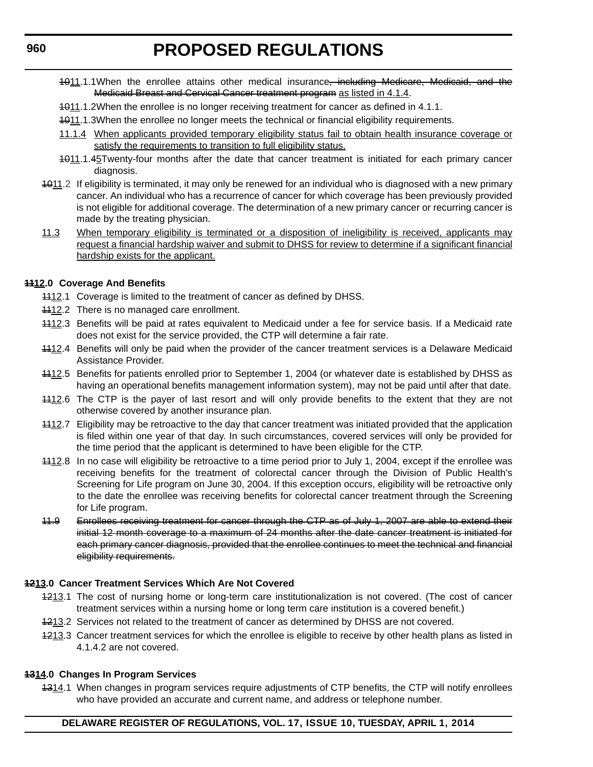- 1011.1.1When the enrollee attains other medical insurance<del>, including Medicare, Medicaid, and the</del> Medicaid Breast and Cervical Cancer treatment program as listed in 4.1.4.
- 1011.1.2When the enrollee is no longer receiving treatment for cancer as defined in 4.1.1.
- 1011.1.3When the enrollee no longer meets the technical or financial eligibility requirements.
- 11.1.4 When applicants provided temporary eligibility status fail to obtain health insurance coverage or satisfy the requirements to transition to full eligibility status.
- 4011.1.45Twenty-four months after the date that cancer treatment is initiated for each primary cancer diagnosis.
- 1011.2 If eligibility is terminated, it may only be renewed for an individual who is diagnosed with a new primary cancer. An individual who has a recurrence of cancer for which coverage has been previously provided is not eligible for additional coverage. The determination of a new primary cancer or recurring cancer is made by the treating physician.
- 11.3 When temporary eligibility is terminated or a disposition of ineligibility is received, applicants may request a financial hardship waiver and submit to DHSS for review to determine if a significant financial hardship exists for the applicant.

#### **1112.0 Coverage And Benefits**

- 4412.1 Coverage is limited to the treatment of cancer as defined by DHSS.
- 4412.2 There is no managed care enrollment.
- 1112.3 Benefits will be paid at rates equivalent to Medicaid under a fee for service basis. If a Medicaid rate does not exist for the service provided, the CTP will determine a fair rate.
- 1112.4 Benefits will only be paid when the provider of the cancer treatment services is a Delaware Medicaid Assistance Provider.
- 4412.5 Benefits for patients enrolled prior to September 1, 2004 (or whatever date is established by DHSS as having an operational benefits management information system), may not be paid until after that date.
- 1112.6 The CTP is the payer of last resort and will only provide benefits to the extent that they are not otherwise covered by another insurance plan.
- 1112.7 Eligibility may be retroactive to the day that cancer treatment was initiated provided that the application is filed within one year of that day. In such circumstances, covered services will only be provided for the time period that the applicant is determined to have been eligible for the CTP.
- 4412.8 In no case will eligibility be retroactive to a time period prior to July 1, 2004, except if the enrollee was receiving benefits for the treatment of colorectal cancer through the Division of Public Health's Screening for Life program on June 30, 2004. If this exception occurs, eligibility will be retroactive only to the date the enrollee was receiving benefits for colorectal cancer treatment through the Screening for Life program.
- 11.9 Enrollees receiving treatment for cancer through the CTP as of July 1, 2007 are able to extend their initial 12 month coverage to a maximum of 24 months after the date cancer treatment is initiated for each primary cancer diagnosis, provided that the enrollee continues to meet the technical and financial eligibility requirements.

### **1213.0 Cancer Treatment Services Which Are Not Covered**

- 4213.1 The cost of nursing home or long-term care institutionalization is not covered. (The cost of cancer treatment services within a nursing home or long term care institution is a covered benefit.)
- 4213.2 Services not related to the treatment of cancer as determined by DHSS are not covered.
- 4213.3 Cancer treatment services for which the enrollee is eligible to receive by other health plans as listed in 4.1.4.2 are not covered.

#### **1314.0 Changes In Program Services**

4314.1 When changes in program services require adjustments of CTP benefits, the CTP will notify enrollees who have provided an accurate and current name, and address or telephone number.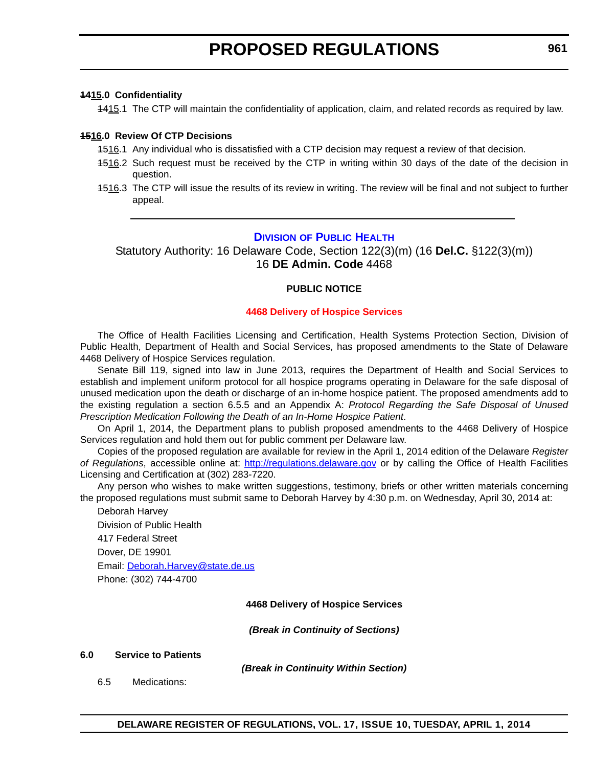#### <span id="page-26-0"></span>**1415.0 Confidentiality**

1415.1 The CTP will maintain the confidentiality of application, claim, and related records as required by law.

#### **1516.0 Review Of CTP Decisions**

- 4516.1 Any individual who is dissatisfied with a CTP decision may request a review of that decision.
- 1516.2 Such request must be received by the CTP in writing within 30 days of the date of the decision in question.
- 4516.3 The CTP will issue the results of its review in writing. The review will be final and not subject to further appeal.

#### **DIVISION [OF PUBLIC HEALTH](http://www.dhss.delaware.gov/dhss/dph/index.html)**

Statutory Authority: 16 Delaware Code, Section 122(3)(m) (16 **Del.C.** §122(3)(m)) 16 **DE Admin. Code** 4468

#### **PUBLIC NOTICE**

#### **[4468 Delivery of Hospice Services](#page-3-0)**

The Office of Health Facilities Licensing and Certification, Health Systems Protection Section, Division of Public Health, Department of Health and Social Services, has proposed amendments to the State of Delaware 4468 Delivery of Hospice Services regulation.

Senate Bill 119, signed into law in June 2013, requires the Department of Health and Social Services to establish and implement uniform protocol for all hospice programs operating in Delaware for the safe disposal of unused medication upon the death or discharge of an in-home hospice patient. The proposed amendments add to the existing regulation a section 6.5.5 and an Appendix A: *Protocol Regarding the Safe Disposal of Unused Prescription Medication Following the Death of an In-Home Hospice Patient*.

On April 1, 2014, the Department plans to publish proposed amendments to the 4468 Delivery of Hospice Services regulation and hold them out for public comment per Delaware law.

Copies of the proposed regulation are available for review in the April 1, 2014 edition of the Delaware *Register of Regulations*, accessible online at: <http://regulations.delaware.gov>or by calling the Office of Health Facilities Licensing and Certification at (302) 283-7220.

Any person who wishes to make written suggestions, testimony, briefs or other written materials concerning the proposed regulations must submit same to Deborah Harvey by 4:30 p.m. on Wednesday, April 30, 2014 at:

Deborah Harvey Division of Public Health 417 Federal Street Dover, DE 19901 Email: [Deborah.Harvey@state.de.us](mailto:Deborah.Harvey@state.de.us) Phone: (302) 744-4700

#### **4468 Delivery of Hospice Services**

*(Break in Continuity of Sections)*

#### **6.0 Service to Patients**

*(Break in Continuity Within Section)*

6.5 Medications: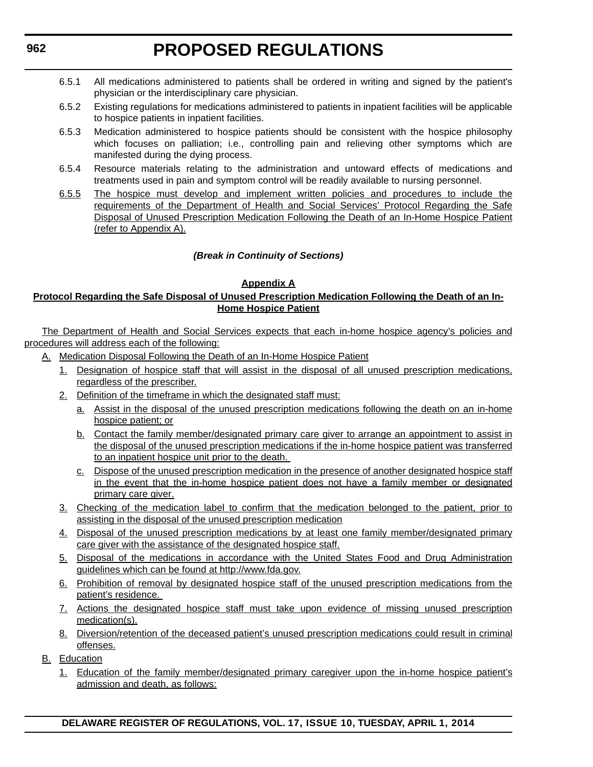- 6.5.1 All medications administered to patients shall be ordered in writing and signed by the patient's physician or the interdisciplinary care physician.
- 6.5.2 Existing regulations for medications administered to patients in inpatient facilities will be applicable to hospice patients in inpatient facilities.
- 6.5.3 Medication administered to hospice patients should be consistent with the hospice philosophy which focuses on palliation; i.e., controlling pain and relieving other symptoms which are manifested during the dying process.
- 6.5.4 Resource materials relating to the administration and untoward effects of medications and treatments used in pain and symptom control will be readily available to nursing personnel.
- 6.5.5 The hospice must develop and implement written policies and procedures to include the requirements of the Department of Health and Social Services' Protocol Regarding the Safe Disposal of Unused Prescription Medication Following the Death of an In-Home Hospice Patient (refer to Appendix A).

### *(Break in Continuity of Sections)*

#### **Appendix A**

#### **Protocol Regarding the Safe Disposal of Unused Prescription Medication Following the Death of an In-Home Hospice Patient**

The Department of Health and Social Services expects that each in-home hospice agency's policies and procedures will address each of the following:

- A. Medication Disposal Following the Death of an In-Home Hospice Patient
	- 1. Designation of hospice staff that will assist in the disposal of all unused prescription medications, regardless of the prescriber.
	- 2. Definition of the timeframe in which the designated staff must:
		- a. Assist in the disposal of the unused prescription medications following the death on an in-home hospice patient; or
		- b. Contact the family member/designated primary care giver to arrange an appointment to assist in the disposal of the unused prescription medications if the in-home hospice patient was transferred to an inpatient hospice unit prior to the death.
		- c. Dispose of the unused prescription medication in the presence of another designated hospice staff in the event that the in-home hospice patient does not have a family member or designated primary care giver.
	- 3. Checking of the medication label to confirm that the medication belonged to the patient, prior to assisting in the disposal of the unused prescription medication
	- 4. Disposal of the unused prescription medications by at least one family member/designated primary care giver with the assistance of the designated hospice staff.
	- 5. Disposal of the medications in accordance with the United States Food and Drug Administration guidelines which can be found at http://www.fda.gov.
	- 6. Prohibition of removal by designated hospice staff of the unused prescription medications from the patient's residence.
	- 7. Actions the designated hospice staff must take upon evidence of missing unused prescription medication(s).
	- 8. Diversion/retention of the deceased patient's unused prescription medications could result in criminal offenses.
- B. Education
	- 1. Education of the family member/designated primary caregiver upon the in-home hospice patient's admission and death, as follows: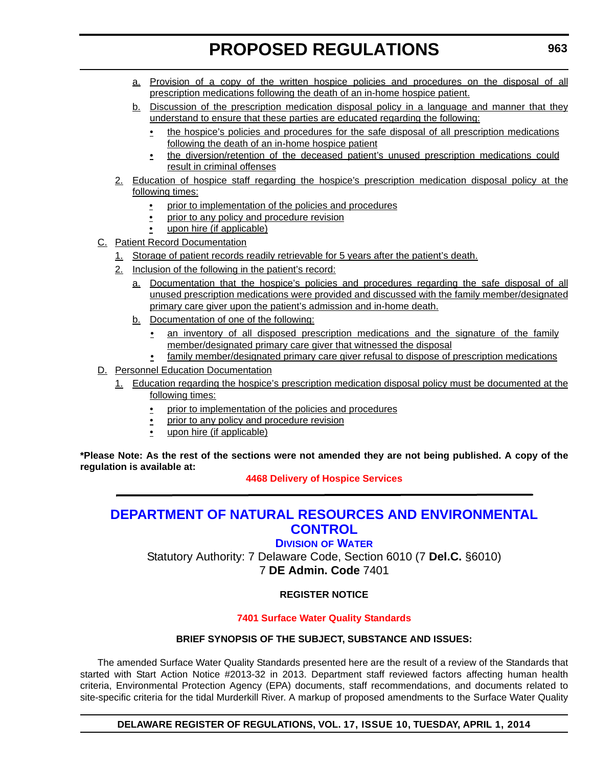- <span id="page-28-0"></span>a. Provision of a copy of the written hospice policies and procedures on the disposal of all prescription medications following the death of an in-home hospice patient.
- b. Discussion of the prescription medication disposal policy in a language and manner that they understand to ensure that these parties are educated regarding the following:
	- the hospice's policies and procedures for the safe disposal of all prescription medications following the death of an in-home hospice patient
	- the diversion/retention of the deceased patient's unused prescription medications could result in criminal offenses
- 2. Education of hospice staff regarding the hospice's prescription medication disposal policy at the following times:
	- prior to implementation of the policies and procedures
	- prior to any policy and procedure revision
	- upon hire (if applicable)
- C. Patient Record Documentation
	- 1. Storage of patient records readily retrievable for 5 years after the patient's death.
	- 2. Inclusion of the following in the patient's record:
		- a. Documentation that the hospice's policies and procedures regarding the safe disposal of all unused prescription medications were provided and discussed with the family member/designated primary care giver upon the patient's admission and in-home death.
		- b. Documentation of one of the following:
			- an inventory of all disposed prescription medications and the signature of the family member/designated primary care giver that witnessed the disposal
			- family member/designated primary care giver refusal to dispose of prescription medications
- D. Personnel Education Documentation
	- 1. Education regarding the hospice's prescription medication disposal policy must be documented at the following times:
		- prior to implementation of the policies and procedures
		- prior to any policy and procedure revision
		- upon hire (if applicable)

**\*Please Note: As the rest of the sections were not amended they are not being published. A copy of the regulation is available at:**

### **[4468 Delivery of Hospice Services](http://regulations.delaware.gov/register/april2014/proposed/17 DE Reg 961 04-01-14.htm)**

### **[DEPARTMENT OF NATURAL RESOURCES AND ENVIRONMENTAL](http://www.dnrec.delaware.gov/wr/Pages/Default.aspx)  CONTROL**

### **DIVISION OF WATER**

Statutory Authority: 7 Delaware Code, Section 6010 (7 **Del.C.** §6010) 7 **DE Admin. Code** 7401

### **REGISTER NOTICE**

### **[7401 Surface Water Quality Standards](#page-3-0)**

#### **BRIEF SYNOPSIS OF THE SUBJECT, SUBSTANCE AND ISSUES:**

The amended Surface Water Quality Standards presented here are the result of a review of the Standards that started with Start Action Notice #2013-32 in 2013. Department staff reviewed factors affecting human health criteria, Environmental Protection Agency (EPA) documents, staff recommendations, and documents related to site-specific criteria for the tidal Murderkill River. A markup of proposed amendments to the Surface Water Quality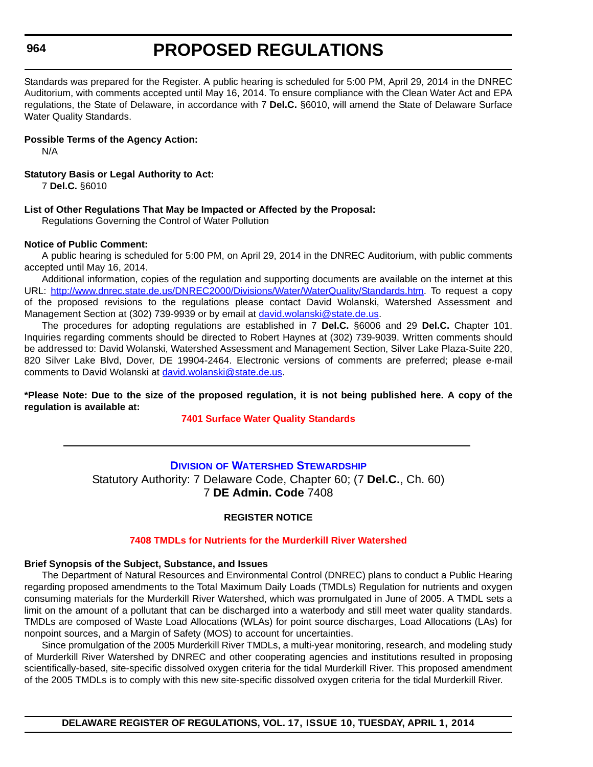#### <span id="page-29-0"></span>**964**

# **PROPOSED REGULATIONS**

Standards was prepared for the Register. A public hearing is scheduled for 5:00 PM, April 29, 2014 in the DNREC Auditorium, with comments accepted until May 16, 2014. To ensure compliance with the Clean Water Act and EPA regulations, the State of Delaware, in accordance with 7 **Del.C.** §6010, will amend the State of Delaware Surface Water Quality Standards.

#### **Possible Terms of the Agency Action:**

N/A

#### **Statutory Basis or Legal Authority to Act:**

7 **Del.C.** §6010

#### **List of Other Regulations That May be Impacted or Affected by the Proposal:**

Regulations Governing the Control of Water Pollution

#### **Notice of Public Comment:**

A public hearing is scheduled for 5:00 PM, on April 29, 2014 in the DNREC Auditorium, with public comments accepted until May 16, 2014.

Additional information, copies of the regulation and supporting documents are available on the internet at this URL: [http://www.dnrec.state.de.us/DNREC2000/Divisions/Water/WaterQuality/Standards.htm.](http://www.dnrec.state.de.us/DNREC2000/Divisions/Water/WaterQuality/Standards.htm) To request a copy of the proposed revisions to the regulations please contact David Wolanski, Watershed Assessment and Management Section at (302) 739-9939 or by email at [david.wolanski@state.de.us](mailto:david.wolanski@state.de.us).

The procedures for adopting regulations are established in 7 **Del.C.** §6006 and 29 **Del.C.** Chapter 101. Inquiries regarding comments should be directed to Robert Haynes at (302) 739-9039. Written comments should be addressed to: David Wolanski, Watershed Assessment and Management Section, Silver Lake Plaza-Suite 220, 820 Silver Lake Blvd, Dover, DE 19904-2464. Electronic versions of comments are preferred; please e-mail comments to David Wolanski at [david.wolanski@state.de.us](mailto:david.wolanski@state.de.us).

**\*Please Note: Due to the size of the proposed regulation, it is not being published here. A copy of the regulation is available at:**

#### **[7401 Surface Water Quality Standards](http://regulations.delaware.gov/register/april2014/proposed/17 DE Reg 963 04-01-14.htm)**

### **DIVISION [OF WATERSHED STEWARDSHIP](http://www.dnrec.delaware.gov/swc/Pages/portal.aspx)** Statutory Authority: 7 Delaware Code, Chapter 60; (7 **Del.C.**, Ch. 60) 7 **DE Admin. Code** 7408

#### **REGISTER NOTICE**

#### **[7408 TMDLs for Nutrients for the Murderkill River Watershed](#page-3-0)**

#### **Brief Synopsis of the Subject, Substance, and Issues**

The Department of Natural Resources and Environmental Control (DNREC) plans to conduct a Public Hearing regarding proposed amendments to the Total Maximum Daily Loads (TMDLs) Regulation for nutrients and oxygen consuming materials for the Murderkill River Watershed, which was promulgated in June of 2005. A TMDL sets a limit on the amount of a pollutant that can be discharged into a waterbody and still meet water quality standards. TMDLs are composed of Waste Load Allocations (WLAs) for point source discharges, Load Allocations (LAs) for nonpoint sources, and a Margin of Safety (MOS) to account for uncertainties.

Since promulgation of the 2005 Murderkill River TMDLs, a multi-year monitoring, research, and modeling study of Murderkill River Watershed by DNREC and other cooperating agencies and institutions resulted in proposing scientifically-based, site-specific dissolved oxygen criteria for the tidal Murderkill River. This proposed amendment of the 2005 TMDLs is to comply with this new site-specific dissolved oxygen criteria for the tidal Murderkill River.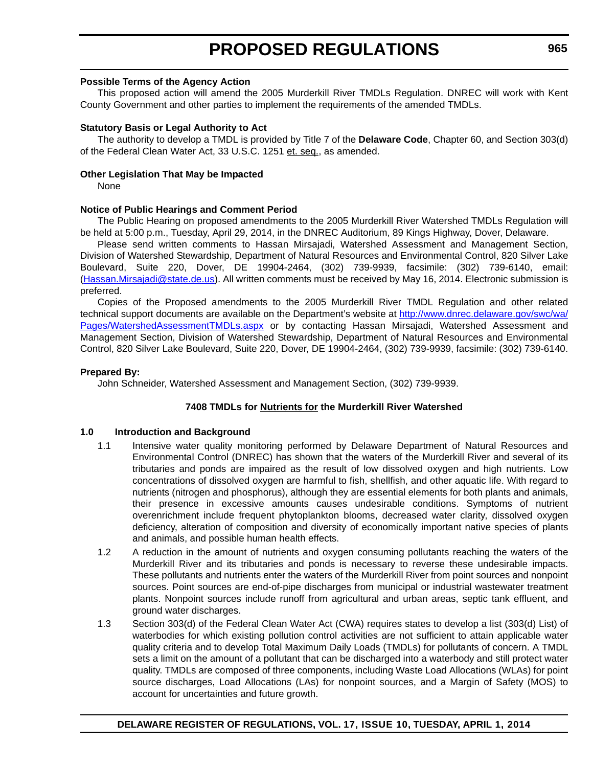#### **Possible Terms of the Agency Action**

This proposed action will amend the 2005 Murderkill River TMDLs Regulation. DNREC will work with Kent County Government and other parties to implement the requirements of the amended TMDLs.

#### **Statutory Basis or Legal Authority to Act**

The authority to develop a TMDL is provided by Title 7 of the **Delaware Code**, Chapter 60, and Section 303(d) of the Federal Clean Water Act, 33 U.S.C. 1251 et. seq., as amended.

#### **Other Legislation That May be Impacted**

None

#### **Notice of Public Hearings and Comment Period**

The Public Hearing on proposed amendments to the 2005 Murderkill River Watershed TMDLs Regulation will be held at 5:00 p.m., Tuesday, April 29, 2014, in the DNREC Auditorium, 89 Kings Highway, Dover, Delaware.

Please send written comments to Hassan Mirsajadi, Watershed Assessment and Management Section, Division of Watershed Stewardship, Department of Natural Resources and Environmental Control, 820 Silver Lake Boulevard, Suite 220, Dover, DE 19904-2464, (302) 739-9939, facsimile: (302) 739-6140, email: (Hassan.Mirsajadi@state.de.us). All written comments must be received by May 16, 2014. Electronic submission is preferred.

Copies of the Proposed amendments to the 2005 Murderkill River TMDL Regulation and other related technical support documents are available on the Department's website at [http://www.dnrec.delaware.gov/swc/wa/](http://www.dnrec.delaware.gov/swc/wa/Pages/WatershedAssessmentTMDLs.aspx) [Pages/WatershedAssessmentTMDLs.aspx](http://www.dnrec.delaware.gov/swc/wa/Pages/WatershedAssessmentTMDLs.aspx) or by contacting Hassan Mirsajadi, Watershed Assessment and Management Section, Division of Watershed Stewardship, Department of Natural Resources and Environmental Control, 820 Silver Lake Boulevard, Suite 220, Dover, DE 19904-2464, (302) 739-9939, facsimile: (302) 739-6140.

#### **Prepared By:**

John Schneider, Watershed Assessment and Management Section, (302) 739-9939.

#### **7408 TMDLs for Nutrients for the Murderkill River Watershed**

#### **1.0 Introduction and Background**

- 1.1 Intensive water quality monitoring performed by Delaware Department of Natural Resources and Environmental Control (DNREC) has shown that the waters of the Murderkill River and several of its tributaries and ponds are impaired as the result of low dissolved oxygen and high nutrients. Low concentrations of dissolved oxygen are harmful to fish, shellfish, and other aquatic life. With regard to nutrients (nitrogen and phosphorus), although they are essential elements for both plants and animals, their presence in excessive amounts causes undesirable conditions. Symptoms of nutrient overenrichment include frequent phytoplankton blooms, decreased water clarity, dissolved oxygen deficiency, alteration of composition and diversity of economically important native species of plants and animals, and possible human health effects.
- 1.2 A reduction in the amount of nutrients and oxygen consuming pollutants reaching the waters of the Murderkill River and its tributaries and ponds is necessary to reverse these undesirable impacts. These pollutants and nutrients enter the waters of the Murderkill River from point sources and nonpoint sources. Point sources are end-of-pipe discharges from municipal or industrial wastewater treatment plants. Nonpoint sources include runoff from agricultural and urban areas, septic tank effluent, and ground water discharges.
- 1.3 Section 303(d) of the Federal Clean Water Act (CWA) requires states to develop a list (303(d) List) of waterbodies for which existing pollution control activities are not sufficient to attain applicable water quality criteria and to develop Total Maximum Daily Loads (TMDLs) for pollutants of concern. A TMDL sets a limit on the amount of a pollutant that can be discharged into a waterbody and still protect water quality. TMDLs are composed of three components, including Waste Load Allocations (WLAs) for point source discharges, Load Allocations (LAs) for nonpoint sources, and a Margin of Safety (MOS) to account for uncertainties and future growth.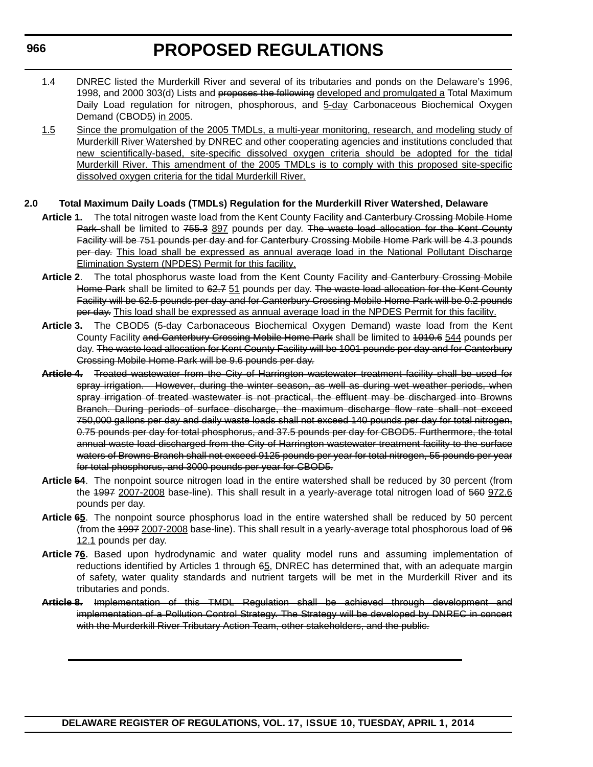- 1.4 DNREC listed the Murderkill River and several of its tributaries and ponds on the Delaware's 1996, 1998, and 2000 303(d) Lists and proposes the following developed and promulgated a Total Maximum Daily Load regulation for nitrogen, phosphorous, and 5-day Carbonaceous Biochemical Oxygen Demand (CBOD5) in 2005.
- 1.5 Since the promulgation of the 2005 TMDLs, a multi-year monitoring, research, and modeling study of Murderkill River Watershed by DNREC and other cooperating agencies and institutions concluded that new scientifically-based, site-specific dissolved oxygen criteria should be adopted for the tidal Murderkill River. This amendment of the 2005 TMDLs is to comply with this proposed site-specific dissolved oxygen criteria for the tidal Murderkill River.

#### **2.0 Total Maximum Daily Loads (TMDLs) Regulation for the Murderkill River Watershed, Delaware**

- Article 1. The total nitrogen waste load from the Kent County Facility and Canterbury Crossing Mobile Home Park shall be limited to 755.3 897 pounds per day. The waste load allocation for the Kent County Facility will be 751 pounds per day and for Canterbury Crossing Mobile Home Park will be 4.3 pounds per day. This load shall be expressed as annual average load in the National Pollutant Discharge Elimination System (NPDES) Permit for this facility.
- Article 2. The total phosphorus waste load from the Kent County Facility and Canterbury Crossing Mobile Home Park shall be limited to 62.7 51 pounds per day. The waste load allocation for the Kent County Facility will be 62.5 pounds per day and for Canterbury Crossing Mobile Home Park will be 0.2 pounds per day. This load shall be expressed as annual average load in the NPDES Permit for this facility.
- **Article 3.** The CBOD5 (5-day Carbonaceous Biochemical Oxygen Demand) waste load from the Kent County Facility and Canterbury Crossing Mobile Home Park shall be limited to 1010.6 544 pounds per day. The waste load allocation for Kent County Facility will be 1001 pounds per day and for Canterbury Crossing Mobile Home Park will be 9.6 pounds per day.
- **Article 4.** Treated wastewater from the City of Harrington wastewater treatment facility shall be used for spray irrigation. However, during the winter season, as well as during wet weather periods, when spray irrigation of treated wastewater is not practical, the effluent may be discharged into Browns Branch. During periods of surface discharge, the maximum discharge flow rate shall not exceed 750,000 gallons per day and daily waste loads shall not exceed 140 pounds per day for total nitrogen, 0.75 pounds per day for total phosphorus, and 37.5 pounds per day for CBOD5. Furthermore, the total annual waste load discharged from the City of Harrington wastewater treatment facility to the surface waters of Browns Branch shall not exceed 9125 pounds per year for total nitrogen, 55 pounds per year for total phosphorus, and 3000 pounds per year for CBOD5.
- **Article 54**. The nonpoint source nitrogen load in the entire watershed shall be reduced by 30 percent (from the 4997 2007-2008 base-line). This shall result in a yearly-average total nitrogen load of 560 972.6 pounds per day.
- **Article 65**. The nonpoint source phosphorus load in the entire watershed shall be reduced by 50 percent (from the 1997 2007-2008 base-line). This shall result in a yearly-average total phosphorous load of 96 12.1 pounds per day.
- **Article 76.** Based upon hydrodynamic and water quality model runs and assuming implementation of reductions identified by Articles 1 through 65, DNREC has determined that, with an adequate margin of safety, water quality standards and nutrient targets will be met in the Murderkill River and its tributaries and ponds.
- **Article 8.** Implementation of this TMDL Regulation shall be achieved through development and implementation of a Pollution Control Strategy. The Strategy will be developed by DNREC in concert with the Murderkill River Tributary Action Team, other stakeholders, and the public.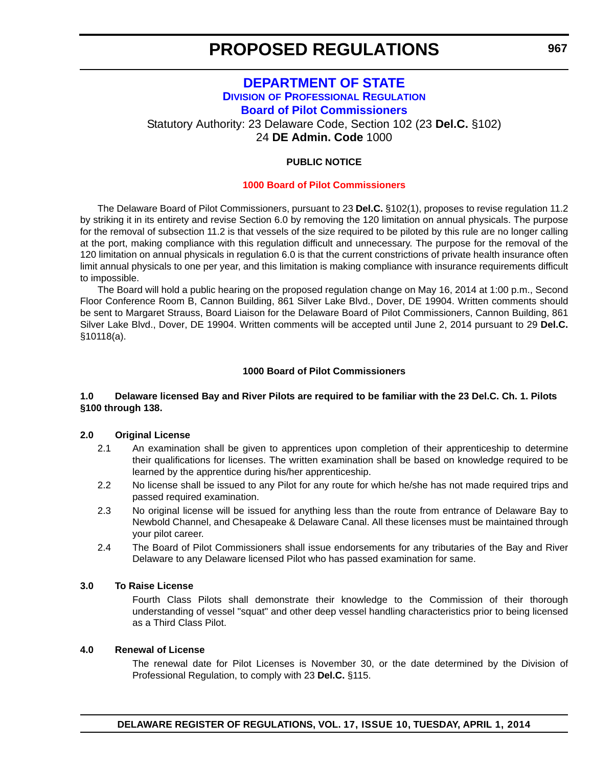### **[DEPARTMENT OF STATE](http://dpr.delaware.gov/boards/riverpilots/index.shtml) DIVISION OF PROFESSIONAL REGULATION Board of Pilot Commissioners**

<span id="page-32-0"></span>Statutory Authority: 23 Delaware Code, Section 102 (23 **Del.C.** §102)

24 **DE Admin. Code** 1000

#### **PUBLIC NOTICE**

#### **[1000 Board of Pilot Commissioners](#page-3-0)**

The Delaware Board of Pilot Commissioners, pursuant to 23 **Del.C.** §102(1), proposes to revise regulation 11.2 by striking it in its entirety and revise Section 6.0 by removing the 120 limitation on annual physicals. The purpose for the removal of subsection 11.2 is that vessels of the size required to be piloted by this rule are no longer calling at the port, making compliance with this regulation difficult and unnecessary. The purpose for the removal of the 120 limitation on annual physicals in regulation 6.0 is that the current constrictions of private health insurance often limit annual physicals to one per year, and this limitation is making compliance with insurance requirements difficult to impossible.

The Board will hold a public hearing on the proposed regulation change on May 16, 2014 at 1:00 p.m., Second Floor Conference Room B, Cannon Building, 861 Silver Lake Blvd., Dover, DE 19904. Written comments should be sent to Margaret Strauss, Board Liaison for the Delaware Board of Pilot Commissioners, Cannon Building, 861 Silver Lake Blvd., Dover, DE 19904. Written comments will be accepted until June 2, 2014 pursuant to 29 **Del.C.** §10118(a).

#### **1000 Board of Pilot Commissioners**

#### **1.0 Delaware licensed Bay and River Pilots are required to be familiar with the 23 Del.C. Ch. 1. Pilots §100 through 138.**

#### **2.0 Original License**

- 2.1 An examination shall be given to apprentices upon completion of their apprenticeship to determine their qualifications for licenses. The written examination shall be based on knowledge required to be learned by the apprentice during his/her apprenticeship.
- 2.2 No license shall be issued to any Pilot for any route for which he/she has not made required trips and passed required examination.
- 2.3 No original license will be issued for anything less than the route from entrance of Delaware Bay to Newbold Channel, and Chesapeake & Delaware Canal. All these licenses must be maintained through your pilot career.
- 2.4 The Board of Pilot Commissioners shall issue endorsements for any tributaries of the Bay and River Delaware to any Delaware licensed Pilot who has passed examination for same.

#### **3.0 To Raise License**

Fourth Class Pilots shall demonstrate their knowledge to the Commission of their thorough understanding of vessel "squat" and other deep vessel handling characteristics prior to being licensed as a Third Class Pilot.

#### **4.0 Renewal of License**

The renewal date for Pilot Licenses is November 30, or the date determined by the Division of Professional Regulation, to comply with 23 **Del.C.** §115.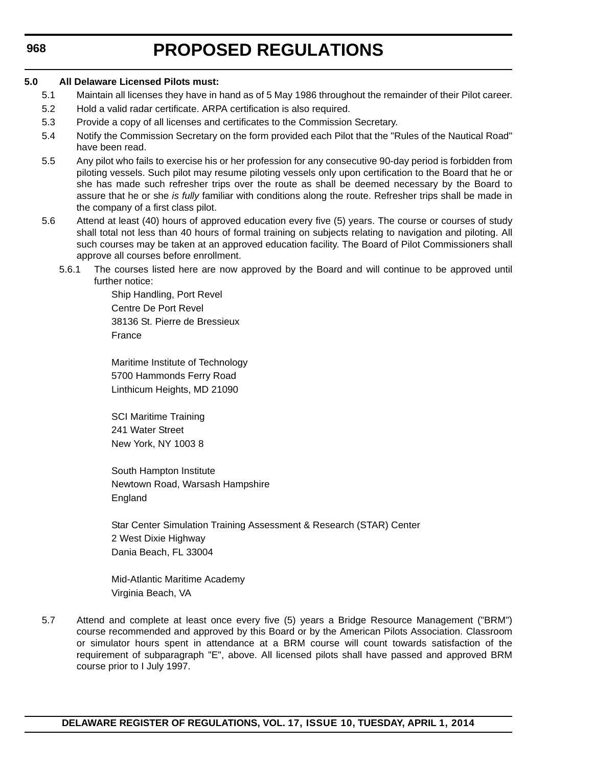### **968**

# **PROPOSED REGULATIONS**

#### **5.0 All Delaware Licensed Pilots must:**

- 5.1 Maintain all licenses they have in hand as of 5 May 1986 throughout the remainder of their Pilot career.
- 5.2 Hold a valid radar certificate. ARPA certification is also required.
- 5.3 Provide a copy of all licenses and certificates to the Commission Secretary.
- 5.4 Notify the Commission Secretary on the form provided each Pilot that the "Rules of the Nautical Road" have been read.
- 5.5 Any pilot who fails to exercise his or her profession for any consecutive 90-day period is forbidden from piloting vessels. Such pilot may resume piloting vessels only upon certification to the Board that he or she has made such refresher trips over the route as shall be deemed necessary by the Board to assure that he or she *is fully* familiar with conditions along the route. Refresher trips shall be made in the company of a first class pilot.
- 5.6 Attend at least (40) hours of approved education every five (5) years. The course or courses of study shall total not less than 40 hours of formal training on subjects relating to navigation and piloting. All such courses may be taken at an approved education facility. The Board of Pilot Commissioners shall approve all courses before enrollment.
	- 5.6.1 The courses listed here are now approved by the Board and will continue to be approved until further notice:

Ship Handling, Port Revel Centre De Port Revel 38136 St. Pierre de Bressieux France

Maritime Institute of Technology 5700 Hammonds Ferry Road Linthicum Heights, MD 21090

SCI Maritime Training 241 Water Street New York, NY 1003 8

South Hampton Institute Newtown Road, Warsash Hampshire England

Star Center Simulation Training Assessment & Research (STAR) Center 2 West Dixie Highway Dania Beach, FL 33004

Mid-Atlantic Maritime Academy Virginia Beach, VA

5.7 Attend and complete at least once every five (5) years a Bridge Resource Management ("BRM") course recommended and approved by this Board or by the American Pilots Association. Classroom or simulator hours spent in attendance at a BRM course will count towards satisfaction of the requirement of subparagraph "E", above. All licensed pilots shall have passed and approved BRM course prior to I July 1997.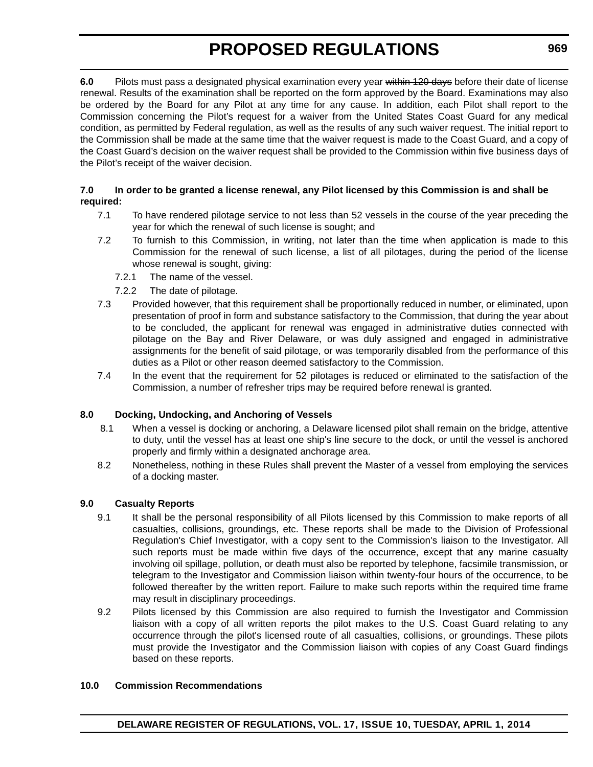**6.0** Pilots must pass a designated physical examination every year within 120 days before their date of license renewal. Results of the examination shall be reported on the form approved by the Board. Examinations may also be ordered by the Board for any Pilot at any time for any cause. In addition, each Pilot shall report to the Commission concerning the Pilot's request for a waiver from the United States Coast Guard for any medical condition, as permitted by Federal regulation, as well as the results of any such waiver request. The initial report to the Commission shall be made at the same time that the waiver request is made to the Coast Guard, and a copy of the Coast Guard's decision on the waiver request shall be provided to the Commission within five business days of the Pilot's receipt of the waiver decision.

#### **7.0 In order to be granted a license renewal, any Pilot licensed by this Commission is and shall be required:**

- 7.1 To have rendered pilotage service to not less than 52 vessels in the course of the year preceding the year for which the renewal of such license is sought; and
- 7.2 To furnish to this Commission, in writing, not later than the time when application is made to this Commission for the renewal of such license, a list of all pilotages, during the period of the license whose renewal is sought, giving:
	- 7.2.1 The name of the vessel.
	- 7.2.2 The date of pilotage.
- 7.3 Provided however, that this requirement shall be proportionally reduced in number, or eliminated, upon presentation of proof in form and substance satisfactory to the Commission, that during the year about to be concluded, the applicant for renewal was engaged in administrative duties connected with pilotage on the Bay and River Delaware, or was duly assigned and engaged in administrative assignments for the benefit of said pilotage, or was temporarily disabled from the performance of this duties as a Pilot or other reason deemed satisfactory to the Commission.
- 7.4 In the event that the requirement for 52 pilotages is reduced or eliminated to the satisfaction of the Commission, a number of refresher trips may be required before renewal is granted.

#### **8.0 Docking, Undocking, and Anchoring of Vessels**

- 8.1 When a vessel is docking or anchoring, a Delaware licensed pilot shall remain on the bridge, attentive to duty, until the vessel has at least one ship's line secure to the dock, or until the vessel is anchored properly and firmly within a designated anchorage area.
- 8.2 Nonetheless, nothing in these Rules shall prevent the Master of a vessel from employing the services of a docking master.

#### **9.0 Casualty Reports**

- 9.1 It shall be the personal responsibility of all Pilots licensed by this Commission to make reports of all casualties, collisions, groundings, etc. These reports shall be made to the Division of Professional Regulation's Chief Investigator, with a copy sent to the Commission's liaison to the Investigator. All such reports must be made within five days of the occurrence, except that any marine casualty involving oil spillage, pollution, or death must also be reported by telephone, facsimile transmission, or telegram to the Investigator and Commission liaison within twenty-four hours of the occurrence, to be followed thereafter by the written report. Failure to make such reports within the required time frame may result in disciplinary proceedings.
- 9.2 Pilots licensed by this Commission are also required to furnish the Investigator and Commission liaison with a copy of all written reports the pilot makes to the U.S. Coast Guard relating to any occurrence through the pilot's licensed route of all casualties, collisions, or groundings. These pilots must provide the Investigator and the Commission liaison with copies of any Coast Guard findings based on these reports.

#### **10.0 Commission Recommendations**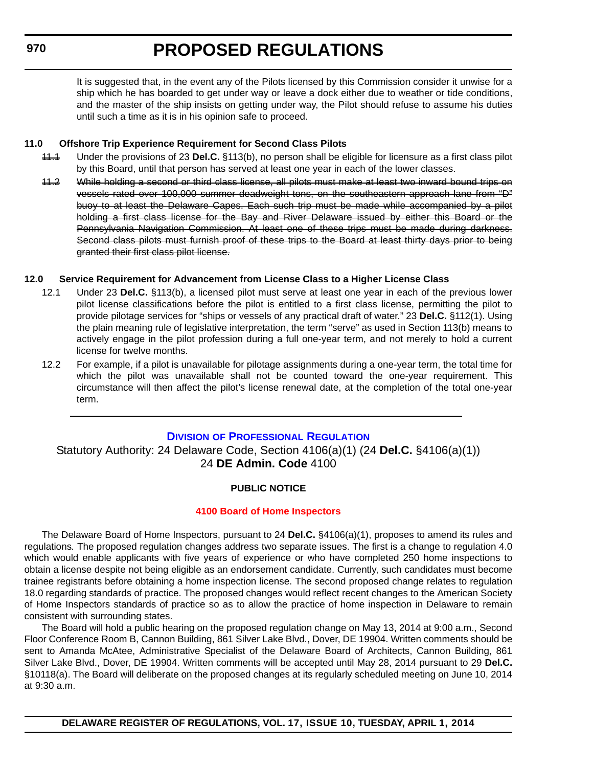#### <span id="page-35-0"></span>**970**

# **PROPOSED REGULATIONS**

It is suggested that, in the event any of the Pilots licensed by this Commission consider it unwise for a ship which he has boarded to get under way or leave a dock either due to weather or tide conditions, and the master of the ship insists on getting under way, the Pilot should refuse to assume his duties until such a time as it is in his opinion safe to proceed.

#### **11.0 Offshore Trip Experience Requirement for Second Class Pilots**

- 11.1 Under the provisions of 23 **Del.C.** §113(b), no person shall be eligible for licensure as a first class pilot by this Board, until that person has served at least one year in each of the lower classes.
- 11.2 While holding a second or third class license, all pilots must make at least two inward bound trips on vessels rated over 100,000 summer deadweight tons, on the southeastern approach lane from "D" buoy to at least the Delaware Capes. Each such trip must be made while accompanied by a pilot holding a first class license for the Bay and River Delaware issued by either this Board or the Pennsylvania Navigation Commission. At least one of these trips must be made during darkness. Second class pilots must furnish proof of these trips to the Board at least thirty days prior to being granted their first class pilot license.

#### **12.0 Service Requirement for Advancement from License Class to a Higher License Class**

- 12.1 Under 23 **Del.C.** §113(b), a licensed pilot must serve at least one year in each of the previous lower pilot license classifications before the pilot is entitled to a first class license, permitting the pilot to provide pilotage services for "ships or vessels of any practical draft of water." 23 **Del.C.** §112(1). Using the plain meaning rule of legislative interpretation, the term "serve" as used in Section 113(b) means to actively engage in the pilot profession during a full one-year term, and not merely to hold a current license for twelve months.
- 12.2 For example, if a pilot is unavailable for pilotage assignments during a one-year term, the total time for which the pilot was unavailable shall not be counted toward the one-year requirement. This circumstance will then affect the pilot's license renewal date, at the completion of the total one-year term.

#### **DIVISION [OF PROFESSIONAL REGULATION](http://dpr.delaware.gov/)**

Statutory Authority: 24 Delaware Code, Section 4106(a)(1) (24 **Del.C.** §4106(a)(1)) 24 **DE Admin. Code** 4100

#### **PUBLIC NOTICE**

#### **[4100 Board of Home Inspectors](#page-3-0)**

The Delaware Board of Home Inspectors, pursuant to 24 **Del.C.** §4106(a)(1), proposes to amend its rules and regulations*.* The proposed regulation changes address two separate issues. The first is a change to regulation 4.0 which would enable applicants with five years of experience or who have completed 250 home inspections to obtain a license despite not being eligible as an endorsement candidate. Currently, such candidates must become trainee registrants before obtaining a home inspection license. The second proposed change relates to regulation 18.0 regarding standards of practice. The proposed changes would reflect recent changes to the American Society of Home Inspectors standards of practice so as to allow the practice of home inspection in Delaware to remain consistent with surrounding states.

The Board will hold a public hearing on the proposed regulation change on May 13, 2014 at 9:00 a.m., Second Floor Conference Room B, Cannon Building, 861 Silver Lake Blvd., Dover, DE 19904. Written comments should be sent to Amanda McAtee, Administrative Specialist of the Delaware Board of Architects, Cannon Building, 861 Silver Lake Blvd., Dover, DE 19904. Written comments will be accepted until May 28, 2014 pursuant to 29 **Del.C.** §10118(a). The Board will deliberate on the proposed changes at its regularly scheduled meeting on June 10, 2014 at 9:30 a.m.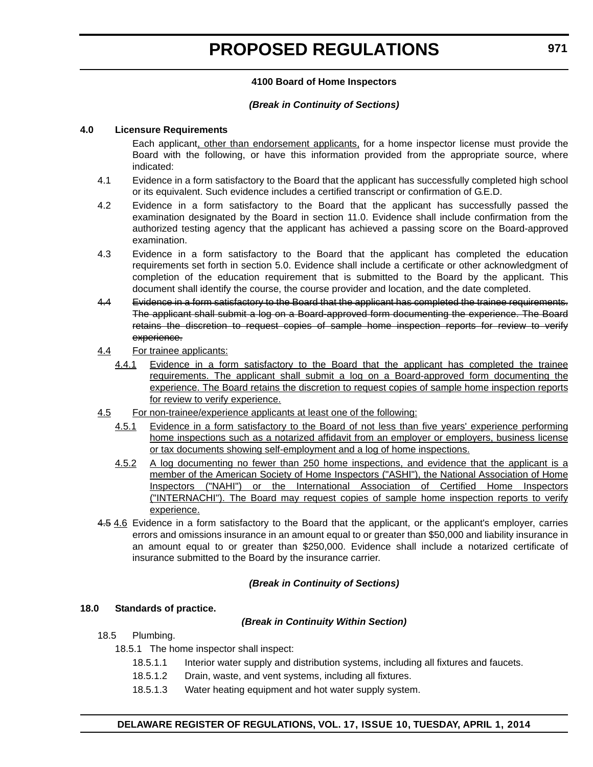#### **4100 Board of Home Inspectors**

#### *(Break in Continuity of Sections)*

#### **4.0 Licensure Requirements**

Each applicant, other than endorsement applicants, for a home inspector license must provide the Board with the following, or have this information provided from the appropriate source, where indicated:

- 4.1 Evidence in a form satisfactory to the Board that the applicant has successfully completed high school or its equivalent. Such evidence includes a certified transcript or confirmation of G.E.D.
- 4.2 Evidence in a form satisfactory to the Board that the applicant has successfully passed the examination designated by the Board in section 11.0. Evidence shall include confirmation from the authorized testing agency that the applicant has achieved a passing score on the Board-approved examination.
- 4.3 Evidence in a form satisfactory to the Board that the applicant has completed the education requirements set forth in section 5.0. Evidence shall include a certificate or other acknowledgment of completion of the education requirement that is submitted to the Board by the applicant. This document shall identify the course, the course provider and location, and the date completed.
- 4.4 Evidence in a form satisfactory to the Board that the applicant has completed the trainee requirements. The applicant shall submit a log on a Board-approved form documenting the experience. The Board retains the discretion to request copies of sample home inspection reports for review to verify experience.
- 4.4 For trainee applicants:
	- 4.4.1 Evidence in a form satisfactory to the Board that the applicant has completed the trainee requirements. The applicant shall submit a log on a Board-approved form documenting the experience. The Board retains the discretion to request copies of sample home inspection reports for review to verify experience.
- 4.5 For non-trainee/experience applicants at least one of the following:
	- 4.5.1 Evidence in a form satisfactory to the Board of not less than five years' experience performing home inspections such as a notarized affidavit from an employer or employers, business license or tax documents showing self-employment and a log of home inspections.
	- 4.5.2 A log documenting no fewer than 250 home inspections, and evidence that the applicant is a member of the American Society of Home Inspectors ("ASHI"), the National Association of Home Inspectors ("NAHI") or the International Association of Certified Home Inspectors ("INTERNACHI"). The Board may request copies of sample home inspection reports to verify experience.
- 4.5 4.6 Evidence in a form satisfactory to the Board that the applicant, or the applicant's employer, carries errors and omissions insurance in an amount equal to or greater than \$50,000 and liability insurance in an amount equal to or greater than \$250,000. Evidence shall include a notarized certificate of insurance submitted to the Board by the insurance carrier.

#### *(Break in Continuity of Sections)*

#### **18.0 Standards of practice.**

#### *(Break in Continuity Within Section)*

- 18.5 Plumbing.
	- 18.5.1 The home inspector shall inspect:
		- 18.5.1.1 Interior water supply and distribution systems, including all fixtures and faucets.
		- 18.5.1.2 Drain, waste, and vent systems, including all fixtures.
		- 18.5.1.3 Water heating equipment and hot water supply system.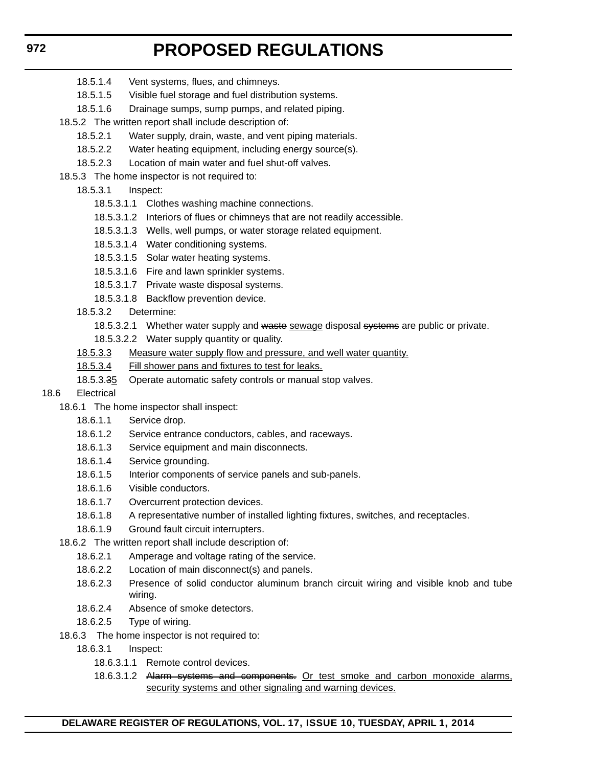- 18.5.1.4 Vent systems, flues, and chimneys.
- 18.5.1.5 Visible fuel storage and fuel distribution systems.
- 18.5.1.6 Drainage sumps, sump pumps, and related piping.
- 18.5.2 The written report shall include description of:
	- 18.5.2.1 Water supply, drain, waste, and vent piping materials.
	- 18.5.2.2 Water heating equipment, including energy source(s).
	- 18.5.2.3 Location of main water and fuel shut-off valves.
- 18.5.3 The home inspector is not required to:
	- 18.5.3.1 Inspect:
		- 18.5.3.1.1 Clothes washing machine connections.
		- 18.5.3.1.2 Interiors of flues or chimneys that are not readily accessible.
		- 18.5.3.1.3 Wells, well pumps, or water storage related equipment.
		- 18.5.3.1.4 Water conditioning systems.
		- 18.5.3.1.5 Solar water heating systems.
		- 18.5.3.1.6 Fire and lawn sprinkler systems.
		- 18.5.3.1.7 Private waste disposal systems.
		- 18.5.3.1.8 Backflow prevention device.
	- 18.5.3.2 Determine:
		- 18.5.3.2.1 Whether water supply and waste sewage disposal systems are public or private.
		- 18.5.3.2.2 Water supply quantity or quality.
	- 18.5.3.3 Measure water supply flow and pressure, and well water quantity.
	- 18.5.3.4 Fill shower pans and fixtures to test for leaks.
	- 18.5.3.35 Operate automatic safety controls or manual stop valves.
- 18.6 Electrical
	- 18.6.1 The home inspector shall inspect:
		- 18.6.1.1 Service drop.
		- 18.6.1.2 Service entrance conductors, cables, and raceways.
		- 18.6.1.3 Service equipment and main disconnects.
		- 18.6.1.4 Service grounding.
		- 18.6.1.5 Interior components of service panels and sub-panels.
		- 18.6.1.6 Visible conductors.
		- 18.6.1.7 Overcurrent protection devices.
		- 18.6.1.8 A representative number of installed lighting fixtures, switches, and receptacles.
		- 18.6.1.9 Ground fault circuit interrupters.
	- 18.6.2 The written report shall include description of:
		- 18.6.2.1 Amperage and voltage rating of the service.
		- 18.6.2.2 Location of main disconnect(s) and panels.
		- 18.6.2.3 Presence of solid conductor aluminum branch circuit wiring and visible knob and tube wiring.
		- 18.6.2.4 Absence of smoke detectors.
		- 18.6.2.5 Type of wiring.
	- 18.6.3 The home inspector is not required to:
		- 18.6.3.1 Inspect:
			- 18.6.3.1.1 Remote control devices.
			- 18.6.3.1.2 Alarm systems and components. Or test smoke and carbon monoxide alarms, security systems and other signaling and warning devices.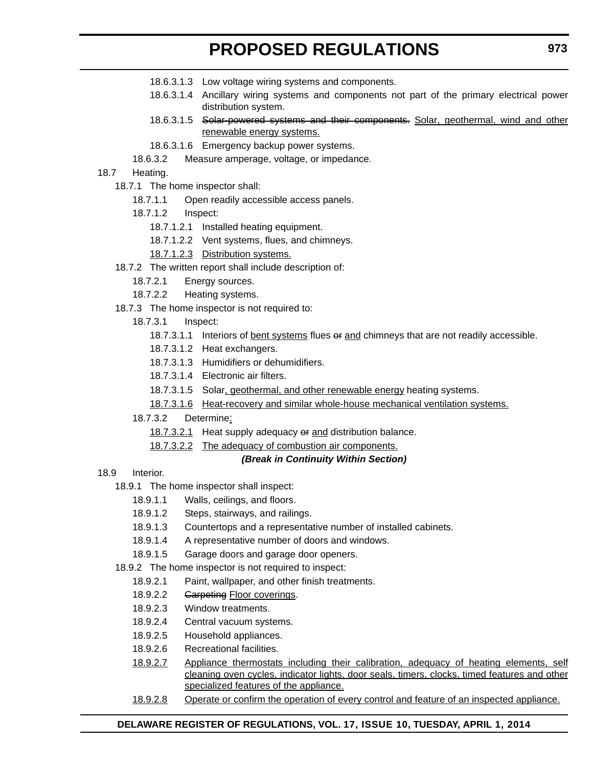- 18.6.3.1.3 Low voltage wiring systems and components.
- 18.6.3.1.4 Ancillary wiring systems and components not part of the primary electrical power distribution system.
- 18.6.3.1.5 Solar-powered systems and their components. Solar, geothermal, wind and other renewable energy systems.
- 18.6.3.1.6 Emergency backup power systems.
- 18.6.3.2 Measure amperage, voltage, or impedance.

#### 18.7 Heating.

- 18.7.1 The home inspector shall:
	- 18.7.1.1 Open readily accessible access panels.
	- 18.7.1.2 Inspect:
		- 18.7.1.2.1 Installed heating equipment.
		- 18.7.1.2.2 Vent systems, flues, and chimneys.
		- 18.7.1.2.3 Distribution systems.
- 18.7.2 The written report shall include description of:
	- 18.7.2.1 Energy sources.
	- 18.7.2.2 Heating systems.
- 18.7.3 The home inspector is not required to:
	- 18.7.3.1 Inspect:
		- 18.7.3.1.1 Interiors of **bent systems** flues or and chimneys that are not readily accessible.
		- 18.7.3.1.2 Heat exchangers.
		- 18.7.3.1.3 Humidifiers or dehumidifiers.
		- 18.7.3.1.4 Electronic air filters.
		- 18.7.3.1.5 Solar, geothermal, and other renewable energy heating systems.
		- 18.7.3.1.6 Heat-recovery and similar whole-house mechanical ventilation systems.
	- 18.7.3.2 Determine:
		- 18.7.3.2.1 Heat supply adequacy or and distribution balance.
		- 18.7.3.2.2 The adequacy of combustion air components.

#### *(Break in Continuity Within Section)*

- 18.9 Interior.
	- 18.9.1 The home inspector shall inspect:
		- 18.9.1.1 Walls, ceilings, and floors.
		- 18.9.1.2 Steps, stairways, and railings.
		- 18.9.1.3 Countertops and a representative number of installed cabinets.
		- 18.9.1.4 A representative number of doors and windows.
		- 18.9.1.5 Garage doors and garage door openers.
	- 18.9.2 The home inspector is not required to inspect:
		- 18.9.2.1 Paint, wallpaper, and other finish treatments.
		- 18.9.2.2 Garpeting Floor coverings.
		- 18.9.2.3 Window treatments.
		- 18.9.2.4 Central vacuum systems.
		- 18.9.2.5 Household appliances.
		- 18.9.2.6 Recreational facilities.
		- 18.9.2.7 Appliance thermostats including their calibration, adequacy of heating elements, self cleaning oven cycles, indicator lights, door seals, timers, clocks, timed features and other specialized features of the appliance.
		- 18.9.2.8 Operate or confirm the operation of every control and feature of an inspected appliance.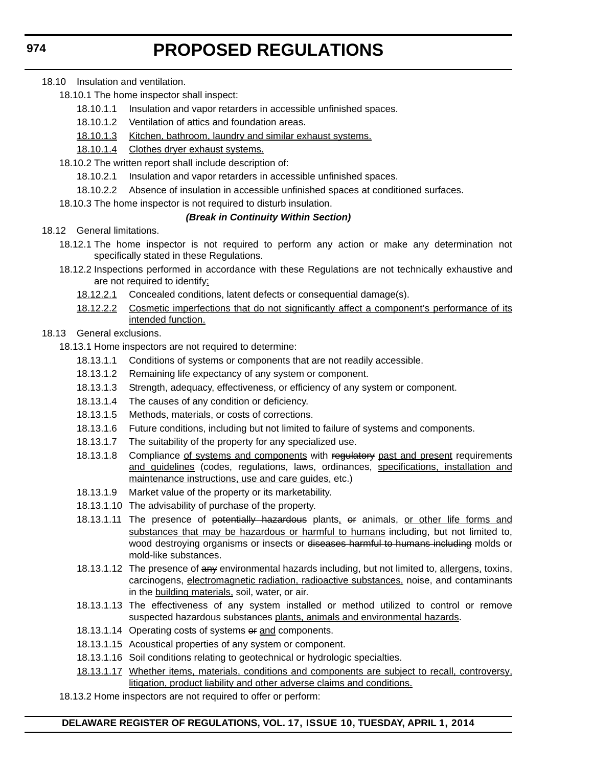- 18.10 Insulation and ventilation.
	- 18.10.1 The home inspector shall inspect:
		- 18.10.1.1 Insulation and vapor retarders in accessible unfinished spaces.
		- 18.10.1.2 Ventilation of attics and foundation areas.
		- 18.10.1.3 Kitchen, bathroom, laundry and similar exhaust systems.
		- 18.10.1.4 Clothes dryer exhaust systems.
	- 18.10.2 The written report shall include description of:
		- 18.10.2.1 Insulation and vapor retarders in accessible unfinished spaces.
		- 18.10.2.2 Absence of insulation in accessible unfinished spaces at conditioned surfaces.
	- 18.10.3 The home inspector is not required to disturb insulation.

#### *(Break in Continuity Within Section)*

- 18.12 General limitations.
	- 18.12.1 The home inspector is not required to perform any action or make any determination not specifically stated in these Regulations.
	- 18.12.2 Inspections performed in accordance with these Regulations are not technically exhaustive and are not required to identify:
		- 18.12.2.1 Concealed conditions, latent defects or consequential damage(s).
		- 18.12.2.2 Cosmetic imperfections that do not significantly affect a component's performance of its intended function.

#### 18.13 General exclusions.

- 18.13.1 Home inspectors are not required to determine:
	- 18.13.1.1 Conditions of systems or components that are not readily accessible.
	- 18.13.1.2 Remaining life expectancy of any system or component.
	- 18.13.1.3 Strength, adequacy, effectiveness, or efficiency of any system or component.
	- 18.13.1.4 The causes of any condition or deficiency.
	- 18.13.1.5 Methods, materials, or costs of corrections.
	- 18.13.1.6 Future conditions, including but not limited to failure of systems and components.
	- 18.13.1.7 The suitability of the property for any specialized use.
	- 18.13.1.8 Compliance of systems and components with regulatory past and present requirements and guidelines (codes, regulations, laws, ordinances, specifications, installation and maintenance instructions, use and care guides, etc.)
	- 18.13.1.9 Market value of the property or its marketability.
	- 18.13.1.10 The advisability of purchase of the property.
	- 18.13.1.11 The presence of <del>potentially hazardous</del> plants, or animals, or other life forms and substances that may be hazardous or harmful to humans including, but not limited to, wood destroying organisms or insects or diseases harmful to humans including molds or mold-like substances.
	- 18.13.1.12 The presence of any environmental hazards including, but not limited to, allergens, toxins, carcinogens, electromagnetic radiation, radioactive substances, noise, and contaminants in the building materials, soil, water, or air.
	- 18.13.1.13 The effectiveness of any system installed or method utilized to control or remove suspected hazardous substances plants, animals and environmental hazards.
	- 18.13.1.14 Operating costs of systems of and components.
	- 18.13.1.15 Acoustical properties of any system or component.
	- 18.13.1.16 Soil conditions relating to geotechnical or hydrologic specialties.
	- 18.13.1.17 Whether items, materials, conditions and components are subject to recall, controversy, litigation, product liability and other adverse claims and conditions.
- 18.13.2 Home inspectors are not required to offer or perform: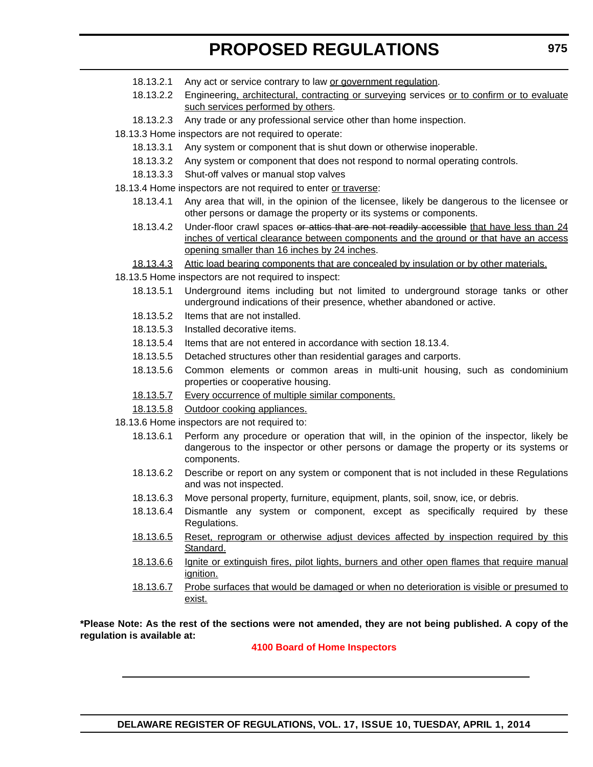- 18.13.2.1 Any act or service contrary to law or government regulation.
- 18.13.2.2 Engineering, architectural, contracting or surveying services or to confirm or to evaluate such services performed by others.
- 18.13.2.3 Any trade or any professional service other than home inspection.
- 18.13.3 Home inspectors are not required to operate:
	- 18.13.3.1 Any system or component that is shut down or otherwise inoperable.
	- 18.13.3.2 Any system or component that does not respond to normal operating controls.
	- 18.13.3.3 Shut-off valves or manual stop valves
- 18.13.4 Home inspectors are not required to enter or traverse:
	- 18.13.4.1 Any area that will, in the opinion of the licensee, likely be dangerous to the licensee or other persons or damage the property or its systems or components.
	- 18.13.4.2 Under-floor crawl spaces or atties that are not readily accessible that have less than 24 inches of vertical clearance between components and the ground or that have an access opening smaller than 16 inches by 24 inches.

18.13.4.3 Attic load bearing components that are concealed by insulation or by other materials.

- 18.13.5 Home inspectors are not required to inspect:
	- 18.13.5.1 Underground items including but not limited to underground storage tanks or other underground indications of their presence, whether abandoned or active.
	- 18.13.5.2 Items that are not installed.
	- 18.13.5.3 Installed decorative items.
	- 18.13.5.4 Items that are not entered in accordance with section 18.13.4.
	- 18.13.5.5 Detached structures other than residential garages and carports.
	- 18.13.5.6 Common elements or common areas in multi-unit housing, such as condominium properties or cooperative housing.
	- 18.13.5.7 Every occurrence of multiple similar components.
	- 18.13.5.8 Outdoor cooking appliances.
- 18.13.6 Home inspectors are not required to:
	- 18.13.6.1 Perform any procedure or operation that will, in the opinion of the inspector, likely be dangerous to the inspector or other persons or damage the property or its systems or components.
	- 18.13.6.2 Describe or report on any system or component that is not included in these Regulations and was not inspected.
	- 18.13.6.3 Move personal property, furniture, equipment, plants, soil, snow, ice, or debris.
	- 18.13.6.4 Dismantle any system or component, except as specifically required by these Regulations.
	- 18.13.6.5 Reset, reprogram or otherwise adjust devices affected by inspection required by this Standard.
	- 18.13.6.6 Ignite or extinguish fires, pilot lights, burners and other open flames that require manual ignition.
	- 18.13.6.7 Probe surfaces that would be damaged or when no deterioration is visible or presumed to exist.

**\*Please Note: As the rest of the sections were not amended, they are not being published. A copy of the regulation is available at:**

#### **[4100 Board of Home Inspectors](http://regulations.delaware.gov/register/april2014/proposed/17 DE Reg 970 04-01-14.htm)**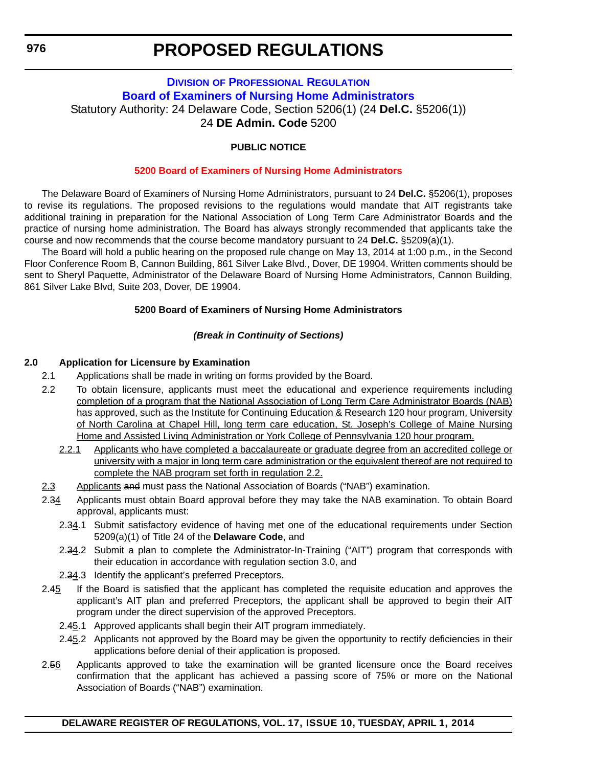### **DIVISION OF PROFESSIONAL REGULATION [Board of Examiners of Nursing Home Administrators](http://dpr.delaware.gov/boards/nursinghomeadmin/index.shtml)** Statutory Authority: 24 Delaware Code, Section 5206(1) (24 **Del.C.** §5206(1)) 24 **DE Admin. Code** 5200

#### **PUBLIC NOTICE**

#### **[5200 Board of Examiners of Nursing Home Administrators](#page-3-0)**

The Delaware Board of Examiners of Nursing Home Administrators, pursuant to 24 **Del.C.** §5206(1), proposes to revise its regulations. The proposed revisions to the regulations would mandate that AIT registrants take additional training in preparation for the National Association of Long Term Care Administrator Boards and the practice of nursing home administration. The Board has always strongly recommended that applicants take the course and now recommends that the course become mandatory pursuant to 24 **Del.C.** §5209(a)(1).

The Board will hold a public hearing on the proposed rule change on May 13, 2014 at 1:00 p.m., in the Second Floor Conference Room B, Cannon Building, 861 Silver Lake Blvd., Dover, DE 19904. Written comments should be sent to Sheryl Paquette, Administrator of the Delaware Board of Nursing Home Administrators, Cannon Building, 861 Silver Lake Blvd, Suite 203, Dover, DE 19904.

#### **5200 Board of Examiners of Nursing Home Administrators**

#### *(Break in Continuity of Sections)*

#### **2.0 Application for Licensure by Examination**

- 2.1 Applications shall be made in writing on forms provided by the Board.
- 2.2 To obtain licensure, applicants must meet the educational and experience requirements including completion of a program that the National Association of Long Term Care Administrator Boards (NAB) has approved, such as the Institute for Continuing Education & Research 120 hour program, University of North Carolina at Chapel Hill, long term care education, St. Joseph's College of Maine Nursing Home and Assisted Living Administration or York College of Pennsylvania 120 hour program.
	- 2.2.1 Applicants who have completed a baccalaureate or graduate degree from an accredited college or university with a major in long term care administration or the equivalent thereof are not required to complete the NAB program set forth in regulation 2.2.
- 2.3 Applicants and must pass the National Association of Boards ("NAB") examination.
- 2.34 Applicants must obtain Board approval before they may take the NAB examination. To obtain Board approval, applicants must:
	- 2.34.1 Submit satisfactory evidence of having met one of the educational requirements under Section 5209(a)(1) of Title 24 of the **Delaware Code**, and
	- 2.34.2 Submit a plan to complete the Administrator-In-Training ("AIT") program that corresponds with their education in accordance with regulation section 3.0, and
	- 2.34.3 Identify the applicant's preferred Preceptors.
- 2.45 If the Board is satisfied that the applicant has completed the requisite education and approves the applicant's AIT plan and preferred Preceptors, the applicant shall be approved to begin their AIT program under the direct supervision of the approved Preceptors.
	- 2.45.1 Approved applicants shall begin their AIT program immediately.
	- 2.45.2 Applicants not approved by the Board may be given the opportunity to rectify deficiencies in their applications before denial of their application is proposed.
- 2.56 Applicants approved to take the examination will be granted licensure once the Board receives confirmation that the applicant has achieved a passing score of 75% or more on the National Association of Boards ("NAB") examination.

<span id="page-41-0"></span>**976**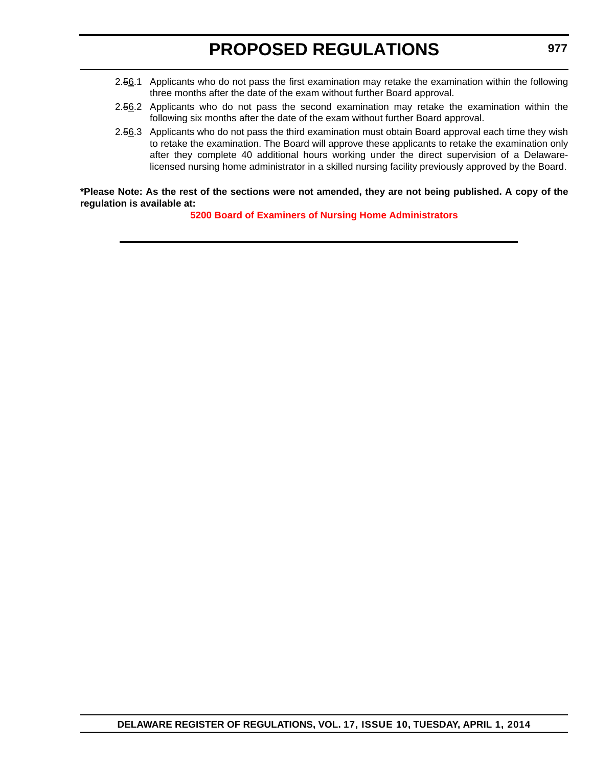- 2.56.1 Applicants who do not pass the first examination may retake the examination within the following three months after the date of the exam without further Board approval.
- 2.56.2 Applicants who do not pass the second examination may retake the examination within the following six months after the date of the exam without further Board approval.
- 2.56.3 Applicants who do not pass the third examination must obtain Board approval each time they wish to retake the examination. The Board will approve these applicants to retake the examination only after they complete 40 additional hours working under the direct supervision of a Delawarelicensed nursing home administrator in a skilled nursing facility previously approved by the Board.

#### **\*Please Note: As the rest of the sections were not amended, they are not being published. A copy of the regulation is available at:**

**[5200 Board of Examiners of Nursing Home Administrators](http://regulations.delaware.gov/register/april2014/proposed/17 DE Reg 976 04-01-14.htm)**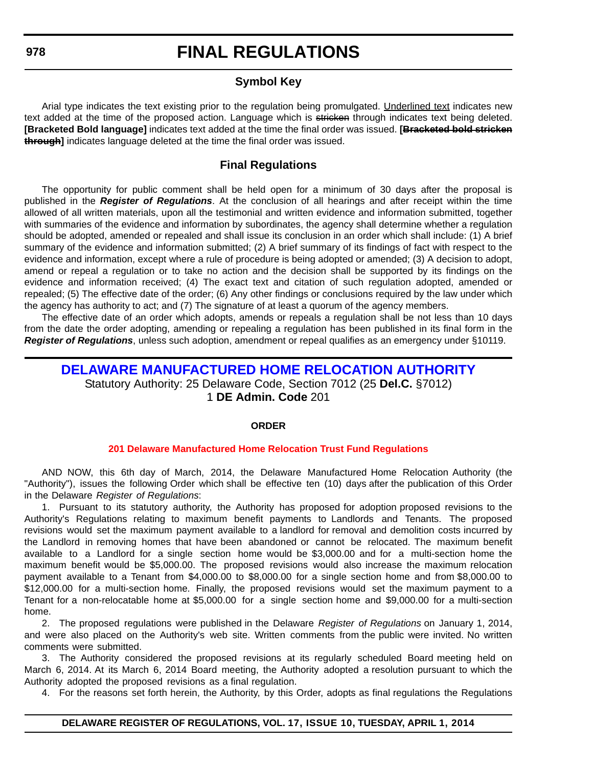### **Symbol Key**

<span id="page-43-0"></span>Arial type indicates the text existing prior to the regulation being promulgated. Underlined text indicates new text added at the time of the proposed action. Language which is stricken through indicates text being deleted. **[Bracketed Bold language]** indicates text added at the time the final order was issued. **[Bracketed bold stricken through]** indicates language deleted at the time the final order was issued.

### **Final Regulations**

The opportunity for public comment shall be held open for a minimum of 30 days after the proposal is published in the *Register of Regulations*. At the conclusion of all hearings and after receipt within the time allowed of all written materials, upon all the testimonial and written evidence and information submitted, together with summaries of the evidence and information by subordinates, the agency shall determine whether a regulation should be adopted, amended or repealed and shall issue its conclusion in an order which shall include: (1) A brief summary of the evidence and information submitted; (2) A brief summary of its findings of fact with respect to the evidence and information, except where a rule of procedure is being adopted or amended; (3) A decision to adopt, amend or repeal a regulation or to take no action and the decision shall be supported by its findings on the evidence and information received; (4) The exact text and citation of such regulation adopted, amended or repealed; (5) The effective date of the order; (6) Any other findings or conclusions required by the law under which the agency has authority to act; and (7) The signature of at least a quorum of the agency members.

The effective date of an order which adopts, amends or repeals a regulation shall be not less than 10 days from the date the order adopting, amending or repealing a regulation has been published in its final form in the *Register of Regulations*, unless such adoption, amendment or repeal qualifies as an emergency under §10119.

### **[DELAWARE MANUFACTURED HOME RELOCATION AUTHORITY](http://demhra.delaware.gov/)** Statutory Authority: 25 Delaware Code, Section 7012 (25 **Del.C.** §7012) 1 **DE Admin. Code** 201

#### **ORDER**

#### **[201 Delaware Manufactured Home Relocation Trust Fund Regulations](#page-3-0)**

AND NOW, this 6th day of March, 2014, the Delaware Manufactured Home Relocation Authority (the "Authority"), issues the following Order which shall be effective ten (10) days after the publication of this Order in the Delaware *Register of Regulations*:

1. Pursuant to its statutory authority, the Authority has proposed for adoption proposed revisions to the Authority's Regulations relating to maximum benefit payments to Landlords and Tenants. The proposed revisions would set the maximum payment available to a landlord for removal and demolition costs incurred by the Landlord in removing homes that have been abandoned or cannot be relocated. The maximum benefit available to a Landlord for a single section home would be \$3,000.00 and for a multi-section home the maximum benefit would be \$5,000.00. The proposed revisions would also increase the maximum relocation payment available to a Tenant from \$4,000.00 to \$8,000.00 for a single section home and from \$8,000.00 to \$12,000.00 for a multi-section home. Finally, the proposed revisions would set the maximum payment to a Tenant for a non-relocatable home at \$5,000.00 for a single section home and \$9,000.00 for a multi-section home.

2. The proposed regulations were published in the Delaware *Register of Regulations* on January 1, 2014, and were also placed on the Authority's web site. Written comments from the public were invited. No written comments were submitted.

3. The Authority considered the proposed revisions at its regularly scheduled Board meeting held on March 6, 2014. At its March 6, 2014 Board meeting, the Authority adopted a resolution pursuant to which the Authority adopted the proposed revisions as a final regulation.

4. For the reasons set forth herein, the Authority, by this Order, adopts as final regulations the Regulations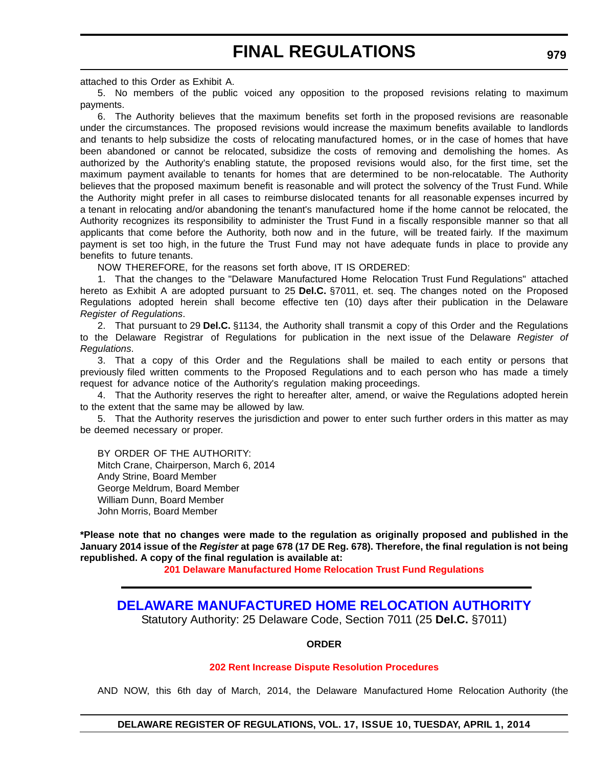<span id="page-44-0"></span>attached to this Order as Exhibit A.

5. No members of the public voiced any opposition to the proposed revisions relating to maximum payments.

6. The Authority believes that the maximum benefits set forth in the proposed revisions are reasonable under the circumstances. The proposed revisions would increase the maximum benefits available to landlords and tenants to help subsidize the costs of relocating manufactured homes, or in the case of homes that have been abandoned or cannot be relocated, subsidize the costs of removing and demolishing the homes. As authorized by the Authority's enabling statute, the proposed revisions would also, for the first time, set the maximum payment available to tenants for homes that are determined to be non-relocatable. The Authority believes that the proposed maximum benefit is reasonable and will protect the solvency of the Trust Fund. While the Authority might prefer in all cases to reimburse dislocated tenants for all reasonable expenses incurred by a tenant in relocating and/or abandoning the tenant's manufactured home if the home cannot be relocated, the Authority recognizes its responsibility to administer the Trust Fund in a fiscally responsible manner so that all applicants that come before the Authority, both now and in the future, will be treated fairly. If the maximum payment is set too high, in the future the Trust Fund may not have adequate funds in place to provide any benefits to future tenants.

NOW THEREFORE, for the reasons set forth above, IT IS ORDERED:

1. That the changes to the "Delaware Manufactured Home Relocation Trust Fund Regulations" attached hereto as Exhibit A are adopted pursuant to 25 **Del.C.** §7011, et. seq. The changes noted on the Proposed Regulations adopted herein shall become effective ten (10) days after their publication in the Delaware *Register of Regulations*.

2. That pursuant to 29 **Del.C.** §1134, the Authority shall transmit a copy of this Order and the Regulations to the Delaware Registrar of Regulations for publication in the next issue of the Delaware *Register of Regulations*.

3. That a copy of this Order and the Regulations shall be mailed to each entity or persons that previously filed written comments to the Proposed Regulations and to each person who has made a timely request for advance notice of the Authority's regulation making proceedings.

4. That the Authority reserves the right to hereafter alter, amend, or waive the Regulations adopted herein to the extent that the same may be allowed by law.

5. That the Authority reserves the jurisdiction and power to enter such further orders in this matter as may be deemed necessary or proper.

BY ORDER OF THE AUTHORITY: Mitch Crane, Chairperson, March 6, 2014 Andy Strine, Board Member George Meldrum, Board Member William Dunn, Board Member John Morris, Board Member

**\*Please note that no changes were made to the regulation as originally proposed and published in the January 2014 issue of the** *Register* **at page 678 (17 DE Reg. 678). Therefore, the final regulation is not being republished. A copy of the final regulation is available at:**

**[201 Delaware Manufactured Home Relocation Trust Fund Regulations](http://regulations.delaware.gov/register/april2014/final/17 DE Reg 978 04-01-14.htm)**

### **[DELAWARE MANUFACTURED HOME RELOCATION AUTHORITY](http://demhra.delaware.gov/)**

Statutory Authority: 25 Delaware Code, Section 7011 (25 **Del.C.** §7011)

#### **ORDER**

#### **[202 Rent Increase Dispute Resolution Procedures](#page-3-0)**

AND NOW, this 6th day of March, 2014, the Delaware Manufactured Home Relocation Authority (the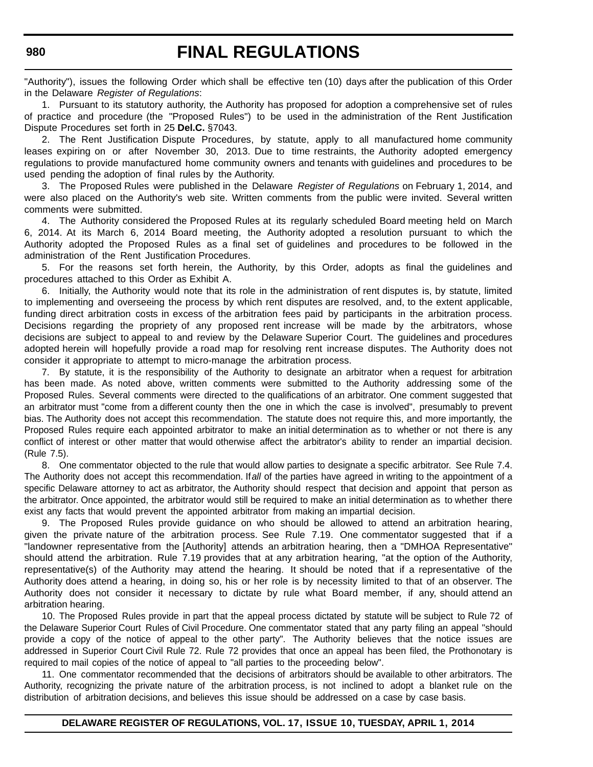"Authority"), issues the following Order which shall be effective ten (10) days after the publication of this Order in the Delaware *Register of Regulations*:

1. Pursuant to its statutory authority, the Authority has proposed for adoption a comprehensive set of rules of practice and procedure (the "Proposed Rules") to be used in the administration of the Rent Justification Dispute Procedures set forth in 25 **Del.C.** §7043.

2. The Rent Justification Dispute Procedures, by statute, apply to all manufactured home community leases expiring on or after November 30, 2013. Due to time restraints, the Authority adopted emergency regulations to provide manufactured home community owners and tenants with guidelines and procedures to be used pending the adoption of final rules by the Authority.

3. The Proposed Rules were published in the Delaware *Register of Regulations* on February 1, 2014, and were also placed on the Authority's web site. Written comments from the public were invited. Several written comments were submitted.

4. The Authority considered the Proposed Rules at its regularly scheduled Board meeting held on March 6, 2014. At its March 6, 2014 Board meeting, the Authority adopted a resolution pursuant to which the Authority adopted the Proposed Rules as a final set of guidelines and procedures to be followed in the administration of the Rent Justification Procedures.

5. For the reasons set forth herein, the Authority, by this Order, adopts as final the guidelines and procedures attached to this Order as Exhibit A.

6. Initially, the Authority would note that its role in the administration of rent disputes is, by statute, limited to implementing and overseeing the process by which rent disputes are resolved, and, to the extent applicable, funding direct arbitration costs in excess of the arbitration fees paid by participants in the arbitration process. Decisions regarding the propriety of any proposed rent increase will be made by the arbitrators, whose decisions are subject to appeal to and review by the Delaware Superior Court. The guidelines and procedures adopted herein will hopefully provide a road map for resolving rent increase disputes. The Authority does not consider it appropriate to attempt to micro-manage the arbitration process.

7. By statute, it is the responsibility of the Authority to designate an arbitrator when a request for arbitration has been made. As noted above, written comments were submitted to the Authority addressing some of the Proposed Rules. Several comments were directed to the qualifications of an arbitrator. One comment suggested that an arbitrator must "come from a different county then the one in which the case is involved", presumably to prevent bias. The Authority does not accept this recommendation. The statute does not require this, and more importantly, the Proposed Rules require each appointed arbitrator to make an initial determination as to whether or not there is any conflict of interest or other matter that would otherwise affect the arbitrator's ability to render an impartial decision. (Rule 7.5).

8. One commentator objected to the rule that would allow parties to designate a specific arbitrator. See Rule 7.4. The Authority does not accept this recommendation. If*all* of the parties have agreed in writing to the appointment of a specific Delaware attorney to act as arbitrator, the Authority should respect that decision and appoint that person as the arbitrator. Once appointed, the arbitrator would still be required to make an initial determination as to whether there exist any facts that would prevent the appointed arbitrator from making an impartial decision.

9. The Proposed Rules provide guidance on who should be allowed to attend an arbitration hearing, given the private nature of the arbitration process. See Rule 7.19. One commentator suggested that if a "landowner representative from the [Authority] attends an arbitration hearing, then a "DMHOA Representative" should attend the arbitration. Rule 7.19 provides that at any arbitration hearing, "at the option of the Authority, representative(s) of the Authority may attend the hearing. It should be noted that if a representative of the Authority does attend a hearing, in doing so, his or her role is by necessity limited to that of an observer. The Authority does not consider it necessary to dictate by rule what Board member, if any, should attend an arbitration hearing.

10. The Proposed Rules provide in part that the appeal process dictated by statute will be subject to Rule 72 of the Delaware Superior Court Rules of Civil Procedure. One commentator stated that any party filing an appeal "should provide a copy of the notice of appeal to the other party". The Authority believes that the notice issues are addressed in Superior Court Civil Rule 72. Rule 72 provides that once an appeal has been filed, the Prothonotary is required to mail copies of the notice of appeal to "all parties to the proceeding below".

11. One commentator recommended that the decisions of arbitrators should be available to other arbitrators. The Authority, recognizing the private nature of the arbitration process, is not inclined to adopt a blanket rule on the distribution of arbitration decisions, and believes this issue should be addressed on a case by case basis.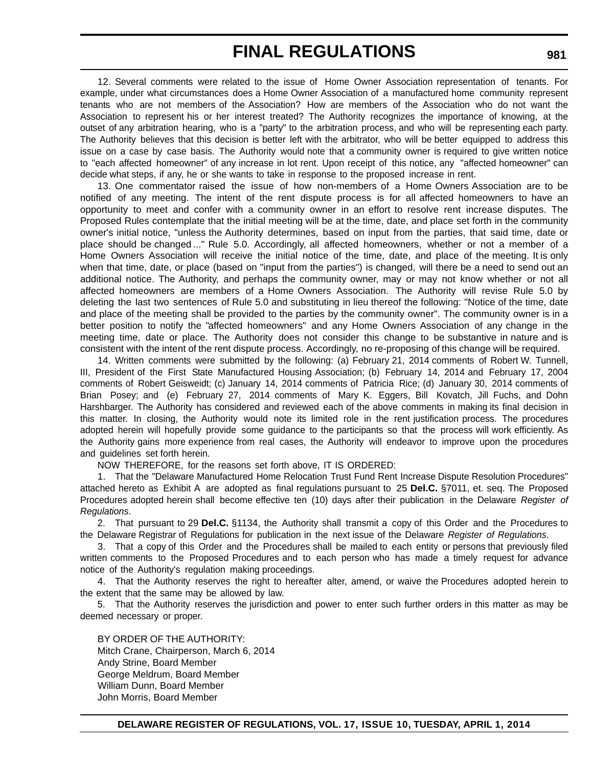12. Several comments were related to the issue of Home Owner Association representation of tenants. For example, under what circumstances does a Home Owner Association of a manufactured home community represent tenants who are not members of the Association? How are members of the Association who do not want the Association to represent his or her interest treated? The Authority recognizes the importance of knowing, at the outset of any arbitration hearing, who is a "party" to the arbitration process, and who will be representing each party. The Authority believes that this decision is better left with the arbitrator, who will be better equipped to address this issue on a case by case basis. The Authority would note that a community owner is required to give written notice to "each affected homeowner" of any increase in lot rent. Upon receipt of this notice, any "affected homeowner" can decide what steps, if any, he or she wants to take in response to the proposed increase in rent.

13. One commentator raised the issue of how non-members of a Home Owners Association are to be notified of any meeting. The intent of the rent dispute process is for all affected homeowners to have an opportunity to meet and confer with a community owner in an effort to resolve rent increase disputes. The Proposed Rules contemplate that the initial meeting will be at the time, date, and place set forth in the community owner's initial notice, "unless the Authority determines, based on input from the parties, that said time, date or place should be changed ..." Rule 5.0. Accordingly, all affected homeowners, whether or not a member of a Home Owners Association will receive the initial notice of the time, date, and place of the meeting. It is only when that time, date, or place (based on "input from the parties") is changed, will there be a need to send out an additional notice. The Authority, and perhaps the community owner, may or may not know whether or not all affected homeowners are members of a Home Owners Association. The Authority will revise Rule 5.0 by deleting the last two sentences of Rule 5.0 and substituting in lieu thereof the following: "Notice of the time, date and place of the meeting shall be provided to the parties by the community owner". The community owner is in a better position to notify the "affected homeowners" and any Home Owners Association of any change in the meeting time, date or place. The Authority does not consider this change to be substantive in nature and is consistent with the intent of the rent dispute process. Accordingly, no re-proposing of this change will be required.

14. Written comments were submitted by the following: (a) February 21, 2014 comments of Robert W. Tunnell, III, President of the First State Manufactured Housing Association; (b) February 14, 2014 and February 17, 2004 comments of Robert Geisweidt; (c) January 14, 2014 comments of Patricia Rice; (d) January 30, 2014 comments of Brian Posey; and (e) February 27, 2014 comments of Mary K. Eggers, Bill Kovatch, Jill Fuchs, and Dohn Harshbarger. The Authority has considered and reviewed each of the above comments in making its final decision in this matter. In closing, the Authority would note its limited role in the rent justification process. The procedures adopted herein will hopefully provide some guidance to the participants so that the process will work efficiently. As the Authority gains more experience from real cases, the Authority will endeavor to improve upon the procedures and guidelines set forth herein.

NOW THEREFORE, for the reasons set forth above, IT IS ORDERED:

1. That the "Delaware Manufactured Home Relocation Trust Fund Rent Increase Dispute Resolution Procedures" attached hereto as Exhibit A are adopted as final regulations pursuant to 25 **Del.C.** §7011, et. seq. The Proposed Procedures adopted herein shall become effective ten (10) days after their publication in the Delaware *Register of Regulations*.

2. That pursuant to 29 **Del.C.** §1134, the Authority shall transmit a copy of this Order and the Procedures to the Delaware Registrar of Regulations for publication in the next issue of the Delaware *Register of Regulations*.

3. That a copy of this Order and the Procedures shall be mailed to each entity or persons that previously filed written comments to the Proposed Procedures and to each person who has made a timely request for advance notice of the Authority's regulation making proceedings.

4. That the Authority reserves the right to hereafter alter, amend, or waive the Procedures adopted herein to the extent that the same may be allowed by law.

5. That the Authority reserves the jurisdiction and power to enter such further orders in this matter as may be deemed necessary or proper.

BY ORDER OF THE AUTHORITY: Mitch Crane, Chairperson, March 6, 2014 Andy Strine, Board Member George Meldrum, Board Member William Dunn, Board Member John Morris, Board Member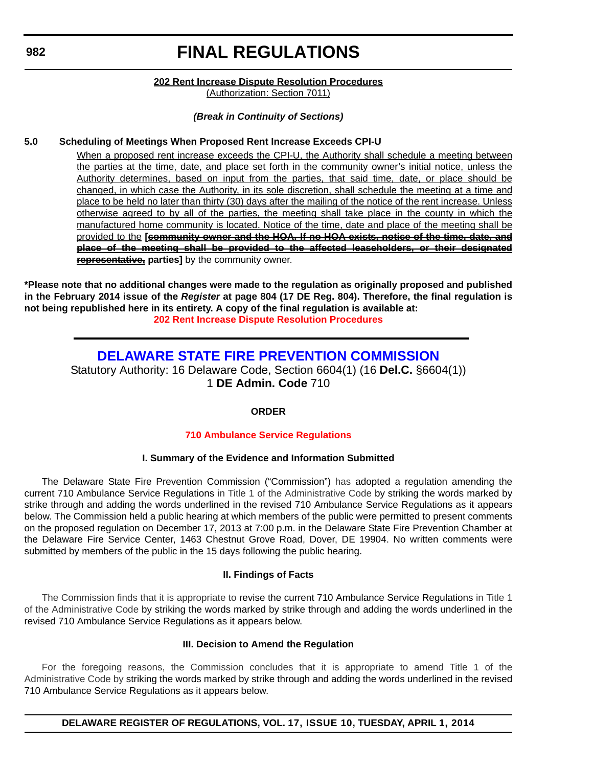#### **202 Rent Increase Dispute Resolution Procedures** (Authorization: Section 7011)

#### *(Break in Continuity of Sections)*

#### <span id="page-47-0"></span>**5.0 Scheduling of Meetings When Proposed Rent Increase Exceeds CPI-U**

When a proposed rent increase exceeds the CPI-U, the Authority shall schedule a meeting between the parties at the time, date, and place set forth in the community owner's initial notice, unless the Authority determines, based on input from the parties, that said time, date, or place should be changed, in which case the Authority, in its sole discretion, shall schedule the meeting at a time and place to be held no later than thirty (30) days after the mailing of the notice of the rent increase. Unless otherwise agreed to by all of the parties, the meeting shall take place in the county in which the manufactured home community is located. Notice of the time, date and place of the meeting shall be provided to the **[community owner and the HOA. If no HOA exists, notice of the time, date, and place of the meeting shall be provided to the affected leaseholders, or their designated representative, parties]** by the community owner.

**\*Please note that no additional changes were made to the regulation as originally proposed and published in the February 2014 issue of the** *Register* **at page 804 (17 DE Reg. 804). Therefore, the final regulation is not being republished here in its entirety. A copy of the final regulation is available at: [202 Rent Increase Dispute Resolution Procedures](http://regulations.delaware.gov/register/april2014/final/17 DE Reg 979 04-01-14.htm)**

### **[DELAWARE STATE FIRE PREVENTION COMMISSION](http://statefirecommission.delaware.gov/)**

Statutory Authority: 16 Delaware Code, Section 6604(1) (16 **Del.C.** §6604(1)) 1 **DE Admin. Code** 710

#### **ORDER**

#### **[710 Ambulance Service Regulations](#page-3-0)**

#### **I. Summary of the Evidence and Information Submitted**

The Delaware State Fire Prevention Commission ("Commission") has adopted a regulation amending the current 710 Ambulance Service Regulations in Title 1 of the Administrative Code by striking the words marked by strike through and adding the words underlined in the revised 710 Ambulance Service Regulations as it appears below. The Commission held a public hearing at which members of the public were permitted to present comments on the proposed regulation on December 17, 2013 at 7:00 p.m. in the Delaware State Fire Prevention Chamber at the Delaware Fire Service Center, 1463 Chestnut Grove Road, Dover, DE 19904. No written comments were submitted by members of the public in the 15 days following the public hearing.

#### **II. Findings of Facts**

The Commission finds that it is appropriate to revise the current 710 Ambulance Service Regulations in Title 1 of the Administrative Code by striking the words marked by strike through and adding the words underlined in the revised 710 Ambulance Service Regulations as it appears below.

#### **III. Decision to Amend the Regulation**

For the foregoing reasons, the Commission concludes that it is appropriate to amend Title 1 of the Administrative Code by striking the words marked by strike through and adding the words underlined in the revised 710 Ambulance Service Regulations as it appears below.

**DELAWARE REGISTER OF REGULATIONS, VOL. 17, ISSUE 10, TUESDAY, APRIL 1, 2014**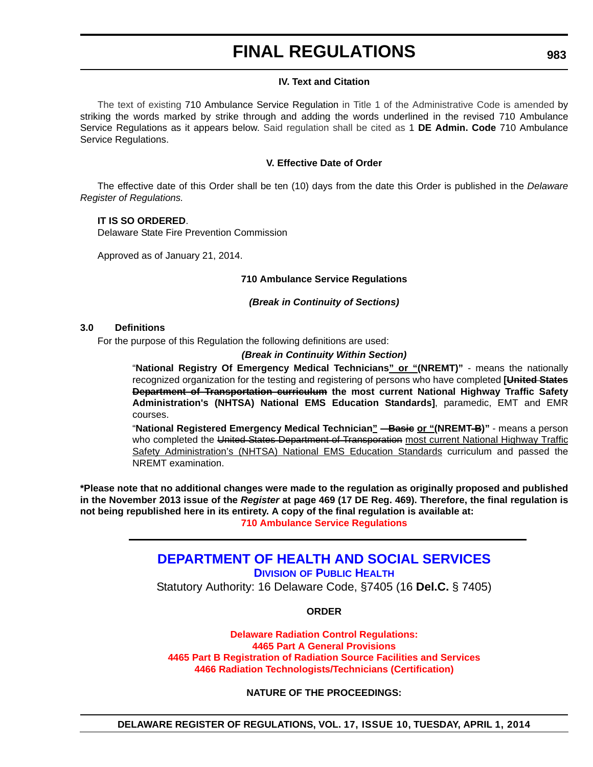#### **IV. Text and Citation**

<span id="page-48-0"></span>The text of existing 710 Ambulance Service Regulation in Title 1 of the Administrative Code is amended by striking the words marked by strike through and adding the words underlined in the revised 710 Ambulance Service Regulations as it appears below. Said regulation shall be cited as 1 **DE Admin. Code** 710 Ambulance Service Regulations.

#### **V. Effective Date of Order**

The effective date of this Order shall be ten (10) days from the date this Order is published in the *Delaware Register of Regulations.*

#### **IT IS SO ORDERED**.

Delaware State Fire Prevention Commission

Approved as of January 21, 2014.

#### **710 Ambulance Service Regulations**

*(Break in Continuity of Sections)*

#### **3.0 Definitions**

For the purpose of this Regulation the following definitions are used:

#### *(Break in Continuity Within Section)*

"**National Registry Of Emergency Medical Technicians" or "(NREMT)"** - means the nationally recognized organization for the testing and registering of persons who have completed **[United States Department of Transportation curriculum the most current National Highway Traffic Safety Administration's (NHTSA) National EMS Education Standards]**, paramedic, EMT and EMR courses.

"**National Registered Emergency Medical Technician" – Basie or "(NREMT-B)"** - means a person who completed the United States Department of Transporation most current National Highway Traffic Safety Administration's (NHTSA) National EMS Education Standards curriculum and passed the NREMT examination.

**\*Please note that no additional changes were made to the regulation as originally proposed and published in the November 2013 issue of the** *Register* **at page 469 (17 DE Reg. 469). Therefore, the final regulation is not being republished here in its entirety. A copy of the final regulation is available at: [710 Ambulance Service Regulations](http://regulations.delaware.gov/register/april2014/final/17 DE Reg 982 04-01-14.htm)**

### **[DEPARTMENT OF HEALTH AND SOCIAL SERVICES](http://www.dhss.delaware.gov/dhss/dph/index.html)**

**DIVISION OF PUBLIC HEALTH** Statutory Authority: 16 Delaware Code, §7405 (16 **Del.C.** § 7405)

#### **ORDER**

**Delaware Radiation Control Regulations: 4465 Part A General Provisions [4465 Part B Registration of Radiation Source Facilities and Services](#page-3-0) 4466 Radiation Technologists/Technicians (Certification)**

**NATURE OF THE PROCEEDINGS:**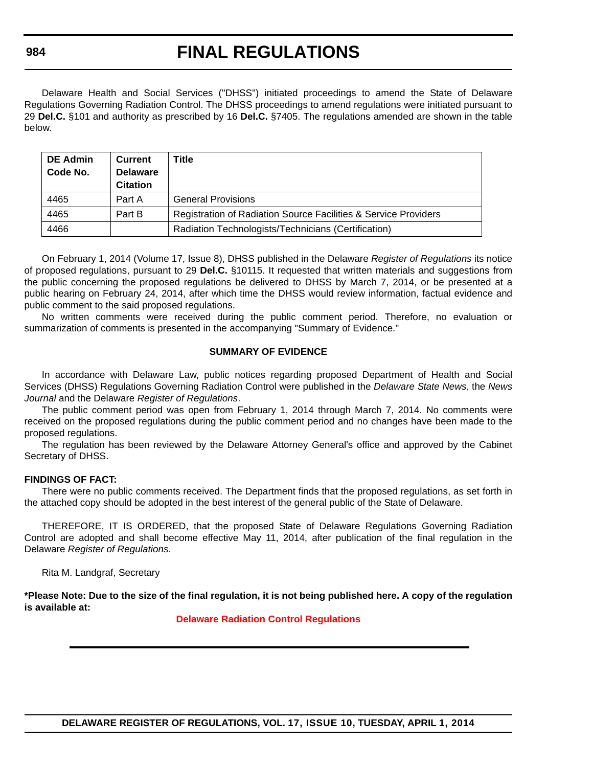Delaware Health and Social Services ("DHSS") initiated proceedings to amend the State of Delaware Regulations Governing Radiation Control. The DHSS proceedings to amend regulations were initiated pursuant to 29 **Del.C.** §101 and authority as prescribed by 16 **Del.C.** §7405. The regulations amended are shown in the table below.

| <b>DE Admin</b><br>Code No. | Current<br><b>Delaware</b><br><b>Citation</b> | Title                                                           |
|-----------------------------|-----------------------------------------------|-----------------------------------------------------------------|
| 4465                        | Part A                                        | <b>General Provisions</b>                                       |
| 4465                        | Part B                                        | Registration of Radiation Source Facilities & Service Providers |
| 4466                        |                                               | Radiation Technologists/Technicians (Certification)             |

On February 1, 2014 (Volume 17, Issue 8), DHSS published in the Delaware *Register of Regulations* its notice of proposed regulations, pursuant to 29 **Del.C.** §10115. It requested that written materials and suggestions from the public concerning the proposed regulations be delivered to DHSS by March 7, 2014, or be presented at a public hearing on February 24, 2014, after which time the DHSS would review information, factual evidence and public comment to the said proposed regulations.

No written comments were received during the public comment period. Therefore, no evaluation or summarization of comments is presented in the accompanying "Summary of Evidence."

#### **SUMMARY OF EVIDENCE**

In accordance with Delaware Law, public notices regarding proposed Department of Health and Social Services (DHSS) Regulations Governing Radiation Control were published in the *Delaware State News*, the *News Journal* and the Delaware *Register of Regulations*.

The public comment period was open from February 1, 2014 through March 7, 2014. No comments were received on the proposed regulations during the public comment period and no changes have been made to the proposed regulations.

The regulation has been reviewed by the Delaware Attorney General's office and approved by the Cabinet Secretary of DHSS.

#### **FINDINGS OF FACT:**

There were no public comments received. The Department finds that the proposed regulations, as set forth in the attached copy should be adopted in the best interest of the general public of the State of Delaware.

THEREFORE, IT IS ORDERED, that the proposed State of Delaware Regulations Governing Radiation Control are adopted and shall become effective May 11, 2014, after publication of the final regulation in the Delaware *Register of Regulations*.

Rita M. Landgraf, Secretary

**\*Please Note: Due to the size of the final regulation, it is not being published here. A copy of the regulation is available at:**

**[Delaware Radiation Control Regulations](http://regulations.delaware.gov/register/april2014/final/17 DE Reg 983 04-01-14.htm)**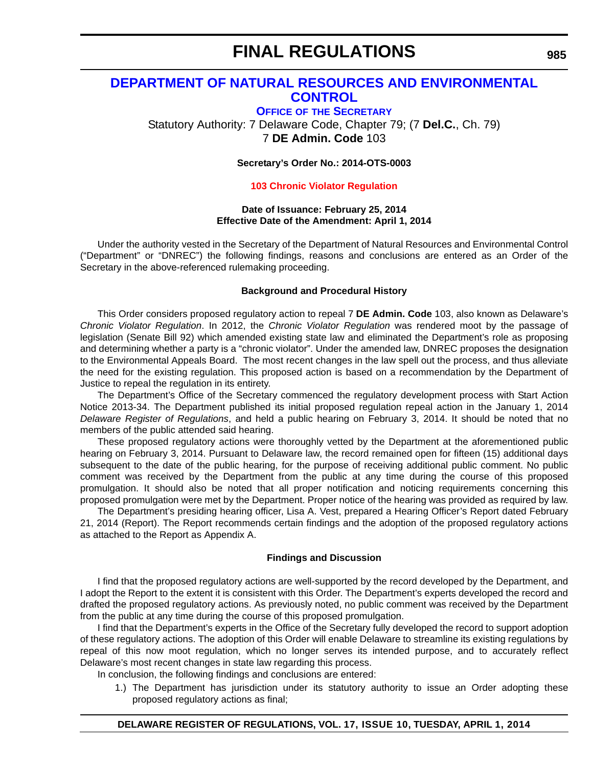### <span id="page-50-0"></span>**[DEPARTMENT OF NATURAL RESOURCES AND ENVIRONMENTAL](http://www.dnrec.delaware.gov/Admin/Pages/ots.aspx)  CONTROL**

**OFFICE OF THE SECRETARY** Statutory Authority: 7 Delaware Code, Chapter 79; (7 **Del.C.**, Ch. 79) 7 **DE Admin. Code** 103

**Secretary's Order No.: 2014-OTS-0003**

#### **[103 Chronic Violator Regulation](#page-4-0)**

#### **Date of Issuance: February 25, 2014 Effective Date of the Amendment: April 1, 2014**

Under the authority vested in the Secretary of the Department of Natural Resources and Environmental Control ("Department" or "DNREC") the following findings, reasons and conclusions are entered as an Order of the Secretary in the above-referenced rulemaking proceeding.

#### **Background and Procedural History**

This Order considers proposed regulatory action to repeal 7 **DE Admin. Code** 103, also known as Delaware's *Chronic Violator Regulation*. In 2012, the *Chronic Violator Regulation* was rendered moot by the passage of legislation (Senate Bill 92) which amended existing state law and eliminated the Department's role as proposing and determining whether a party is a "chronic violator". Under the amended law, DNREC proposes the designation to the Environmental Appeals Board. The most recent changes in the law spell out the process, and thus alleviate the need for the existing regulation. This proposed action is based on a recommendation by the Department of Justice to repeal the regulation in its entirety.

The Department's Office of the Secretary commenced the regulatory development process with Start Action Notice 2013-34. The Department published its initial proposed regulation repeal action in the January 1, 2014 *Delaware Register of Regulations*, and held a public hearing on February 3, 2014. It should be noted that no members of the public attended said hearing.

These proposed regulatory actions were thoroughly vetted by the Department at the aforementioned public hearing on February 3, 2014. Pursuant to Delaware law, the record remained open for fifteen (15) additional days subsequent to the date of the public hearing, for the purpose of receiving additional public comment. No public comment was received by the Department from the public at any time during the course of this proposed promulgation. It should also be noted that all proper notification and noticing requirements concerning this proposed promulgation were met by the Department. Proper notice of the hearing was provided as required by law.

The Department's presiding hearing officer, Lisa A. Vest, prepared a Hearing Officer's Report dated February 21, 2014 (Report). The Report recommends certain findings and the adoption of the proposed regulatory actions as attached to the Report as Appendix A.

#### **Findings and Discussion**

I find that the proposed regulatory actions are well-supported by the record developed by the Department, and I adopt the Report to the extent it is consistent with this Order. The Department's experts developed the record and drafted the proposed regulatory actions. As previously noted, no public comment was received by the Department from the public at any time during the course of this proposed promulgation.

I find that the Department's experts in the Office of the Secretary fully developed the record to support adoption of these regulatory actions. The adoption of this Order will enable Delaware to streamline its existing regulations by repeal of this now moot regulation, which no longer serves its intended purpose, and to accurately reflect Delaware's most recent changes in state law regarding this process.

In conclusion, the following findings and conclusions are entered:

1.) The Department has jurisdiction under its statutory authority to issue an Order adopting these proposed regulatory actions as final;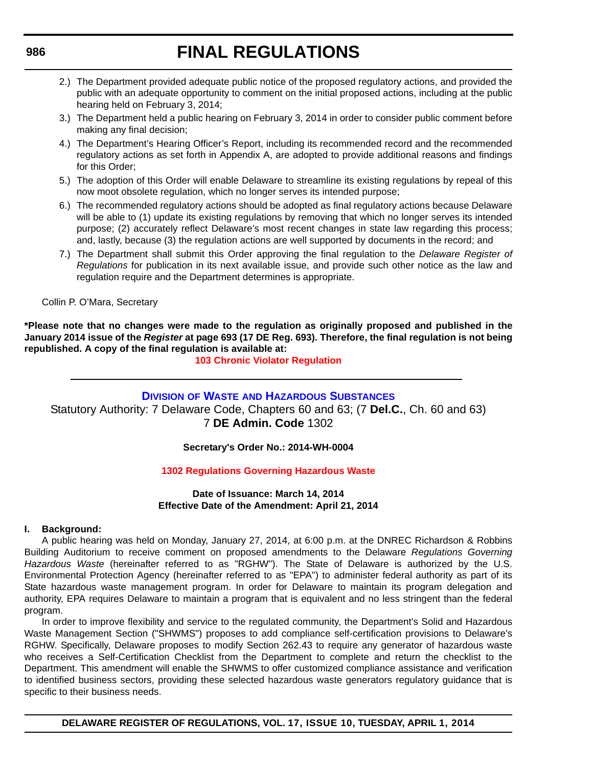- 2.) The Department provided adequate public notice of the proposed regulatory actions, and provided the public with an adequate opportunity to comment on the initial proposed actions, including at the public hearing held on February 3, 2014;
- 3.) The Department held a public hearing on February 3, 2014 in order to consider public comment before making any final decision;
- 4.) The Department's Hearing Officer's Report, including its recommended record and the recommended regulatory actions as set forth in Appendix A, are adopted to provide additional reasons and findings for this Order;
- 5.) The adoption of this Order will enable Delaware to streamline its existing regulations by repeal of this now moot obsolete regulation, which no longer serves its intended purpose;
- 6.) The recommended regulatory actions should be adopted as final regulatory actions because Delaware will be able to (1) update its existing regulations by removing that which no longer serves its intended purpose; (2) accurately reflect Delaware's most recent changes in state law regarding this process; and, lastly, because (3) the regulation actions are well supported by documents in the record; and
- 7.) The Department shall submit this Order approving the final regulation to the *Delaware Register of Regulations* for publication in its next available issue, and provide such other notice as the law and regulation require and the Department determines is appropriate.

Collin P. O'Mara, Secretary

**\*Please note that no changes were made to the regulation as originally proposed and published in the January 2014 issue of the** *Register* **at page 693 (17 DE Reg. 693). Therefore, the final regulation is not being republished. A copy of the final regulation is available at:**

### **[103 Chronic Violator Regulation](http://regulations.delaware.gov/register/april2014/final/17 DE Reg 985 04-01-14.htm)**

### **DIVISION OF WASTE [AND HAZARDOUS SUBSTANCES](http://www.dnrec.delaware.gov/dwhs/Pages/default.aspx)**

Statutory Authority: 7 Delaware Code, Chapters 60 and 63; (7 **Del.C.**, Ch. 60 and 63) 7 **DE Admin. Code** 1302

### **Secretary's Order No.: 2014-WH-0004**

### **[1302 Regulations Governing Hazardous Waste](#page-4-0)**

#### **Date of Issuance: March 14, 2014 Effective Date of the Amendment: April 21, 2014**

#### **I. Background:**

A public hearing was held on Monday, January 27, 2014, at 6:00 p.m. at the DNREC Richardson & Robbins Building Auditorium to receive comment on proposed amendments to the Delaware *Regulations Governing Hazardous Waste* (hereinafter referred to as "RGHW"). The State of Delaware is authorized by the U.S. Environmental Protection Agency (hereinafter referred to as "EPA") to administer federal authority as part of its State hazardous waste management program. In order for Delaware to maintain its program delegation and authority, EPA requires Delaware to maintain a program that is equivalent and no less stringent than the federal program.

In order to improve flexibility and service to the regulated community, the Department's Solid and Hazardous Waste Management Section ("SHWMS") proposes to add compliance self-certification provisions to Delaware's RGHW. Specifically, Delaware proposes to modify Section 262.43 to require any generator of hazardous waste who receives a Self-Certification Checklist from the Department to complete and return the checklist to the Department. This amendment will enable the SHWMS to offer customized compliance assistance and verification to identified business sectors, providing these selected hazardous waste generators regulatory guidance that is specific to their business needs.

#### <span id="page-51-0"></span>**986**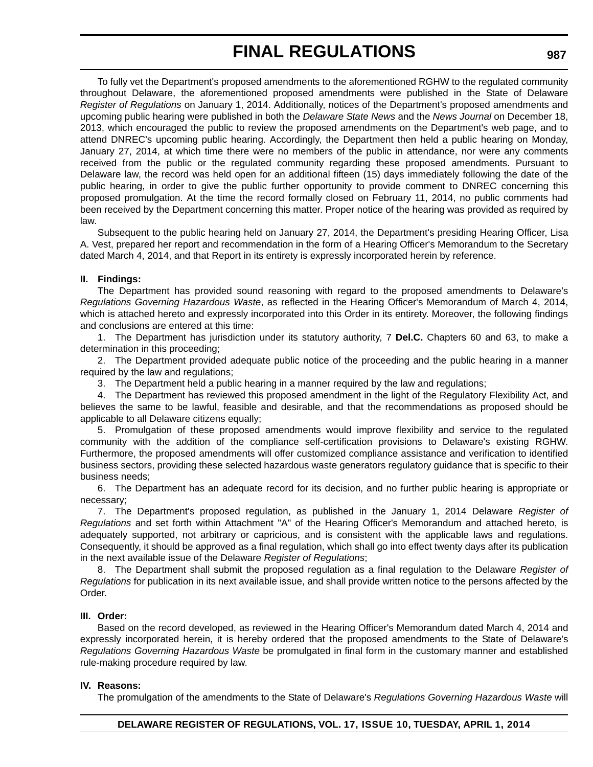To fully vet the Department's proposed amendments to the aforementioned RGHW to the regulated community throughout Delaware, the aforementioned proposed amendments were published in the State of Delaware *Register of Regulations* on January 1, 2014. Additionally, notices of the Department's proposed amendments and upcoming public hearing were published in both the *Delaware State News* and the *News Journal* on December 18, 2013, which encouraged the public to review the proposed amendments on the Department's web page, and to attend DNREC's upcoming public hearing. Accordingly, the Department then held a public hearing on Monday, January 27, 2014, at which time there were no members of the public in attendance, nor were any comments received from the public or the regulated community regarding these proposed amendments. Pursuant to Delaware law, the record was held open for an additional fifteen (15) days immediately following the date of the public hearing, in order to give the public further opportunity to provide comment to DNREC concerning this proposed promulgation. At the time the record formally closed on February 11, 2014, no public comments had been received by the Department concerning this matter. Proper notice of the hearing was provided as required by law.

Subsequent to the public hearing held on January 27, 2014, the Department's presiding Hearing Officer, Lisa A. Vest, prepared her report and recommendation in the form of a Hearing Officer's Memorandum to the Secretary dated March 4, 2014, and that Report in its entirety is expressly incorporated herein by reference.

#### **II. Findings:**

The Department has provided sound reasoning with regard to the proposed amendments to Delaware's *Regulations Governing Hazardous Waste*, as reflected in the Hearing Officer's Memorandum of March 4, 2014, which is attached hereto and expressly incorporated into this Order in its entirety. Moreover, the following findings and conclusions are entered at this time:

1. The Department has jurisdiction under its statutory authority, 7 **Del.C.** Chapters 60 and 63, to make a determination in this proceeding;

2. The Department provided adequate public notice of the proceeding and the public hearing in a manner required by the law and regulations;

3. The Department held a public hearing in a manner required by the law and regulations;

4. The Department has reviewed this proposed amendment in the light of the Regulatory Flexibility Act, and believes the same to be lawful, feasible and desirable, and that the recommendations as proposed should be applicable to all Delaware citizens equally;

5. Promulgation of these proposed amendments would improve flexibility and service to the regulated community with the addition of the compliance self-certification provisions to Delaware's existing RGHW. Furthermore, the proposed amendments will offer customized compliance assistance and verification to identified business sectors, providing these selected hazardous waste generators regulatory guidance that is specific to their business needs;

6. The Department has an adequate record for its decision, and no further public hearing is appropriate or necessary;

7. The Department's proposed regulation, as published in the January 1, 2014 Delaware *Register of Regulations* and set forth within Attachment "A" of the Hearing Officer's Memorandum and attached hereto, is adequately supported, not arbitrary or capricious, and is consistent with the applicable laws and regulations. Consequently, it should be approved as a final regulation, which shall go into effect twenty days after its publication in the next available issue of the Delaware *Register of Regulations*;

8. The Department shall submit the proposed regulation as a final regulation to the Delaware *Register of Regulations* for publication in its next available issue, and shall provide written notice to the persons affected by the Order.

#### **III. Order:**

Based on the record developed, as reviewed in the Hearing Officer's Memorandum dated March 4, 2014 and expressly incorporated herein, it is hereby ordered that the proposed amendments to the State of Delaware's *Regulations Governing Hazardous Waste* be promulgated in final form in the customary manner and established rule-making procedure required by law.

#### **IV. Reasons:**

The promulgation of the amendments to the State of Delaware's *Regulations Governing Hazardous Waste* will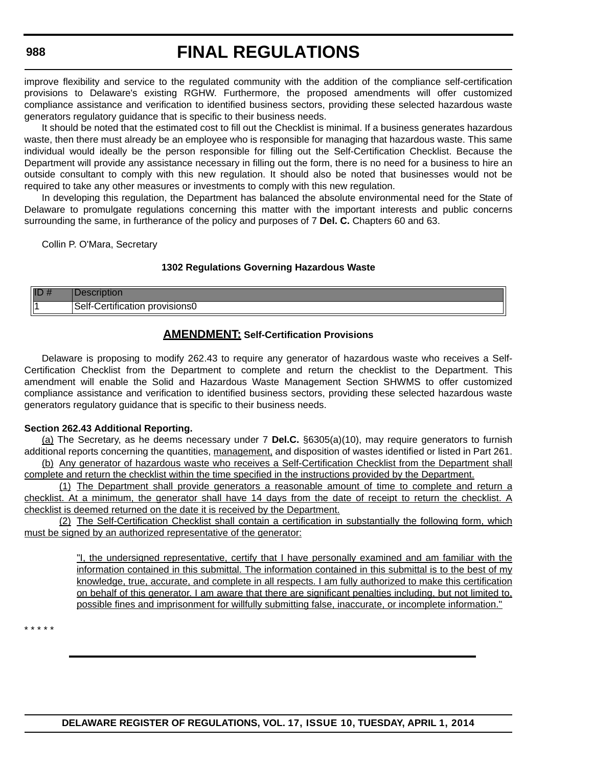#### **988**

# **FINAL REGULATIONS**

improve flexibility and service to the regulated community with the addition of the compliance self-certification provisions to Delaware's existing RGHW. Furthermore, the proposed amendments will offer customized compliance assistance and verification to identified business sectors, providing these selected hazardous waste generators regulatory guidance that is specific to their business needs.

It should be noted that the estimated cost to fill out the Checklist is minimal. If a business generates hazardous waste, then there must already be an employee who is responsible for managing that hazardous waste. This same individual would ideally be the person responsible for filling out the Self-Certification Checklist. Because the Department will provide any assistance necessary in filling out the form, there is no need for a business to hire an outside consultant to comply with this new regulation. It should also be noted that businesses would not be required to take any other measures or investments to comply with this new regulation.

In developing this regulation, the Department has balanced the absolute environmental need for the State of Delaware to promulgate regulations concerning this matter with the important interests and public concerns surrounding the same, in furtherance of the policy and purposes of 7 **Del. C.** Chapters 60 and 63.

Collin P. O'Mara, Secretary

#### **1302 Regulations Governing Hazardous Waste**

| IL  |                                          |
|-----|------------------------------------------|
| lli | .<br>3elf<br>ovisionsu<br>оп<br>.411011. |

#### **AMENDMENT: Self-Certification Provisions**

Delaware is proposing to modify 262.43 to require any generator of hazardous waste who receives a Self-Certification Checklist from the Department to complete and return the checklist to the Department. This amendment will enable the Solid and Hazardous Waste Management Section SHWMS to offer customized compliance assistance and verification to identified business sectors, providing these selected hazardous waste generators regulatory guidance that is specific to their business needs.

#### **Section 262.43 Additional Reporting.**

(a) The Secretary, as he deems necessary under 7 **Del.C.** §6305(a)(10), may require generators to furnish additional reports concerning the quantities, management, and disposition of wastes identified or listed in Part 261. (b) Any generator of hazardous waste who receives a Self-Certification Checklist from the Department shall

complete and return the checklist within the time specified in the instructions provided by the Department.

(1) The Department shall provide generators a reasonable amount of time to complete and return a checklist. At a minimum, the generator shall have 14 days from the date of receipt to return the checklist. A checklist is deemed returned on the date it is received by the Department.

(2) The Self-Certification Checklist shall contain a certification in substantially the following form, which must be signed by an authorized representative of the generator:

> "I, the undersigned representative, certify that I have personally examined and am familiar with the information contained in this submittal. The information contained in this submittal is to the best of my knowledge, true, accurate, and complete in all respects. I am fully authorized to make this certification on behalf of this generator. I am aware that there are significant penalties including, but not limited to, possible fines and imprisonment for willfully submitting false, inaccurate, or incomplete information."

\* \* \* \* \*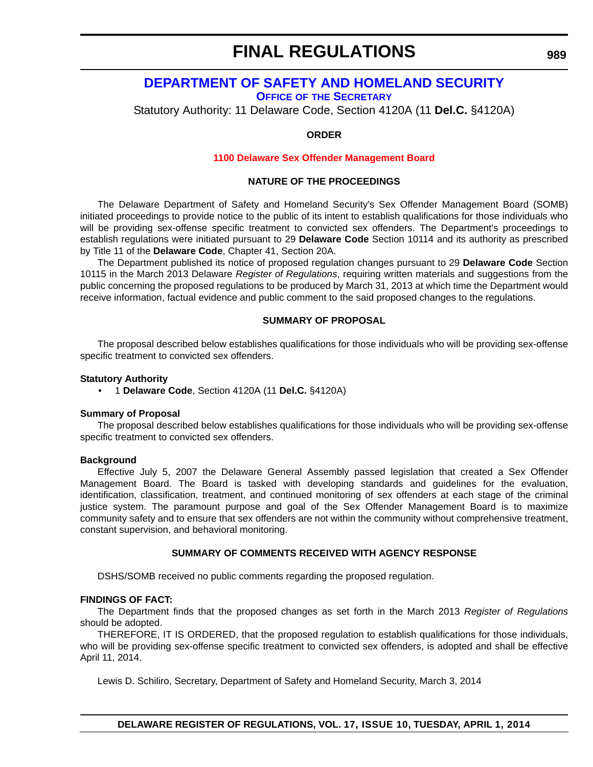# <span id="page-54-0"></span>**[DEPARTMENT OF SAFETY AND HOMELAND SECURITY](http://dshs.delaware.gov/)**

**OFFICE OF THE SECRETARY**

Statutory Authority: 11 Delaware Code, Section 4120A (11 **Del.C.** §4120A)

#### **ORDER**

#### **[1100 Delaware Sex Offender Management Board](#page-4-0)**

#### **NATURE OF THE PROCEEDINGS**

The Delaware Department of Safety and Homeland Security's Sex Offender Management Board (SOMB) initiated proceedings to provide notice to the public of its intent to establish qualifications for those individuals who will be providing sex-offense specific treatment to convicted sex offenders. The Department's proceedings to establish regulations were initiated pursuant to 29 **Delaware Code** Section 10114 and its authority as prescribed by Title 11 of the **Delaware Code**, Chapter 41, Section 20A.

The Department published its notice of proposed regulation changes pursuant to 29 **Delaware Code** Section 10115 in the March 2013 Delaware *Register of Regulations*, requiring written materials and suggestions from the public concerning the proposed regulations to be produced by March 31, 2013 at which time the Department would receive information, factual evidence and public comment to the said proposed changes to the regulations.

#### **SUMMARY OF PROPOSAL**

The proposal described below establishes qualifications for those individuals who will be providing sex-offense specific treatment to convicted sex offenders.

#### **Statutory Authority**

• 1 **Delaware Code**, Section 4120A (11 **Del.C.** §4120A)

#### **Summary of Proposal**

The proposal described below establishes qualifications for those individuals who will be providing sex-offense specific treatment to convicted sex offenders.

#### **Background**

Effective July 5, 2007 the Delaware General Assembly passed legislation that created a Sex Offender Management Board. The Board is tasked with developing standards and guidelines for the evaluation, identification, classification, treatment, and continued monitoring of sex offenders at each stage of the criminal justice system. The paramount purpose and goal of the Sex Offender Management Board is to maximize community safety and to ensure that sex offenders are not within the community without comprehensive treatment, constant supervision, and behavioral monitoring.

#### **SUMMARY OF COMMENTS RECEIVED WITH AGENCY RESPONSE**

DSHS/SOMB received no public comments regarding the proposed regulation.

#### **FINDINGS OF FACT:**

The Department finds that the proposed changes as set forth in the March 2013 *Register of Regulations* should be adopted.

THEREFORE, IT IS ORDERED, that the proposed regulation to establish qualifications for those individuals, who will be providing sex-offense specific treatment to convicted sex offenders, is adopted and shall be effective April 11, 2014.

Lewis D. Schiliro, Secretary, Department of Safety and Homeland Security, March 3, 2014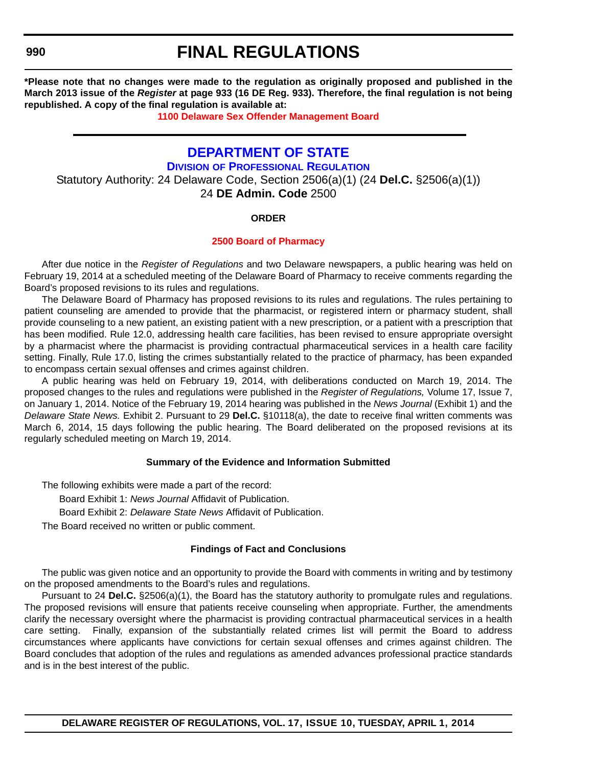<span id="page-55-0"></span>**990**

# **FINAL REGULATIONS**

**\*Please note that no changes were made to the regulation as originally proposed and published in the March 2013 issue of the** *Register* **at page 933 (16 DE Reg. 933). Therefore, the final regulation is not being republished. A copy of the final regulation is available at:**

**[1100 Delaware Sex Offender Management Board](http://regulations.delaware.gov/register/april2014/final/17 DE Reg 989 04-01-14.htm)**

### **[DEPARTMENT OF STATE](http://dpr.delaware.gov/)**

**DIVISION OF PROFESSIONAL REGULATION** Statutory Authority: 24 Delaware Code, Section 2506(a)(1) (24 **Del.C.** §2506(a)(1)) 24 **DE Admin. Code** 2500

#### **ORDER**

#### **[2500 Board of Pharmacy](#page-4-0)**

After due notice in the *Register of Regulations* and two Delaware newspapers, a public hearing was held on February 19, 2014 at a scheduled meeting of the Delaware Board of Pharmacy to receive comments regarding the Board's proposed revisions to its rules and regulations.

The Delaware Board of Pharmacy has proposed revisions to its rules and regulations. The rules pertaining to patient counseling are amended to provide that the pharmacist, or registered intern or pharmacy student, shall provide counseling to a new patient, an existing patient with a new prescription, or a patient with a prescription that has been modified. Rule 12.0, addressing health care facilities, has been revised to ensure appropriate oversight by a pharmacist where the pharmacist is providing contractual pharmaceutical services in a health care facility setting. Finally, Rule 17.0, listing the crimes substantially related to the practice of pharmacy, has been expanded to encompass certain sexual offenses and crimes against children.

A public hearing was held on February 19, 2014, with deliberations conducted on March 19, 2014. The proposed changes to the rules and regulations were published in the *Register of Regulations,* Volume 17, Issue 7, on January 1, 2014. Notice of the February 19, 2014 hearing was published in the *News Journal* (Exhibit 1) and the *Delaware State News.* Exhibit 2. Pursuant to 29 **Del.C.** §10118(a), the date to receive final written comments was March 6, 2014, 15 days following the public hearing. The Board deliberated on the proposed revisions at its regularly scheduled meeting on March 19, 2014.

#### **Summary of the Evidence and Information Submitted**

The following exhibits were made a part of the record:

Board Exhibit 1: *News Journal* Affidavit of Publication.

Board Exhibit 2: *Delaware State News* Affidavit of Publication.

The Board received no written or public comment.

#### **Findings of Fact and Conclusions**

The public was given notice and an opportunity to provide the Board with comments in writing and by testimony on the proposed amendments to the Board's rules and regulations.

Pursuant to 24 **Del.C.** §2506(a)(1), the Board has the statutory authority to promulgate rules and regulations. The proposed revisions will ensure that patients receive counseling when appropriate. Further, the amendments clarify the necessary oversight where the pharmacist is providing contractual pharmaceutical services in a health care setting. Finally, expansion of the substantially related crimes list will permit the Board to address circumstances where applicants have convictions for certain sexual offenses and crimes against children. The Board concludes that adoption of the rules and regulations as amended advances professional practice standards and is in the best interest of the public.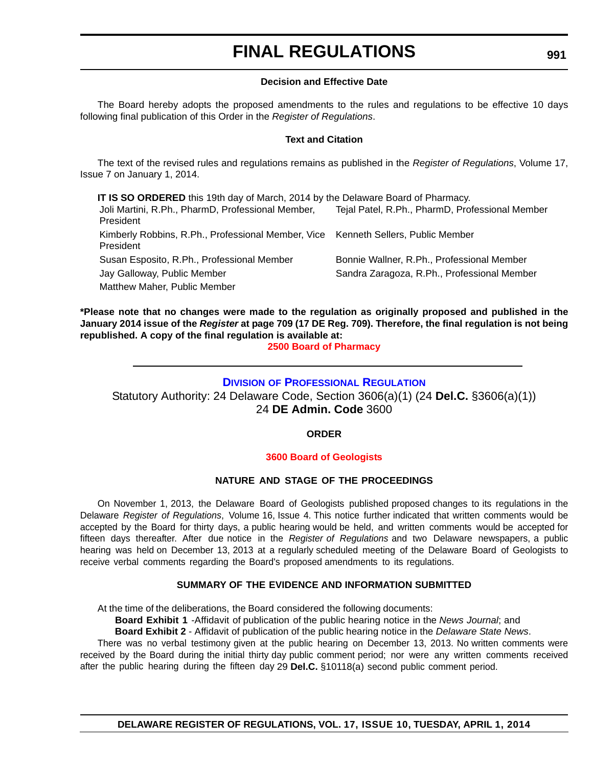#### **Decision and Effective Date**

<span id="page-56-0"></span>The Board hereby adopts the proposed amendments to the rules and regulations to be effective 10 days following final publication of this Order in the *Register of Regulations*.

#### **Text and Citation**

The text of the revised rules and regulations remains as published in the *Register of Regulations*, Volume 17, Issue 7 on January 1, 2014.

**IT IS SO ORDERED** this 19th day of March, 2014 by the Delaware Board of Pharmacy. Joli Martini, R.Ph., PharmD, Professional Member, President Tejal Patel, R.Ph., PharmD, Professional Member Kimberly Robbins, R.Ph., Professional Member, Vice Kenneth Sellers, Public Member President Susan Esposito, R.Ph., Professional Member Bonnie Wallner, R.Ph., Professional Member Jay Galloway, Public Member Sandra Zaragoza, R.Ph., Professional Member Matthew Maher, Public Member

**\*Please note that no changes were made to the regulation as originally proposed and published in the January 2014 issue of the** *Register* **at page 709 (17 DE Reg. 709). Therefore, the final regulation is not being republished. A copy of the final regulation is available at:**

**[2500 Board of Pharmacy](http://regulations.delaware.gov/register/april2014/final/17 DE Reg 990 04-01-14.htm)**

### **DIVISION [OF PROFESSIONAL REGULATION](http://dpr.delaware.gov/)**

Statutory Authority: 24 Delaware Code, Section 3606(a)(1) (24 **Del.C.** §3606(a)(1)) 24 **DE Admin. Code** 3600

**ORDER**

#### **[3600 Board of Geologists](#page-4-0)**

#### **NATURE AND STAGE OF THE PROCEEDINGS**

On November 1, 2013, the Delaware Board of Geologists published proposed changes to its regulations in the Delaware *Register of Regulations*, Volume 16, Issue 4. This notice further indicated that written comments would be accepted by the Board for thirty days, a public hearing would be held, and written comments would be accepted for fifteen days thereafter. After due notice in the *Register of Regulations* and two Delaware newspapers, a public hearing was held on December 13, 2013 at a regularly scheduled meeting of the Delaware Board of Geologists to receive verbal comments regarding the Board's proposed amendments to its regulations.

#### **SUMMARY OF THE EVIDENCE AND INFORMATION SUBMITTED**

At the time of the deliberations, the Board considered the following documents:

**Board Exhibit 1** -Affidavit of publication of the public hearing notice in the *News Journal*; and

**Board Exhibit 2** - Affidavit of publication of the public hearing notice in the *Delaware State News*.

There was no verbal testimony given at the public hearing on December 13, 2013. No written comments were received by the Board during the initial thirty day public comment period; nor were any written comments received after the public hearing during the fifteen day 29 **Del.C.** §10118(a) second public comment period.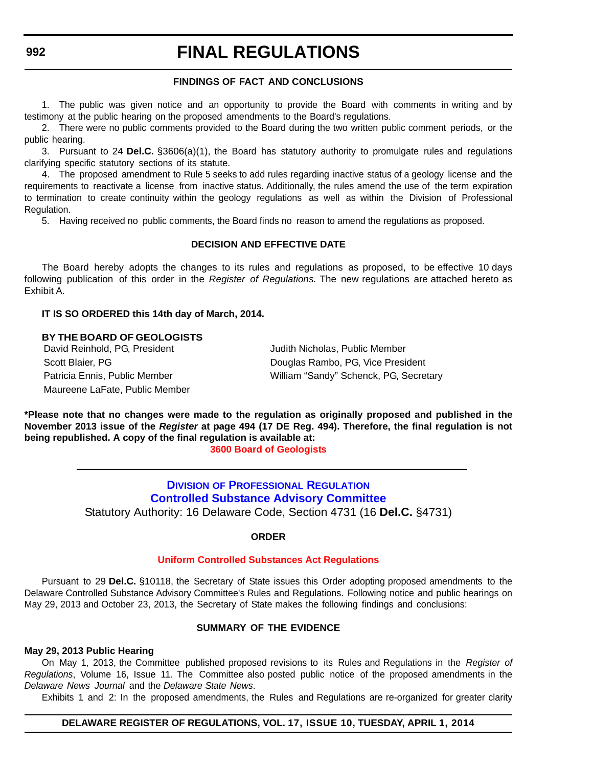#### **FINDINGS OF FACT AND CONCLUSIONS**

<span id="page-57-0"></span>1. The public was given notice and an opportunity to provide the Board with comments in writing and by testimony at the public hearing on the proposed amendments to the Board's regulations.

2. There were no public comments provided to the Board during the two written public comment periods, or the public hearing.

3. Pursuant to 24 **Del.C.** §3606(a)(1), the Board has statutory authority to promulgate rules and regulations clarifying specific statutory sections of its statute.

4. The proposed amendment to Rule 5 seeks to add rules regarding inactive status of a geology license and the requirements to reactivate a license from inactive status. Additionally, the rules amend the use of the term expiration to termination to create continuity within the geology regulations as well as within the Division of Professional Regulation.

5. Having received no public comments, the Board finds no reason to amend the regulations as proposed.

#### **DECISION AND EFFECTIVE DATE**

The Board hereby adopts the changes to its rules and regulations as proposed, to be effective 10 days following publication of this order in the *Register of Regulations.* The new regulations are attached hereto as Exhibit A.

#### **IT IS SO ORDERED this 14th day of March, 2014.**

**BY THE BOARD OF GEOLOGISTS** David Reinhold, PG, President **Juliet All Accord Accord President** Judith Nicholas, Public Member Maureene LaFate, Public Member

Scott Blaier, PG **Douglas Rambo, PG, Vice President** Patricia Ennis, Public Member William "Sandy" Schenck, PG, Secretary

**\*Please note that no changes were made to the regulation as originally proposed and published in the November 2013 issue of the** *Register* **at page 494 (17 DE Reg. 494). Therefore, the final regulation is not being republished. A copy of the final regulation is available at:**

**[3600 Board of Geologists](http://regulations.delaware.gov/register/april2014/final/17 DE Reg 991 04-01-14.htm)**

**DIVISION OF PROFESSIONAL REGULATION [Controlled Substance Advisory Committee](http://dpr.delaware.gov/boards/controlledsubstances/index.shtml)** Statutory Authority: 16 Delaware Code, Section 4731 (16 **Del.C.** §4731)

#### **ORDER**

#### **[Uniform Controlled Substances Act Regulations](#page-4-0)**

Pursuant to 29 **Del.C.** §10118, the Secretary of State issues this Order adopting proposed amendments to the Delaware Controlled Substance Advisory Committee's Rules and Regulations. Following notice and public hearings on May 29, 2013 and October 23, 2013, the Secretary of State makes the following findings and conclusions:

#### **SUMMARY OF THE EVIDENCE**

#### **May 29, 2013 Public Hearing**

On May 1, 2013, the Committee published proposed revisions to its Rules and Regulations in the *Register of Regulations*, Volume 16, Issue 11. The Committee also posted public notice of the proposed amendments in the *Delaware News Journal* and the *Delaware State News*.

Exhibits 1 and 2: In the proposed amendments, the Rules and Regulations are re-organized for greater clarity

#### **DELAWARE REGISTER OF REGULATIONS, VOL. 17, ISSUE 10, TUESDAY, APRIL 1, 2014**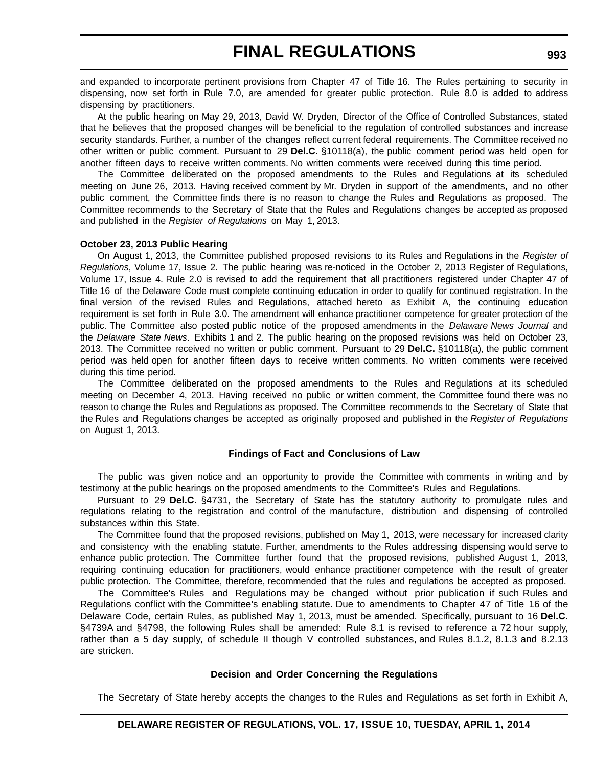and expanded to incorporate pertinent provisions from Chapter 47 of Title 16. The Rules pertaining to security in dispensing, now set forth in Rule 7.0, are amended for greater public protection. Rule 8.0 is added to address dispensing by practitioners.

At the public hearing on May 29, 2013, David W. Dryden, Director of the Office of Controlled Substances, stated that he believes that the proposed changes will be beneficial to the regulation of controlled substances and increase security standards. Further, a number of the changes reflect current federal requirements. The Committee received no other written or public comment. Pursuant to 29 **Del.C.** §10118(a), the public comment period was held open for another fifteen days to receive written comments. No written comments were received during this time period.

The Committee deliberated on the proposed amendments to the Rules and Regulations at its scheduled meeting on June 26, 2013. Having received comment by Mr. Dryden in support of the amendments, and no other public comment, the Committee finds there is no reason to change the Rules and Regulations as proposed. The Committee recommends to the Secretary of State that the Rules and Regulations changes be accepted as proposed and published in the *Register of Regulations* on May 1, 2013.

#### **October 23, 2013 Public Hearing**

On August 1, 2013, the Committee published proposed revisions to its Rules and Regulations in the *Register of Regulations*, Volume 17, Issue 2. The public hearing was re-noticed in the October 2, 2013 Register of Regulations, Volume 17, Issue 4. Rule 2.0 is revised to add the requirement that all practitioners registered under Chapter 47 of Title 16 of the Delaware Code must complete continuing education in order to qualify for continued registration. In the final version of the revised Rules and Regulations, attached hereto as Exhibit A, the continuing education requirement is set forth in Rule 3.0. The amendment will enhance practitioner competence for greater protection of the public. The Committee also posted public notice of the proposed amendments in the *Delaware News Journal* and the *Delaware State News*. Exhibits 1 and 2. The public hearing on the proposed revisions was held on October 23, 2013. The Committee received no written or public comment. Pursuant to 29 **Del.C.** §10118(a), the public comment period was held open for another fifteen days to receive written comments. No written comments were received during this time period.

The Committee deliberated on the proposed amendments to the Rules and Regulations at its scheduled meeting on December 4, 2013. Having received no public or written comment, the Committee found there was no reason to change the Rules and Regulations as proposed. The Committee recommends to the Secretary of State that the Rules and Regulations changes be accepted as originally proposed and published in the *Register of Regulations* on August 1, 2013.

#### **Findings of Fact and Conclusions of Law**

The public was given notice and an opportunity to provide the Committee with comments in writing and by testimony at the public hearings on the proposed amendments to the Committee's Rules and Regulations.

Pursuant to 29 **Del.C.** §4731, the Secretary of State has the statutory authority to promulgate rules and regulations relating to the registration and control of the manufacture, distribution and dispensing of controlled substances within this State.

The Committee found that the proposed revisions, published on May 1, 2013, were necessary for increased clarity and consistency with the enabling statute. Further, amendments to the Rules addressing dispensing would serve to enhance public protection. The Committee further found that the proposed revisions, published August 1, 2013, requiring continuing education for practitioners, would enhance practitioner competence with the result of greater public protection. The Committee, therefore, recommended that the rules and regulations be accepted as proposed.

The Committee's Rules and Regulations may be changed without prior publication if such Rules and Regulations conflict with the Committee's enabling statute. Due to amendments to Chapter 47 of Title 16 of the Delaware Code, certain Rules, as published May 1, 2013, must be amended. Specifically, pursuant to 16 **Del.C.** §4739A and §4798, the following Rules shall be amended: Rule 8.1 is revised to reference a 72 hour supply, rather than a 5 day supply, of schedule II though V controlled substances, and Rules 8.1.2, 8.1.3 and 8.2.13 are stricken.

#### **Decision and Order Concerning the Regulations**

The Secretary of State hereby accepts the changes to the Rules and Regulations as set forth in Exhibit A,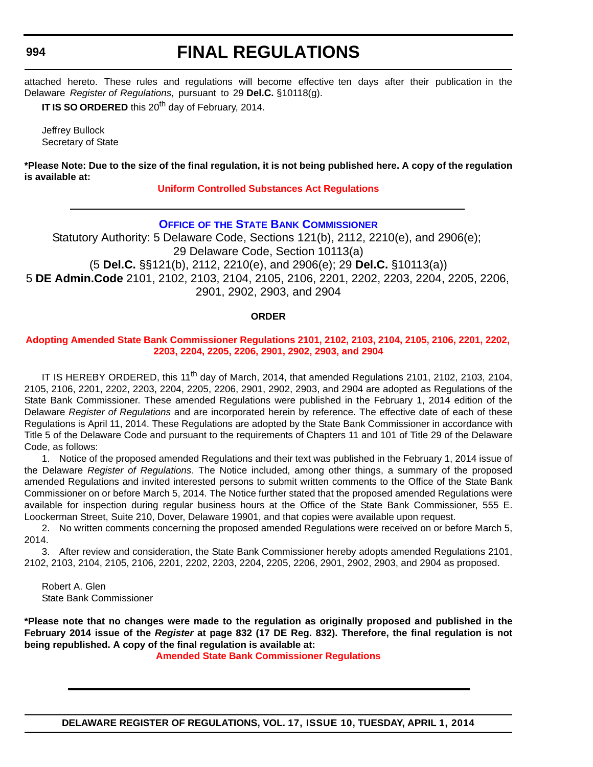#### <span id="page-59-0"></span>**994**

# **FINAL REGULATIONS**

attached hereto. These rules and regulations will become effective ten days after their publication in the Delaware *Register of Regulations*, pursuant to 29 **Del.C.** §10118(g).

**IT IS SO ORDERED** this 20<sup>th</sup> day of February, 2014.

Jeffrey Bullock Secretary of State

**\*Please Note: Due to the size of the final regulation, it is not being published here. A copy of the regulation is available at:**

#### **[Uniform Controlled Substances Act Regulations](http://regulations.delaware.gov/register/april2014/final/17 DE Reg 992 04-01-14.htm)**

### **OFFICE OF [THE STATE BANK COMMISSIONER](http://banking.delaware.gov/)**

Statutory Authority: 5 Delaware Code, Sections 121(b), 2112, 2210(e), and 2906(e); 29 Delaware Code, Section 10113(a) (5 **Del.C.** §§121(b), 2112, 2210(e), and 2906(e); 29 **Del.C.** §10113(a))

5 **DE Admin.Code** 2101, 2102, 2103, 2104, 2105, 2106, 2201, 2202, 2203, 2204, 2205, 2206,

2901, 2902, 2903, and 2904

#### **ORDER**

#### **[Adopting Amended State Bank Commissioner Regulations 2101, 2102, 2103, 2104, 2105, 2106, 2201, 2202,](#page-4-0)  2203, 2204, 2205, 2206, 2901, 2902, 2903, and 2904**

IT IS HEREBY ORDERED, this 11<sup>th</sup> day of March, 2014, that amended Regulations 2101, 2102, 2103, 2104, 2105, 2106, 2201, 2202, 2203, 2204, 2205, 2206, 2901, 2902, 2903, and 2904 are adopted as Regulations of the State Bank Commissioner. These amended Regulations were published in the February 1, 2014 edition of the Delaware *Register of Regulations* and are incorporated herein by reference. The effective date of each of these Regulations is April 11, 2014. These Regulations are adopted by the State Bank Commissioner in accordance with Title 5 of the Delaware Code and pursuant to the requirements of Chapters 11 and 101 of Title 29 of the Delaware Code, as follows:

1. Notice of the proposed amended Regulations and their text was published in the February 1, 2014 issue of the Delaware *Register of Regulations*. The Notice included, among other things, a summary of the proposed amended Regulations and invited interested persons to submit written comments to the Office of the State Bank Commissioner on or before March 5, 2014. The Notice further stated that the proposed amended Regulations were available for inspection during regular business hours at the Office of the State Bank Commissioner, 555 E. Loockerman Street, Suite 210, Dover, Delaware 19901, and that copies were available upon request.

2. No written comments concerning the proposed amended Regulations were received on or before March 5, 2014.

3. After review and consideration, the State Bank Commissioner hereby adopts amended Regulations 2101, 2102, 2103, 2104, 2105, 2106, 2201, 2202, 2203, 2204, 2205, 2206, 2901, 2902, 2903, and 2904 as proposed.

Robert A. Glen State Bank Commissioner

**\*Please note that no changes were made to the regulation as originally proposed and published in the February 2014 issue of the** *Register* **at page 832 (17 DE Reg. 832). Therefore, the final regulation is not being republished. A copy of the final regulation is available at:**

**[Amended State Bank Commissioner Regulations](http://regulations.delaware.gov/register/april2014/final/17 DE Reg 994 04-01-14.htm)**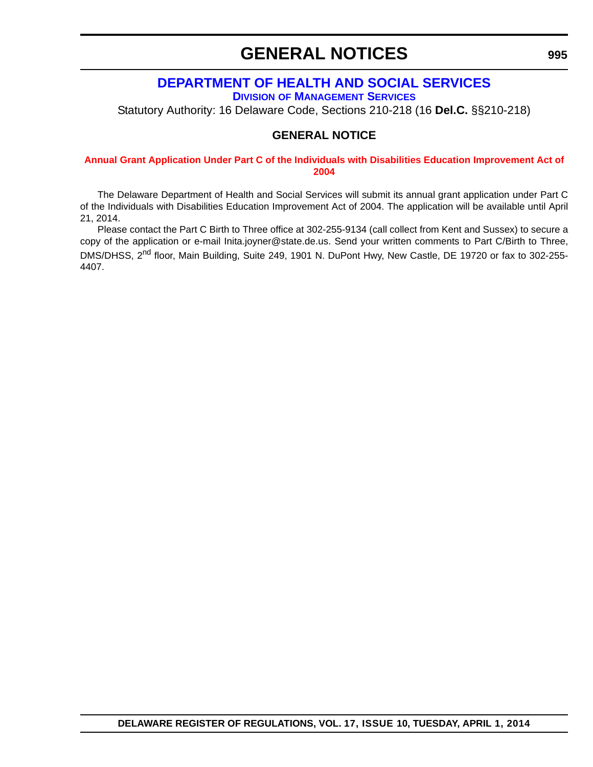# **GENERAL NOTICES**

# **[DEPARTMENT OF HEALTH AND SOCIAL SERVICES](http://www.dhss.delaware.gov/dhss/dms/)**

**DIVISION OF MANAGEMENT SERVICES**

<span id="page-60-0"></span>Statutory Authority: 16 Delaware Code, Sections 210-218 (16 **Del.C.** §§210-218)

### **GENERAL NOTICE**

#### **[Annual Grant Application Under Part C of the Individuals with Disabilities Education Improvement Act of](#page-4-0)  2004**

The Delaware Department of Health and Social Services will submit its annual grant application under Part C of the Individuals with Disabilities Education Improvement Act of 2004. The application will be available until April 21, 2014.

Please contact the Part C Birth to Three office at 302-255-9134 (call collect from Kent and Sussex) to secure a copy of the application or e-mail Inita.joyner@state.de.us. Send your written comments to Part C/Birth to Three, DMS/DHSS, 2<sup>nd</sup> floor, Main Building, Suite 249, 1901 N. DuPont Hwy, New Castle, DE 19720 or fax to 302-255-4407.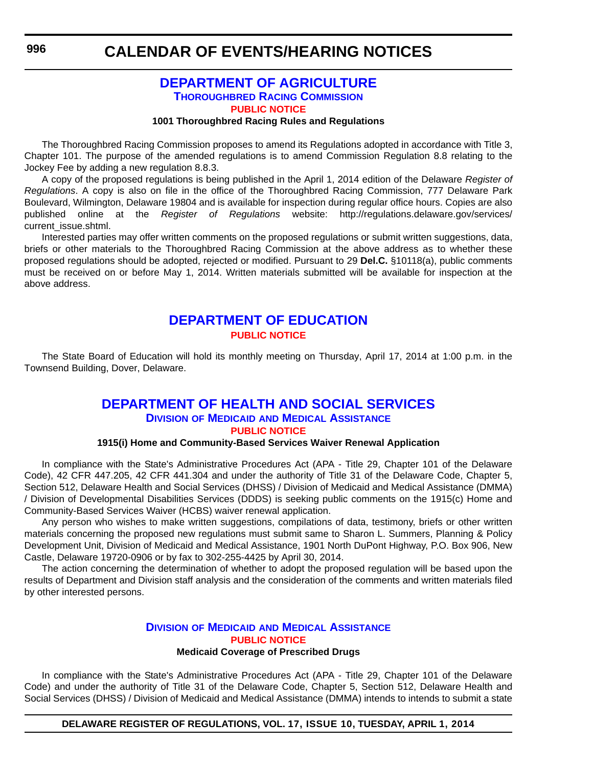### **[DEPARTMENT OF AGRICULTURE](http://dda.delaware.gov/thoroughbred/index.shtml) THOROUGHBRED RACING COMMISSION [PUBLIC NOTICE](#page-4-0)**

#### **1001 Thoroughbred Racing Rules and Regulations**

<span id="page-61-0"></span>The Thoroughbred Racing Commission proposes to amend its Regulations adopted in accordance with Title 3, Chapter 101. The purpose of the amended regulations is to amend Commission Regulation 8.8 relating to the Jockey Fee by adding a new regulation 8.8.3.

A copy of the proposed regulations is being published in the April 1, 2014 edition of the Delaware *Register of Regulations*. A copy is also on file in the office of the Thoroughbred Racing Commission, 777 Delaware Park Boulevard, Wilmington, Delaware 19804 and is available for inspection during regular office hours. Copies are also published online at the *Register of Regulations* website: http://regulations.delaware.gov/services/ current\_issue.shtml.

Interested parties may offer written comments on the proposed regulations or submit written suggestions, data, briefs or other materials to the Thoroughbred Racing Commission at the above address as to whether these proposed regulations should be adopted, rejected or modified. Pursuant to 29 **Del.C.** §10118(a), public comments must be received on or before May 1, 2014. Written materials submitted will be available for inspection at the above address.

### **[DEPARTMENT OF EDUCATION](http://www.doe.k12.de.us/) [PUBLIC NOTICE](#page-4-0)**

The State Board of Education will hold its monthly meeting on Thursday, April 17, 2014 at 1:00 p.m. in the Townsend Building, Dover, Delaware.

### **[DEPARTMENT OF HEALTH AND SOCIAL SERVICES](http://www.dhss.delaware.gov/dhss/dmma/) DIVISION OF MEDICAID AND MEDICAL ASSISTANCE [PUBLIC NOTICE](#page-4-0)**

#### **1915(i) Home and Community-Based Services Waiver Renewal Application**

In compliance with the State's Administrative Procedures Act (APA - Title 29, Chapter 101 of the Delaware Code), 42 CFR 447.205, 42 CFR 441.304 and under the authority of Title 31 of the Delaware Code, Chapter 5, Section 512, Delaware Health and Social Services (DHSS) / Division of Medicaid and Medical Assistance (DMMA) / Division of Developmental Disabilities Services (DDDS) is seeking public comments on the 1915(c) Home and Community-Based Services Waiver (HCBS) waiver renewal application.

Any person who wishes to make written suggestions, compilations of data, testimony, briefs or other written materials concerning the proposed new regulations must submit same to Sharon L. Summers, Planning & Policy Development Unit, Division of Medicaid and Medical Assistance, 1901 North DuPont Highway, P.O. Box 906, New Castle, Delaware 19720-0906 or by fax to 302-255-4425 by April 30, 2014.

The action concerning the determination of whether to adopt the proposed regulation will be based upon the results of Department and Division staff analysis and the consideration of the comments and written materials filed by other interested persons.

#### **DIVISION OF MEDICAID [AND MEDICAL ASSISTANCE](http://www.dhss.delaware.gov/dhss/dmma/) [PUBLIC NOTICE](#page-4-0) Medicaid Coverage of Prescribed Drugs**

In compliance with the State's Administrative Procedures Act (APA - Title 29, Chapter 101 of the Delaware Code) and under the authority of Title 31 of the Delaware Code, Chapter 5, Section 512, Delaware Health and Social Services (DHSS) / Division of Medicaid and Medical Assistance (DMMA) intends to intends to submit a state

**DELAWARE REGISTER OF REGULATIONS, VOL. 17, ISSUE 10, TUESDAY, APRIL 1, 2014**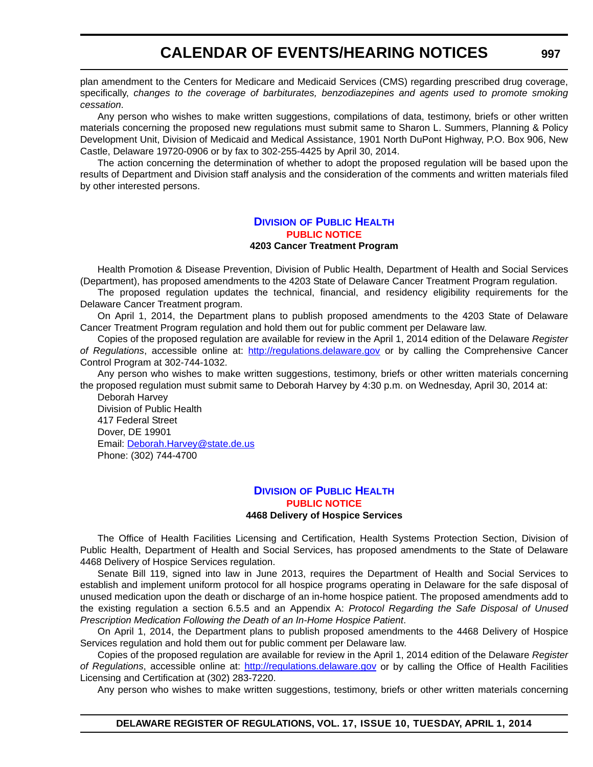plan amendment to the Centers for Medicare and Medicaid Services (CMS) regarding prescribed drug coverage, specifically, *changes to the coverage of barbiturates, benzodiazepines and agents used to promote smoking cessation*.

Any person who wishes to make written suggestions, compilations of data, testimony, briefs or other written materials concerning the proposed new regulations must submit same to Sharon L. Summers, Planning & Policy Development Unit, Division of Medicaid and Medical Assistance, 1901 North DuPont Highway, P.O. Box 906, New Castle, Delaware 19720-0906 or by fax to 302-255-4425 by April 30, 2014.

The action concerning the determination of whether to adopt the proposed regulation will be based upon the results of Department and Division staff analysis and the consideration of the comments and written materials filed by other interested persons.

#### **DIVISION [OF PUBLIC HEALTH](http://www.dhss.delaware.gov/dhss/dph/index.html) [PUBLIC NOTICE](#page-4-0) 4203 Cancer Treatment Program**

Health Promotion & Disease Prevention, Division of Public Health, Department of Health and Social Services (Department), has proposed amendments to the 4203 State of Delaware Cancer Treatment Program regulation.

The proposed regulation updates the technical, financial, and residency eligibility requirements for the Delaware Cancer Treatment program.

On April 1, 2014, the Department plans to publish proposed amendments to the 4203 State of Delaware Cancer Treatment Program regulation and hold them out for public comment per Delaware law.

Copies of the proposed regulation are available for review in the April 1, 2014 edition of the Delaware *Register of Regulations*, accessible online at: http://regulations.delaware.gov or by calling the Comprehensive Cancer Control Program at 302-744-1032.

Any person who wishes to make written suggestions, testimony, briefs or other written materials concerning the proposed regulation must submit same to Deborah Harvey by 4:30 p.m. on Wednesday, April 30, 2014 at:

Deborah Harvey Division of Public Health 417 Federal Street Dover, DE 19901 Email: Deborah.Harvey@state.de.us Phone: (302) 744-4700

#### **DIVISION [OF PUBLIC HEALTH](http://www.dhss.delaware.gov/dhss/dph/index.html) [PUBLIC NOTICE](#page-4-0) 4468 Delivery of Hospice Services**

The Office of Health Facilities Licensing and Certification, Health Systems Protection Section, Division of Public Health, Department of Health and Social Services, has proposed amendments to the State of Delaware 4468 Delivery of Hospice Services regulation.

Senate Bill 119, signed into law in June 2013, requires the Department of Health and Social Services to establish and implement uniform protocol for all hospice programs operating in Delaware for the safe disposal of unused medication upon the death or discharge of an in-home hospice patient. The proposed amendments add to the existing regulation a section 6.5.5 and an Appendix A: *Protocol Regarding the Safe Disposal of Unused Prescription Medication Following the Death of an In-Home Hospice Patient*.

On April 1, 2014, the Department plans to publish proposed amendments to the 4468 Delivery of Hospice Services regulation and hold them out for public comment per Delaware law.

Copies of the proposed regulation are available for review in the April 1, 2014 edition of the Delaware *Register of Regulations*, accessible online at: <http://regulations.delaware.gov>or by calling the Office of Health Facilities Licensing and Certification at (302) 283-7220.

Any person who wishes to make written suggestions, testimony, briefs or other written materials concerning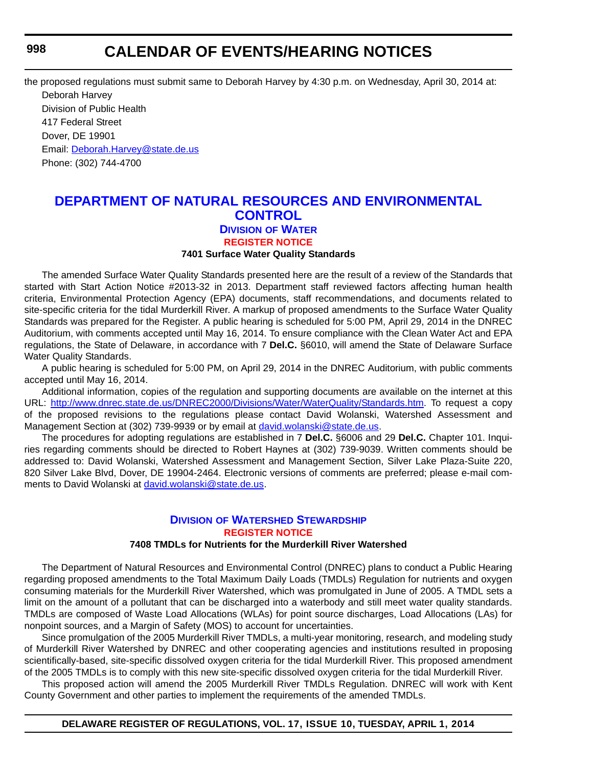<span id="page-63-0"></span>the proposed regulations must submit same to Deborah Harvey by 4:30 p.m. on Wednesday, April 30, 2014 at: Deborah Harvey Division of Public Health 417 Federal Street Dover, DE 19901 Email: [Deborah.Harvey@state.de.us](mailto:Deborah.Harvey@state.de.us) Phone: (302) 744-4700

### **[DEPARTMENT OF NATURAL RESOURCES AND ENVIRONMENTAL](http://www.dnrec.delaware.gov/wr/Pages/Default.aspx)  CONTROL DIVISION OF WATER [REGISTER NOTICE](#page-4-0)**

#### **7401 Surface Water Quality Standards**

The amended Surface Water Quality Standards presented here are the result of a review of the Standards that started with Start Action Notice #2013-32 in 2013. Department staff reviewed factors affecting human health criteria, Environmental Protection Agency (EPA) documents, staff recommendations, and documents related to site-specific criteria for the tidal Murderkill River. A markup of proposed amendments to the Surface Water Quality Standards was prepared for the Register. A public hearing is scheduled for 5:00 PM, April 29, 2014 in the DNREC Auditorium, with comments accepted until May 16, 2014. To ensure compliance with the Clean Water Act and EPA regulations, the State of Delaware, in accordance with 7 **Del.C.** §6010, will amend the State of Delaware Surface Water Quality Standards.

A public hearing is scheduled for 5:00 PM, on April 29, 2014 in the DNREC Auditorium, with public comments accepted until May 16, 2014.

Additional information, copies of the regulation and supporting documents are available on the internet at this URL: [http://www.dnrec.state.de.us/DNREC2000/Divisions/Water/WaterQuality/Standards.htm.](http://www.dnrec.state.de.us/DNREC2000/Divisions/Water/WaterQuality/Standards.htm) To request a copy of the proposed revisions to the regulations please contact David Wolanski, Watershed Assessment and Management Section at (302) 739-9939 or by email at [david.wolanski@state.de.us](mailto:david.wolanski@state.de.us).

The procedures for adopting regulations are established in 7 **Del.C.** §6006 and 29 **Del.C.** Chapter 101. Inquiries regarding comments should be directed to Robert Haynes at (302) 739-9039. Written comments should be addressed to: David Wolanski, Watershed Assessment and Management Section, Silver Lake Plaza-Suite 220, 820 Silver Lake Blvd, Dover, DE 19904-2464. Electronic versions of comments are preferred; please e-mail comments to David Wolanski at [david.wolanski@state.de.us.](mailto:david.wolanski@state.de.us)

### **DIVISION [OF WATERSHED STEWARDSHIP](http://www.dnrec.delaware.gov/swc/Pages/default.aspx) [REGISTER NOTICE](#page-4-0)**

#### **7408 TMDLs for Nutrients for the Murderkill River Watershed**

The Department of Natural Resources and Environmental Control (DNREC) plans to conduct a Public Hearing regarding proposed amendments to the Total Maximum Daily Loads (TMDLs) Regulation for nutrients and oxygen consuming materials for the Murderkill River Watershed, which was promulgated in June of 2005. A TMDL sets a limit on the amount of a pollutant that can be discharged into a waterbody and still meet water quality standards. TMDLs are composed of Waste Load Allocations (WLAs) for point source discharges, Load Allocations (LAs) for nonpoint sources, and a Margin of Safety (MOS) to account for uncertainties.

Since promulgation of the 2005 Murderkill River TMDLs, a multi-year monitoring, research, and modeling study of Murderkill River Watershed by DNREC and other cooperating agencies and institutions resulted in proposing scientifically-based, site-specific dissolved oxygen criteria for the tidal Murderkill River. This proposed amendment of the 2005 TMDLs is to comply with this new site-specific dissolved oxygen criteria for the tidal Murderkill River.

This proposed action will amend the 2005 Murderkill River TMDLs Regulation. DNREC will work with Kent County Government and other parties to implement the requirements of the amended TMDLs.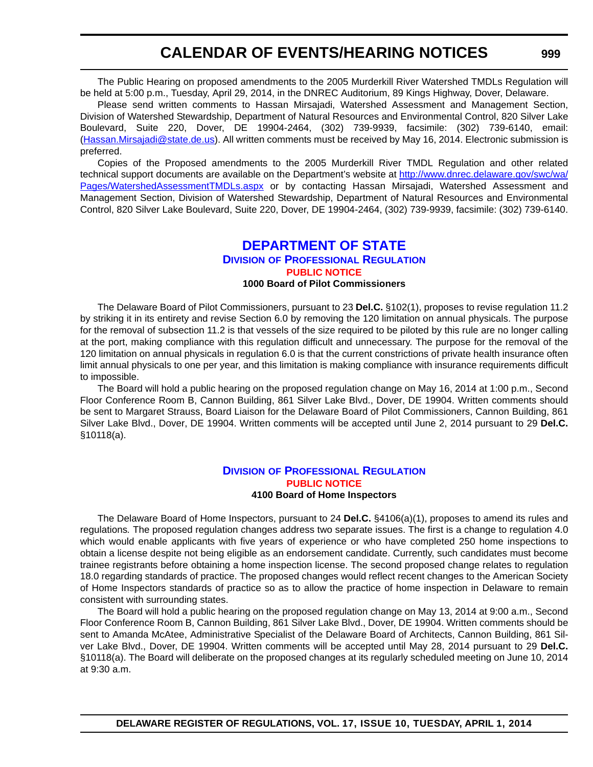<span id="page-64-0"></span>The Public Hearing on proposed amendments to the 2005 Murderkill River Watershed TMDLs Regulation will be held at 5:00 p.m., Tuesday, April 29, 2014, in the DNREC Auditorium, 89 Kings Highway, Dover, Delaware.

Please send written comments to Hassan Mirsajadi, Watershed Assessment and Management Section, Division of Watershed Stewardship, Department of Natural Resources and Environmental Control, 820 Silver Lake Boulevard, Suite 220, Dover, DE 19904-2464, (302) 739-9939, facsimile: (302) 739-6140, email: (Hassan.Mirsajadi@state.de.us). All written comments must be received by May 16, 2014. Electronic submission is preferred.

Copies of the Proposed amendments to the 2005 Murderkill River TMDL Regulation and other related technical support documents are available on the Department's website at [http://www.dnrec.delaware.gov/swc/wa/](http://www.dnrec.delaware.gov/swc/wa/Pages/WatershedAssessmentTMDLs.aspx) [Pages/WatershedAssessmentTMDLs.aspx](http://www.dnrec.delaware.gov/swc/wa/Pages/WatershedAssessmentTMDLs.aspx) or by contacting Hassan Mirsajadi, Watershed Assessment and Management Section, Division of Watershed Stewardship, Department of Natural Resources and Environmental Control, 820 Silver Lake Boulevard, Suite 220, Dover, DE 19904-2464, (302) 739-9939, facsimile: (302) 739-6140.

### **[DEPARTMENT OF STATE](http://dpr.delaware.gov/) DIVISION OF PROFESSIONAL REGULATION [PUBLIC NOTICE](#page-4-0) 1000 Board of Pilot Commissioners**

The Delaware Board of Pilot Commissioners, pursuant to 23 **Del.C.** §102(1), proposes to revise regulation 11.2 by striking it in its entirety and revise Section 6.0 by removing the 120 limitation on annual physicals. The purpose for the removal of subsection 11.2 is that vessels of the size required to be piloted by this rule are no longer calling at the port, making compliance with this regulation difficult and unnecessary. The purpose for the removal of the 120 limitation on annual physicals in regulation 6.0 is that the current constrictions of private health insurance often limit annual physicals to one per year, and this limitation is making compliance with insurance requirements difficult to impossible.

The Board will hold a public hearing on the proposed regulation change on May 16, 2014 at 1:00 p.m., Second Floor Conference Room B, Cannon Building, 861 Silver Lake Blvd., Dover, DE 19904. Written comments should be sent to Margaret Strauss, Board Liaison for the Delaware Board of Pilot Commissioners, Cannon Building, 861 Silver Lake Blvd., Dover, DE 19904. Written comments will be accepted until June 2, 2014 pursuant to 29 **Del.C.** §10118(a).

#### **DIVISION [OF PROFESSIONAL REGULATION](http://dpr.delaware.gov/) [PUBLIC NOTICE](#page-4-0) 4100 Board of Home Inspectors**

The Delaware Board of Home Inspectors, pursuant to 24 **Del.C.** §4106(a)(1), proposes to amend its rules and regulations*.* The proposed regulation changes address two separate issues. The first is a change to regulation 4.0 which would enable applicants with five years of experience or who have completed 250 home inspections to obtain a license despite not being eligible as an endorsement candidate. Currently, such candidates must become trainee registrants before obtaining a home inspection license. The second proposed change relates to regulation 18.0 regarding standards of practice. The proposed changes would reflect recent changes to the American Society of Home Inspectors standards of practice so as to allow the practice of home inspection in Delaware to remain consistent with surrounding states.

The Board will hold a public hearing on the proposed regulation change on May 13, 2014 at 9:00 a.m., Second Floor Conference Room B, Cannon Building, 861 Silver Lake Blvd., Dover, DE 19904. Written comments should be sent to Amanda McAtee, Administrative Specialist of the Delaware Board of Architects, Cannon Building, 861 Silver Lake Blvd., Dover, DE 19904. Written comments will be accepted until May 28, 2014 pursuant to 29 **Del.C.** §10118(a). The Board will deliberate on the proposed changes at its regularly scheduled meeting on June 10, 2014 at 9:30 a.m.